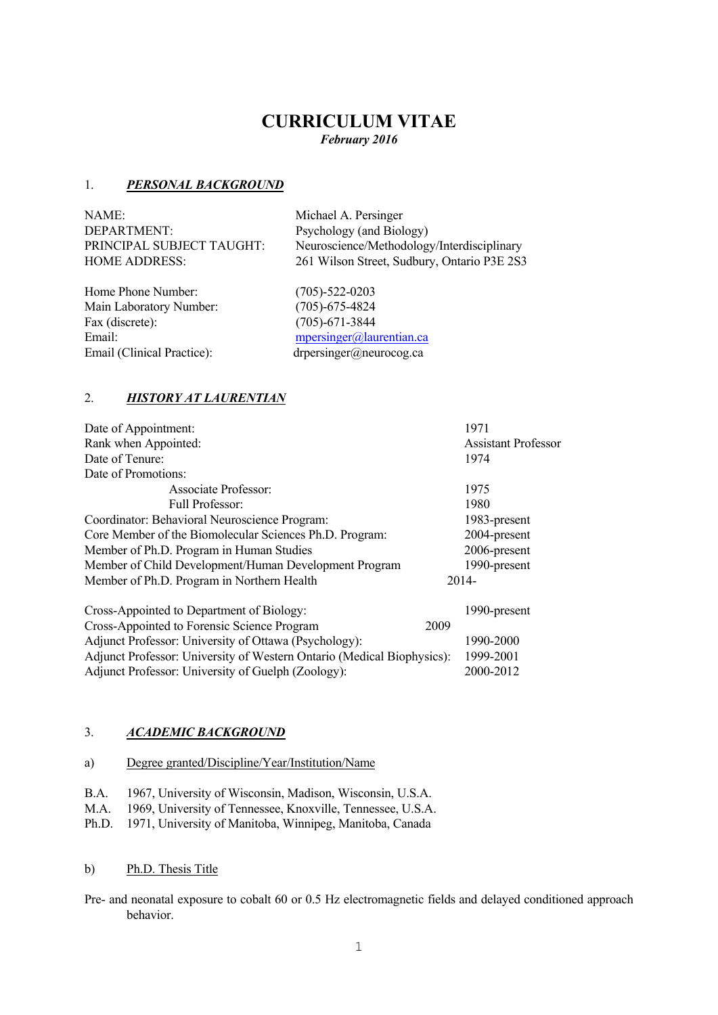# **CURRICULUM VITAE**

*February 2016*

#### 1. *PERSONAL BACKGROUND*

NAME:<br>
DEPARTMENT: Michael A. Persinger<br>
Psychology (and Biol

Home Phone Number: (705)-522-0203 Main Laboratory Number: (705)-675-4824 Fax (discrete): (705)-671-3844 Email (Clinical Practice): drpersinger@neurocog.ca

Psychology (and Biology) PRINCIPAL SUBJECT TAUGHT: Neuroscience/Methodology/Interdisciplinary HOME ADDRESS: 261 Wilson Street, Sudbury, Ontario P3E 2S3

Email: mpersinger@laurentian.ca

# 2. *HISTORY AT LAURENTIAN*

| Date of Appointment:                                    | 1971                       |
|---------------------------------------------------------|----------------------------|
| Rank when Appointed:                                    | <b>Assistant Professor</b> |
| Date of Tenure:                                         | 1974                       |
| Date of Promotions:                                     |                            |
| Associate Professor:                                    | 1975                       |
| Full Professor:                                         | 1980                       |
| Coordinator: Behavioral Neuroscience Program:           | 1983-present               |
| Core Member of the Biomolecular Sciences Ph.D. Program: | 2004-present               |
| Member of Ph.D. Program in Human Studies                | 2006-present               |
| Member of Child Development/Human Development Program   | 1990-present               |
| Member of Ph.D. Program in Northern Health              | $2014-$                    |
| Cross-Appointed to Department of Biology:               | 1990-present               |
|                                                         |                            |

Cross-Appointed to Forensic Science Program 2009 Adjunct Professor: University of Ottawa (Psychology): 1990-2000 Adjunct Professor: University of Western Ontario (Medical Biophysics): 1999-2001 Adjunct Professor: University of Guelph (Zoology): 2000-2012

# 3. *ACADEMIC BACKGROUND*

| a) | Degree granted/Discipline/Year/Institution/Name |
|----|-------------------------------------------------|
|    |                                                 |

- B.A. 1967, University of Wisconsin, Madison, Wisconsin, U.S.A.
- M.A. 1969, University of Tennessee, Knoxville, Tennessee, U.S.A.
- Ph.D. 1971, University of Manitoba, Winnipeg, Manitoba, Canada

#### b) Ph.D. Thesis Title

Pre- and neonatal exposure to cobalt 60 or 0.5 Hz electromagnetic fields and delayed conditioned approach behavior.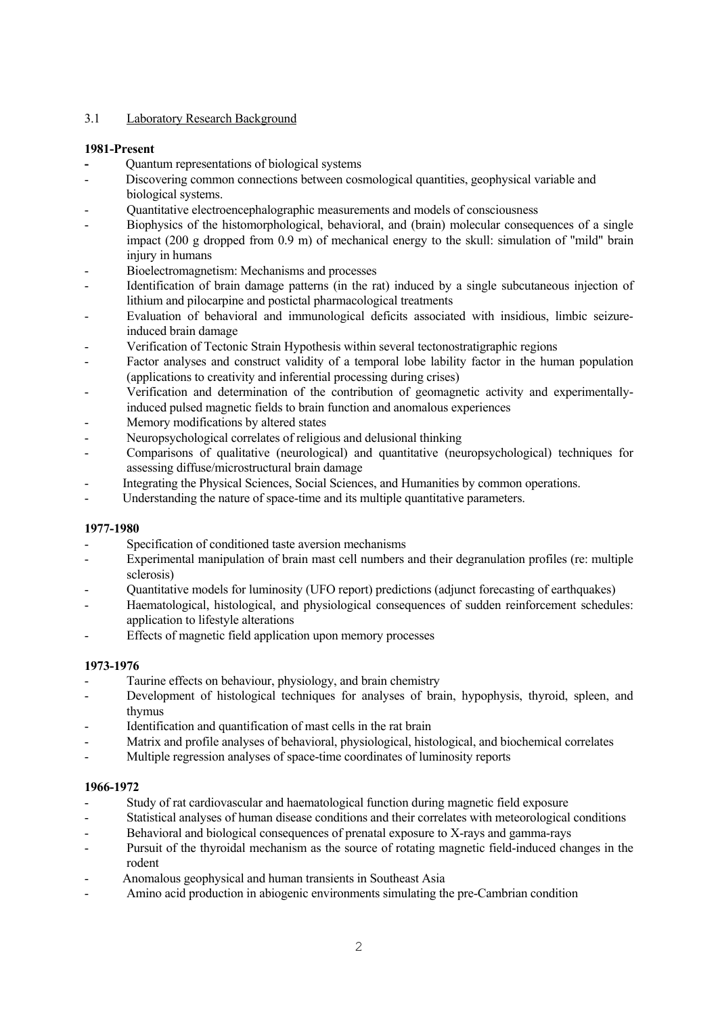# 3.1 Laboratory Research Background

#### **1981-Present**

- Quantum representations of biological systems
- Discovering common connections between cosmological quantities, geophysical variable and biological systems.
- Quantitative electroencephalographic measurements and models of consciousness
- Biophysics of the histomorphological, behavioral, and (brain) molecular consequences of a single impact (200 g dropped from 0.9 m) of mechanical energy to the skull: simulation of "mild" brain injury in humans
- Bioelectromagnetism: Mechanisms and processes
- Identification of brain damage patterns (in the rat) induced by a single subcutaneous injection of lithium and pilocarpine and postictal pharmacological treatments
- Evaluation of behavioral and immunological deficits associated with insidious, limbic seizureinduced brain damage
- Verification of Tectonic Strain Hypothesis within several tectonostratigraphic regions
- Factor analyses and construct validity of a temporal lobe lability factor in the human population (applications to creativity and inferential processing during crises)
- Verification and determination of the contribution of geomagnetic activity and experimentallyinduced pulsed magnetic fields to brain function and anomalous experiences
- Memory modifications by altered states
- Neuropsychological correlates of religious and delusional thinking
- Comparisons of qualitative (neurological) and quantitative (neuropsychological) techniques for assessing diffuse/microstructural brain damage
- Integrating the Physical Sciences, Social Sciences, and Humanities by common operations.
- Understanding the nature of space-time and its multiple quantitative parameters.

#### **1977-1980**

- Specification of conditioned taste aversion mechanisms
- Experimental manipulation of brain mast cell numbers and their degranulation profiles (re: multiple sclerosis)
- Quantitative models for luminosity (UFO report) predictions (adjunct forecasting of earthquakes)
- Haematological, histological, and physiological consequences of sudden reinforcement schedules: application to lifestyle alterations
- Effects of magnetic field application upon memory processes

#### **1973-1976**

- Taurine effects on behaviour, physiology, and brain chemistry
- Development of histological techniques for analyses of brain, hypophysis, thyroid, spleen, and thymus
- Identification and quantification of mast cells in the rat brain
- Matrix and profile analyses of behavioral, physiological, histological, and biochemical correlates
- Multiple regression analyses of space-time coordinates of luminosity reports

#### **1966-1972**

- Study of rat cardiovascular and haematological function during magnetic field exposure
- Statistical analyses of human disease conditions and their correlates with meteorological conditions
- Behavioral and biological consequences of prenatal exposure to X-rays and gamma-rays
- Pursuit of the thyroidal mechanism as the source of rotating magnetic field-induced changes in the rodent
- Anomalous geophysical and human transients in Southeast Asia
- Amino acid production in abiogenic environments simulating the pre-Cambrian condition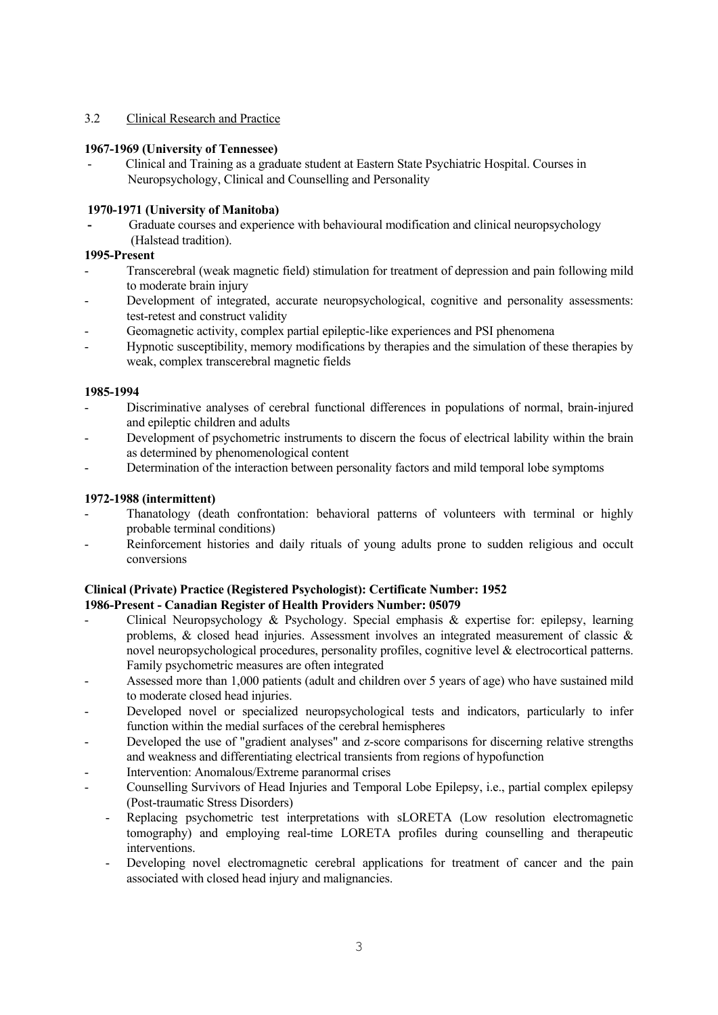# 3.2 Clinical Research and Practice

#### **1967-1969 (University of Tennessee)**

 - Clinical and Training as a graduate student at Eastern State Psychiatric Hospital. Courses in Neuropsychology, Clinical and Counselling and Personality

# **1970-1971 (University of Manitoba)**

Graduate courses and experience with behavioural modification and clinical neuropsychology (Halstead tradition).

#### **1995-Present**

- Transcerebral (weak magnetic field) stimulation for treatment of depression and pain following mild to moderate brain injury
- Development of integrated, accurate neuropsychological, cognitive and personality assessments: test-retest and construct validity
- Geomagnetic activity, complex partial epileptic-like experiences and PSI phenomena
- Hypnotic susceptibility, memory modifications by therapies and the simulation of these therapies by weak, complex transcerebral magnetic fields

#### **1985-1994**

- Discriminative analyses of cerebral functional differences in populations of normal, brain-injured and epileptic children and adults
- Development of psychometric instruments to discern the focus of electrical lability within the brain as determined by phenomenological content
- Determination of the interaction between personality factors and mild temporal lobe symptoms

#### **1972-1988 (intermittent)**

- Thanatology (death confrontation: behavioral patterns of volunteers with terminal or highly probable terminal conditions)
- Reinforcement histories and daily rituals of young adults prone to sudden religious and occult conversions

#### **Clinical (Private) Practice (Registered Psychologist): Certificate Number: 1952 1986-Present - Canadian Register of Health Providers Number: 05079**

- Clinical Neuropsychology  $\&$  Psychology. Special emphasis  $\&$  expertise for: epilepsy, learning problems, & closed head injuries. Assessment involves an integrated measurement of classic & novel neuropsychological procedures, personality profiles, cognitive level & electrocortical patterns. Family psychometric measures are often integrated
- Assessed more than 1,000 patients (adult and children over 5 years of age) who have sustained mild to moderate closed head injuries.
- Developed novel or specialized neuropsychological tests and indicators, particularly to infer function within the medial surfaces of the cerebral hemispheres
- Developed the use of "gradient analyses" and z-score comparisons for discerning relative strengths and weakness and differentiating electrical transients from regions of hypofunction
- Intervention: Anomalous/Extreme paranormal crises
- Counselling Survivors of Head Injuries and Temporal Lobe Epilepsy, i.e., partial complex epilepsy (Post-traumatic Stress Disorders)
	- Replacing psychometric test interpretations with sLORETA (Low resolution electromagnetic tomography) and employing real-time LORETA profiles during counselling and therapeutic interventions.
	- Developing novel electromagnetic cerebral applications for treatment of cancer and the pain associated with closed head injury and malignancies.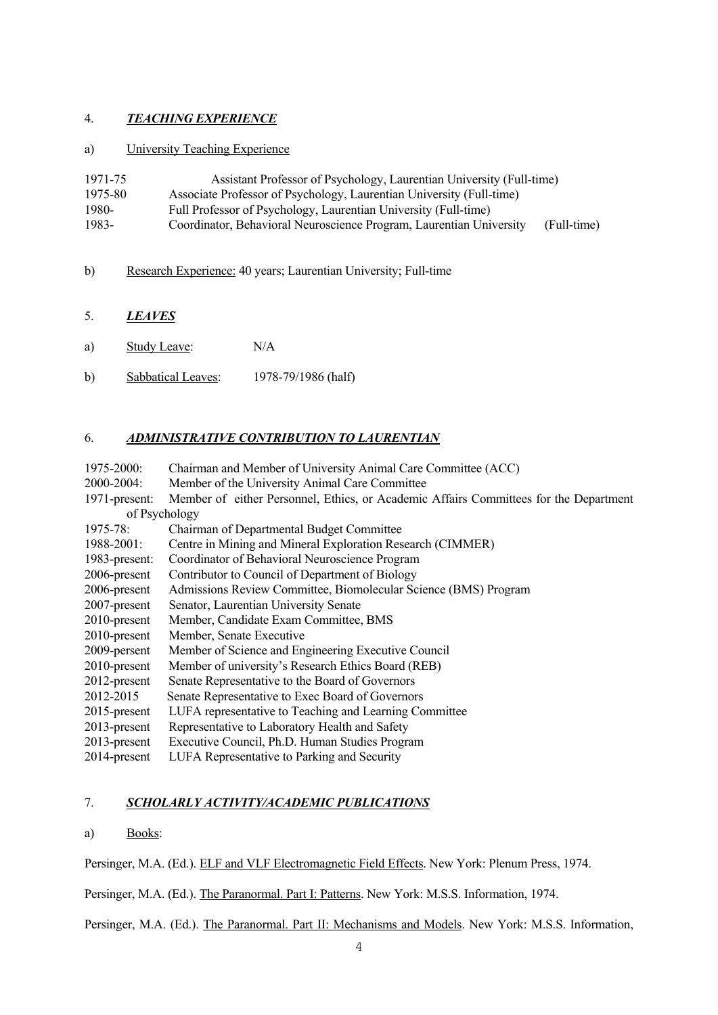# 4. *TEACHING EXPERIENCE*

#### a) University Teaching Experience

| 1971-75 | Assistant Professor of Psychology, Laurentian University (Full-time) |             |
|---------|----------------------------------------------------------------------|-------------|
| 1975-80 | Associate Professor of Psychology, Laurentian University (Full-time) |             |
| 1980-   | Full Professor of Psychology, Laurentian University (Full-time)      |             |
| 1983-   | Coordinator, Behavioral Neuroscience Program, Laurentian University  | (Full-time) |

# b) Research Experience: 40 years; Laurentian University; Full-time

# 5. *LEAVES*

- a) Study Leave: N/A
- b) Sabbatical Leaves: 1978-79/1986 (half)

# 6. *ADMINISTRATIVE CONTRIBUTION TO LAURENTIAN*

| 1975-2000:      | Chairman and Member of University Animal Care Committee (ACC)                         |  |
|-----------------|---------------------------------------------------------------------------------------|--|
| 2000-2004:      | Member of the University Animal Care Committee                                        |  |
| 1971-present:   | Member of either Personnel, Ethics, or Academic Affairs Committees for the Department |  |
| of Psychology   |                                                                                       |  |
| $1975 - 78$ :   | Chairman of Departmental Budget Committee                                             |  |
| $1988 - 2001$ : | Centre in Mining and Mineral Exploration Research (CIMMER)                            |  |
| 1983-present:   | Coordinator of Behavioral Neuroscience Program                                        |  |
| 2006-present    | Contributor to Council of Department of Biology                                       |  |
| 2006-present    | Admissions Review Committee, Biomolecular Science (BMS) Program                       |  |
| 2007-present    | Senator, Laurentian University Senate                                                 |  |
| $2010$ -present | Member, Candidate Exam Committee, BMS                                                 |  |
| 2010-present    | Member, Senate Executive                                                              |  |
| 2009-persent    | Member of Science and Engineering Executive Council                                   |  |
| 2010-present    | Member of university's Research Ethics Board (REB)                                    |  |
| 2012-present    | Senate Representative to the Board of Governors                                       |  |
| 2012-2015       | Senate Representative to Exec Board of Governors                                      |  |
| 2015-present    | LUFA representative to Teaching and Learning Committee                                |  |
| $2013$ -present | Representative to Laboratory Health and Safety                                        |  |
| 2013-present    | Executive Council, Ph.D. Human Studies Program                                        |  |
| 2014-present    | LUFA Representative to Parking and Security                                           |  |

# 7. *SCHOLARLY ACTIVITY/ACADEMIC PUBLICATIONS*

a) Books:

Persinger, M.A. (Ed.). ELF and VLF Electromagnetic Field Effects. New York: Plenum Press, 1974.

Persinger, M.A. (Ed.). The Paranormal. Part I: Patterns. New York: M.S.S. Information, 1974.

Persinger, M.A. (Ed.). The Paranormal. Part II: Mechanisms and Models. New York: M.S.S. Information,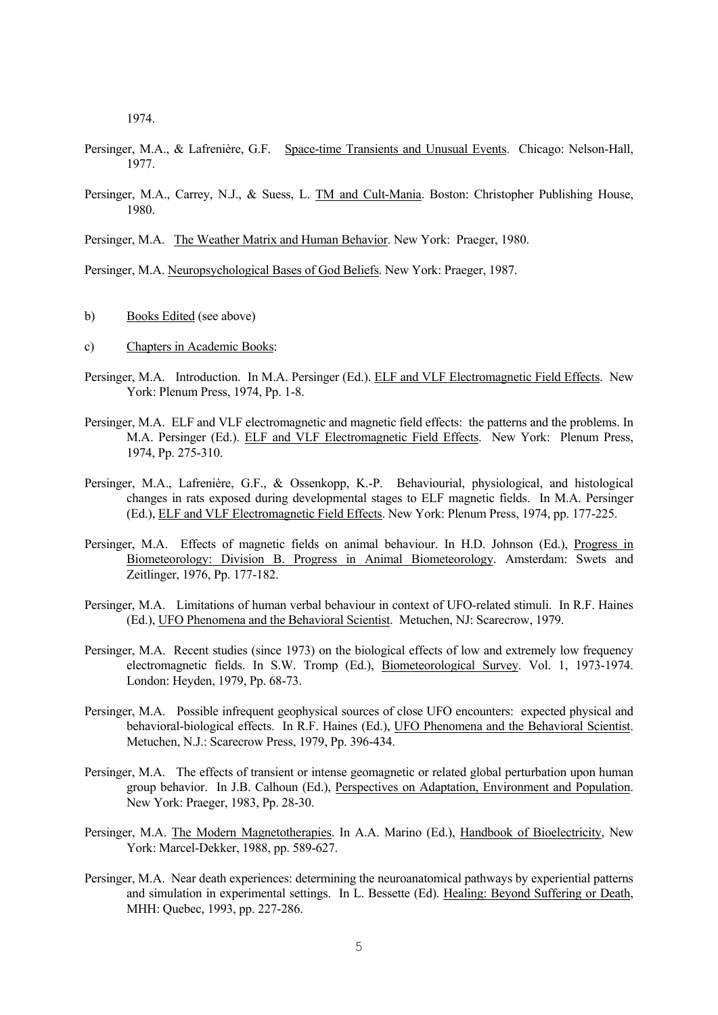1974.

- Persinger, M.A., & Lafrenière, G.F. Space-time Transients and Unusual Events. Chicago: Nelson-Hall, 1977.
- Persinger, M.A., Carrey, N.J., & Suess, L. TM and Cult-Mania. Boston: Christopher Publishing House, 1980.

Persinger, M.A. The Weather Matrix and Human Behavior. New York: Praeger, 1980.

Persinger, M.A. Neuropsychological Bases of God Beliefs. New York: Praeger, 1987.

- b) Books Edited (see above)
- c) Chapters in Academic Books:
- Persinger, M.A. Introduction. In M.A. Persinger (Ed.). ELF and VLF Electromagnetic Field Effects. New York: Plenum Press, 1974, Pp. 1-8.
- Persinger, M.A. ELF and VLF electromagnetic and magnetic field effects: the patterns and the problems. In M.A. Persinger (Ed.). ELF and VLF Electromagnetic Field Effects. New York: Plenum Press, 1974, Pp. 275-310.
- Persinger, M.A., Lafrenière, G.F., & Ossenkopp, K.-P. Behaviourial, physiological, and histological changes in rats exposed during developmental stages to ELF magnetic fields. In M.A. Persinger (Ed.), ELF and VLF Electromagnetic Field Effects. New York: Plenum Press, 1974, pp. 177-225.
- Persinger, M.A. Effects of magnetic fields on animal behaviour. In H.D. Johnson (Ed.), Progress in Biometeorology: Division B. Progress in Animal Biometeorology. Amsterdam: Swets and Zeitlinger, 1976, Pp. 177-182.
- Persinger, M.A. Limitations of human verbal behaviour in context of UFO-related stimuli. In R.F. Haines (Ed.), UFO Phenomena and the Behavioral Scientist. Metuchen, NJ: Scarecrow, 1979.
- Persinger, M.A. Recent studies (since 1973) on the biological effects of low and extremely low frequency electromagnetic fields. In S.W. Tromp (Ed.), Biometeorological Survey. Vol. 1, 1973-1974. London: Heyden, 1979, Pp. 68-73.
- Persinger, M.A. Possible infrequent geophysical sources of close UFO encounters: expected physical and behavioral-biological effects. In R.F. Haines (Ed.), UFO Phenomena and the Behavioral Scientist. Metuchen, N.J.: Scarecrow Press, 1979, Pp. 396-434.
- Persinger, M.A. The effects of transient or intense geomagnetic or related global perturbation upon human group behavior. In J.B. Calhoun (Ed.), Perspectives on Adaptation, Environment and Population. New York: Praeger, 1983, Pp. 28-30.
- Persinger, M.A. The Modern Magnetotherapies. In A.A. Marino (Ed.), Handbook of Bioelectricity, New York: Marcel-Dekker, 1988, pp. 589-627.
- Persinger, M.A. Near death experiences: determining the neuroanatomical pathways by experiential patterns and simulation in experimental settings. In L. Bessette (Ed). Healing: Beyond Suffering or Death, MHH: Quebec, 1993, pp. 227-286.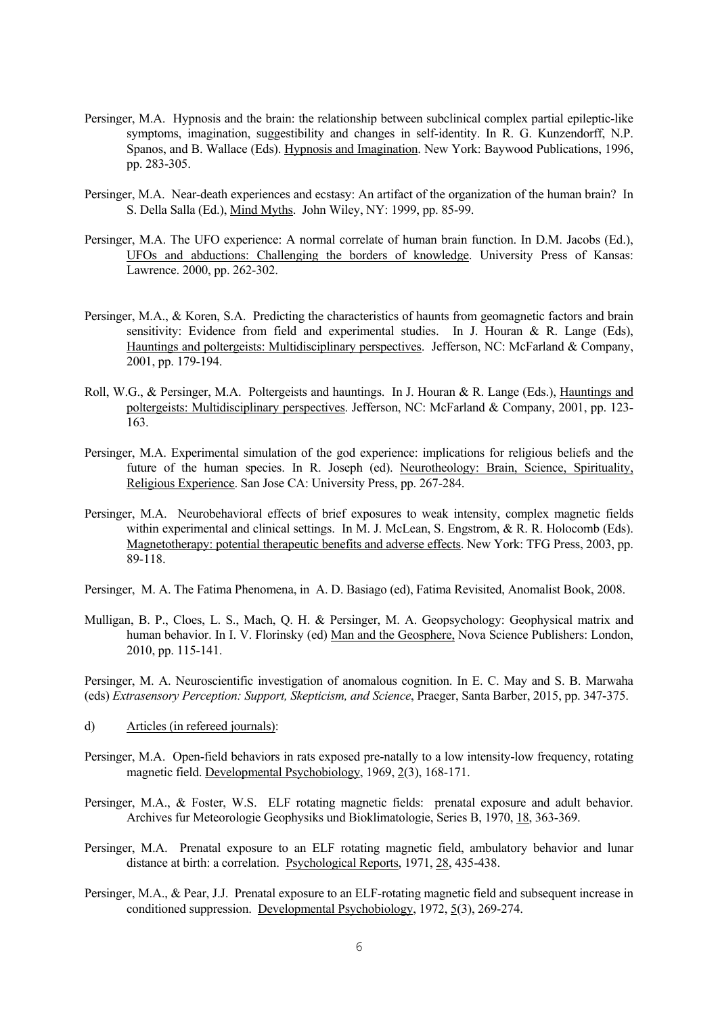- Persinger, M.A. Hypnosis and the brain: the relationship between subclinical complex partial epileptic-like symptoms, imagination, suggestibility and changes in self-identity. In R. G. Kunzendorff, N.P. Spanos, and B. Wallace (Eds). Hypnosis and Imagination. New York: Baywood Publications, 1996, pp. 283-305.
- Persinger, M.A. Near-death experiences and ecstasy: An artifact of the organization of the human brain? In S. Della Salla (Ed.), Mind Myths. John Wiley, NY: 1999, pp. 85-99.
- Persinger, M.A. The UFO experience: A normal correlate of human brain function. In D.M. Jacobs (Ed.), UFOs and abductions: Challenging the borders of knowledge. University Press of Kansas: Lawrence. 2000, pp. 262-302.
- Persinger, M.A., & Koren, S.A. Predicting the characteristics of haunts from geomagnetic factors and brain sensitivity: Evidence from field and experimental studies. In J. Houran  $\& R$ . Lange (Eds), Hauntings and poltergeists: Multidisciplinary perspectives. Jefferson, NC: McFarland & Company, 2001, pp. 179-194.
- Roll, W.G., & Persinger, M.A. Poltergeists and hauntings. In J. Houran & R. Lange (Eds.), Hauntings and poltergeists: Multidisciplinary perspectives. Jefferson, NC: McFarland & Company, 2001, pp. 123- 163.
- Persinger, M.A. Experimental simulation of the god experience: implications for religious beliefs and the future of the human species. In R. Joseph (ed). Neurotheology: Brain, Science, Spirituality, Religious Experience. San Jose CA: University Press, pp. 267-284.
- Persinger, M.A. Neurobehavioral effects of brief exposures to weak intensity, complex magnetic fields within experimental and clinical settings. In M. J. McLean, S. Engstrom, & R. R. Holocomb (Eds). Magnetotherapy: potential therapeutic benefits and adverse effects. New York: TFG Press, 2003, pp. 89-118.
- Persinger, M. A. The Fatima Phenomena, in A. D. Basiago (ed), Fatima Revisited, Anomalist Book, 2008.
- Mulligan, B. P., Cloes, L. S., Mach, Q. H. & Persinger, M. A. Geopsychology: Geophysical matrix and human behavior. In I. V. Florinsky (ed) Man and the Geosphere, Nova Science Publishers: London, 2010, pp. 115-141.

Persinger, M. A. Neuroscientific investigation of anomalous cognition. In E. C. May and S. B. Marwaha (eds) *Extrasensory Perception: Support, Skepticism, and Science*, Praeger, Santa Barber, 2015, pp. 347-375.

- d) Articles (in refereed journals):
- Persinger, M.A. Open-field behaviors in rats exposed pre-natally to a low intensity-low frequency, rotating magnetic field. Developmental Psychobiology, 1969, 2(3), 168-171.
- Persinger, M.A., & Foster, W.S. ELF rotating magnetic fields: prenatal exposure and adult behavior. Archives fur Meteorologie Geophysiks und Bioklimatologie, Series B, 1970, 18, 363-369.
- Persinger, M.A. Prenatal exposure to an ELF rotating magnetic field, ambulatory behavior and lunar distance at birth: a correlation. Psychological Reports, 1971, 28, 435-438.
- Persinger, M.A., & Pear, J.J. Prenatal exposure to an ELF-rotating magnetic field and subsequent increase in conditioned suppression. Developmental Psychobiology, 1972, 5(3), 269-274.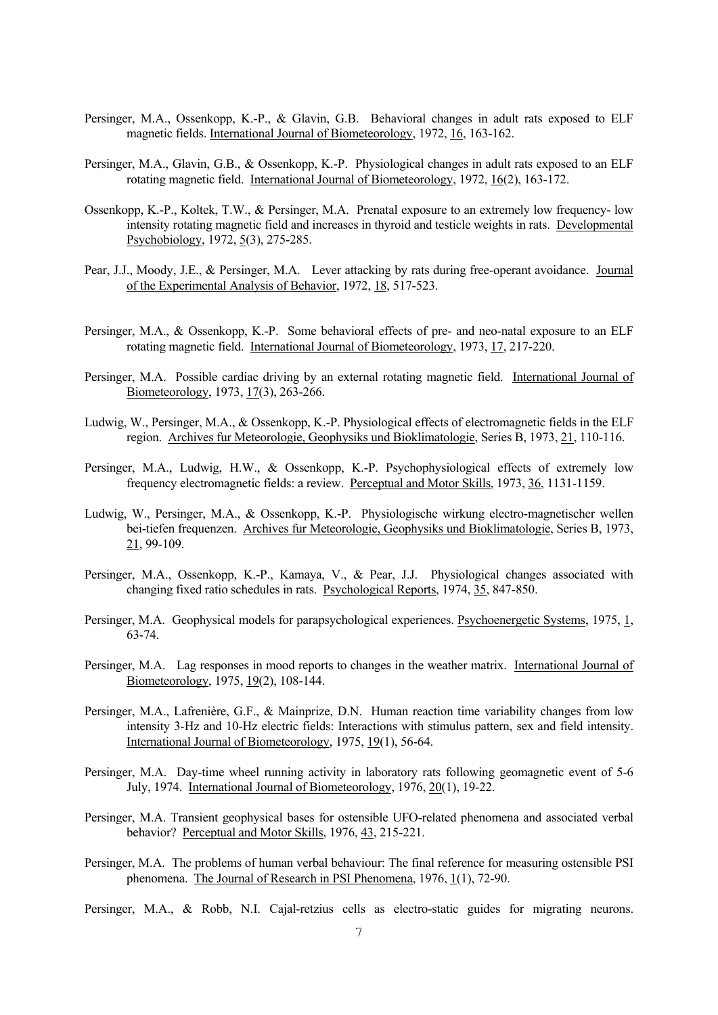- Persinger, M.A., Ossenkopp, K.-P., & Glavin, G.B. Behavioral changes in adult rats exposed to ELF magnetic fields. International Journal of Biometeorology, 1972, 16, 163-162.
- Persinger, M.A., Glavin, G.B., & Ossenkopp, K.-P. Physiological changes in adult rats exposed to an ELF rotating magnetic field. International Journal of Biometeorology, 1972, 16(2), 163-172.
- Ossenkopp, K.-P., Koltek, T.W., & Persinger, M.A. Prenatal exposure to an extremely low frequency- low intensity rotating magnetic field and increases in thyroid and testicle weights in rats. Developmental Psychobiology, 1972, 5(3), 275-285.
- Pear, J.J., Moody, J.E., & Persinger, M.A. Lever attacking by rats during free-operant avoidance. Journal of the Experimental Analysis of Behavior, 1972, 18, 517-523.
- Persinger, M.A., & Ossenkopp, K.-P. Some behavioral effects of pre- and neo-natal exposure to an ELF rotating magnetic field. International Journal of Biometeorology, 1973, 17, 217-220.
- Persinger, M.A. Possible cardiac driving by an external rotating magnetic field. International Journal of Biometeorology, 1973, 17(3), 263-266.
- Ludwig, W., Persinger, M.A., & Ossenkopp, K.-P. Physiological effects of electromagnetic fields in the ELF region. Archives fur Meteorologie, Geophysiks und Bioklimatologie, Series B, 1973, 21, 110-116.
- Persinger, M.A., Ludwig, H.W., & Ossenkopp, K.-P. Psychophysiological effects of extremely low frequency electromagnetic fields: a review. Perceptual and Motor Skills, 1973, 36, 1131-1159.
- Ludwig, W., Persinger, M.A., & Ossenkopp, K.-P. Physiologische wirkung electro-magnetischer wellen bei-tiefen frequenzen. Archives fur Meteorologie, Geophysiks und Bioklimatologie, Series B, 1973, 21, 99-109.
- Persinger, M.A., Ossenkopp, K.-P., Kamaya, V., & Pear, J.J. Physiological changes associated with changing fixed ratio schedules in rats. Psychological Reports, 1974, 35, 847-850.
- Persinger, M.A. Geophysical models for parapsychological experiences. Psychoenergetic Systems, 1975, 1, 63-74.
- Persinger, M.A. Lag responses in mood reports to changes in the weather matrix. International Journal of Biometeorology, 1975, 19(2), 108-144.
- Persinger, M.A., Lafrenière, G.F., & Mainprize, D.N. Human reaction time variability changes from low intensity 3-Hz and 10-Hz electric fields: Interactions with stimulus pattern, sex and field intensity. International Journal of Biometeorology, 1975, 19(1), 56-64.
- Persinger, M.A. Day-time wheel running activity in laboratory rats following geomagnetic event of 5-6 July, 1974. International Journal of Biometeorology, 1976, 20(1), 19-22.
- Persinger, M.A. Transient geophysical bases for ostensible UFO-related phenomena and associated verbal behavior? Perceptual and Motor Skills, 1976, 43, 215-221.
- Persinger, M.A. The problems of human verbal behaviour: The final reference for measuring ostensible PSI phenomena. The Journal of Research in PSI Phenomena, 1976, 1(1), 72-90.
- Persinger, M.A., & Robb, N.I. Cajal-retzius cells as electro-static guides for migrating neurons.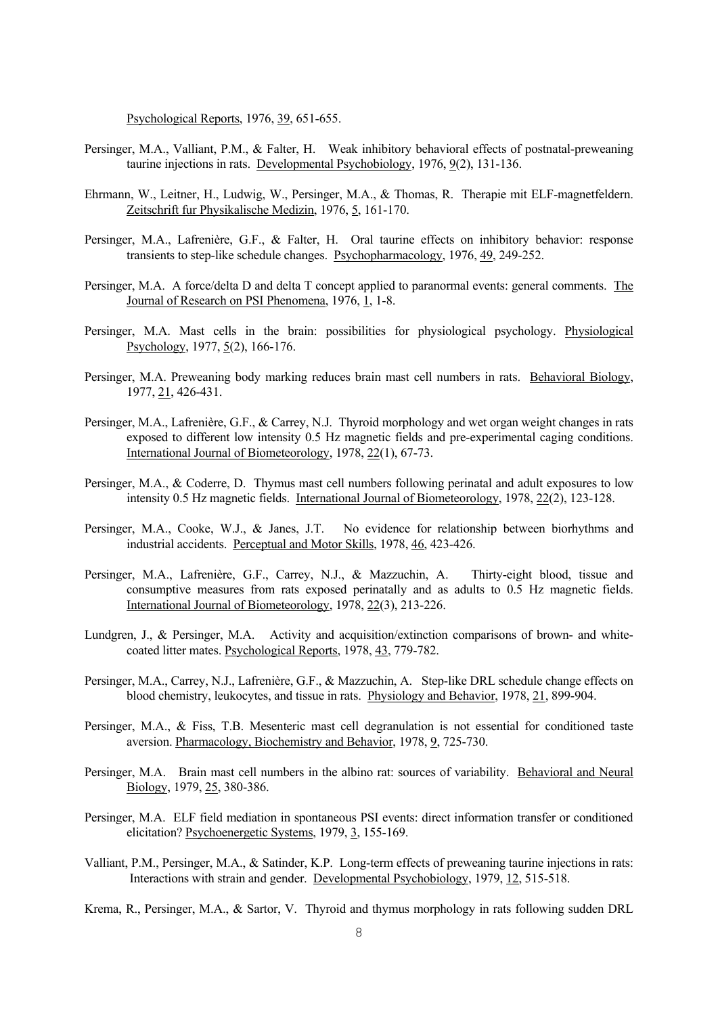Psychological Reports, 1976, 39, 651-655.

- Persinger, M.A., Valliant, P.M., & Falter, H. Weak inhibitory behavioral effects of postnatal-preweaning taurine injections in rats. Developmental Psychobiology, 1976, 9(2), 131-136.
- Ehrmann, W., Leitner, H., Ludwig, W., Persinger, M.A., & Thomas, R. Therapie mit ELF-magnetfeldern. Zeitschrift fur Physikalische Medizin, 1976, 5, 161-170.
- Persinger, M.A., Lafrenière, G.F., & Falter, H. Oral taurine effects on inhibitory behavior: response transients to step-like schedule changes. Psychopharmacology, 1976, 49, 249-252.
- Persinger, M.A. A force/delta D and delta T concept applied to paranormal events: general comments. The Journal of Research on PSI Phenomena, 1976, 1, 1-8.
- Persinger, M.A. Mast cells in the brain: possibilities for physiological psychology. Physiological Psychology, 1977, 5(2), 166-176.
- Persinger, M.A. Preweaning body marking reduces brain mast cell numbers in rats. Behavioral Biology, 1977, 21, 426-431.
- Persinger, M.A., Lafrenière, G.F., & Carrey, N.J. Thyroid morphology and wet organ weight changes in rats exposed to different low intensity 0.5 Hz magnetic fields and pre-experimental caging conditions. International Journal of Biometeorology, 1978, 22(1), 67-73.
- Persinger, M.A., & Coderre, D. Thymus mast cell numbers following perinatal and adult exposures to low intensity 0.5 Hz magnetic fields. International Journal of Biometeorology, 1978, 22(2), 123-128.
- Persinger, M.A., Cooke, W.J., & Janes, J.T. No evidence for relationship between biorhythms and industrial accidents. Perceptual and Motor Skills, 1978, 46, 423-426.
- Persinger, M.A., Lafrenière, G.F., Carrey, N.J., & Mazzuchin, A. Thirty-eight blood, tissue and consumptive measures from rats exposed perinatally and as adults to 0.5 Hz magnetic fields. International Journal of Biometeorology, 1978, 22(3), 213-226.
- Lundgren, J., & Persinger, M.A. Activity and acquisition/extinction comparisons of brown- and whitecoated litter mates. Psychological Reports, 1978, 43, 779-782.
- Persinger, M.A., Carrey, N.J., Lafrenière, G.F., & Mazzuchin, A. Step-like DRL schedule change effects on blood chemistry, leukocytes, and tissue in rats. Physiology and Behavior, 1978, 21, 899-904.
- Persinger, M.A., & Fiss, T.B. Mesenteric mast cell degranulation is not essential for conditioned taste aversion. Pharmacology, Biochemistry and Behavior, 1978, 9, 725-730.
- Persinger, M.A. Brain mast cell numbers in the albino rat: sources of variability. Behavioral and Neural Biology, 1979, 25, 380-386.
- Persinger, M.A. ELF field mediation in spontaneous PSI events: direct information transfer or conditioned elicitation? Psychoenergetic Systems, 1979, 3, 155-169.
- Valliant, P.M., Persinger, M.A., & Satinder, K.P. Long-term effects of preweaning taurine injections in rats: Interactions with strain and gender. Developmental Psychobiology, 1979, 12, 515-518.
- Krema, R., Persinger, M.A., & Sartor, V. Thyroid and thymus morphology in rats following sudden DRL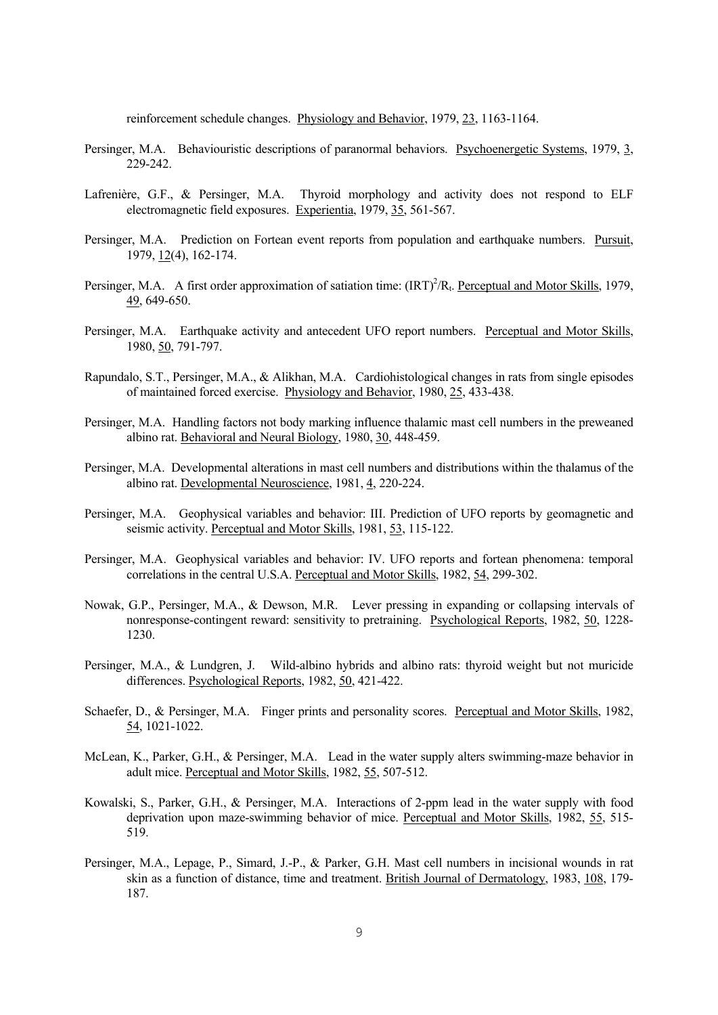reinforcement schedule changes. Physiology and Behavior, 1979, 23, 1163-1164.

- Persinger, M.A. Behaviouristic descriptions of paranormal behaviors. Psychoenergetic Systems, 1979, 3, 229-242.
- Lafrenière, G.F., & Persinger, M.A. Thyroid morphology and activity does not respond to ELF electromagnetic field exposures. Experientia, 1979, 35, 561-567.
- Persinger, M.A. Prediction on Fortean event reports from population and earthquake numbers. Pursuit, 1979, 12(4), 162-174.
- Persinger, M.A. A first order approximation of satiation time:  $(IRT)^2/R_t$ . Perceptual and Motor Skills, 1979, 49, 649-650.
- Persinger, M.A. Earthquake activity and antecedent UFO report numbers. Perceptual and Motor Skills, 1980, 50, 791-797.
- Rapundalo, S.T., Persinger, M.A., & Alikhan, M.A. Cardiohistological changes in rats from single episodes of maintained forced exercise. Physiology and Behavior, 1980, 25, 433-438.
- Persinger, M.A. Handling factors not body marking influence thalamic mast cell numbers in the preweaned albino rat. Behavioral and Neural Biology, 1980, 30, 448-459.
- Persinger, M.A. Developmental alterations in mast cell numbers and distributions within the thalamus of the albino rat. Developmental Neuroscience, 1981, 4, 220-224.
- Persinger, M.A. Geophysical variables and behavior: III. Prediction of UFO reports by geomagnetic and seismic activity. Perceptual and Motor Skills, 1981, 53, 115-122.
- Persinger, M.A. Geophysical variables and behavior: IV. UFO reports and fortean phenomena: temporal correlations in the central U.S.A. Perceptual and Motor Skills, 1982, 54, 299-302.
- Nowak, G.P., Persinger, M.A., & Dewson, M.R. Lever pressing in expanding or collapsing intervals of nonresponse-contingent reward: sensitivity to pretraining. Psychological Reports, 1982, 50, 1228- 1230.
- Persinger, M.A., & Lundgren, J. Wild-albino hybrids and albino rats: thyroid weight but not muricide differences. Psychological Reports, 1982, 50, 421-422.
- Schaefer, D., & Persinger, M.A. Finger prints and personality scores. Perceptual and Motor Skills, 1982, 54, 1021-1022.
- McLean, K., Parker, G.H., & Persinger, M.A. Lead in the water supply alters swimming-maze behavior in adult mice. Perceptual and Motor Skills, 1982, 55, 507-512.
- Kowalski, S., Parker, G.H., & Persinger, M.A. Interactions of 2-ppm lead in the water supply with food deprivation upon maze-swimming behavior of mice. Perceptual and Motor Skills, 1982, 55, 515- 519.
- Persinger, M.A., Lepage, P., Simard, J.-P., & Parker, G.H. Mast cell numbers in incisional wounds in rat skin as a function of distance, time and treatment. British Journal of Dermatology, 1983, 108, 179- 187.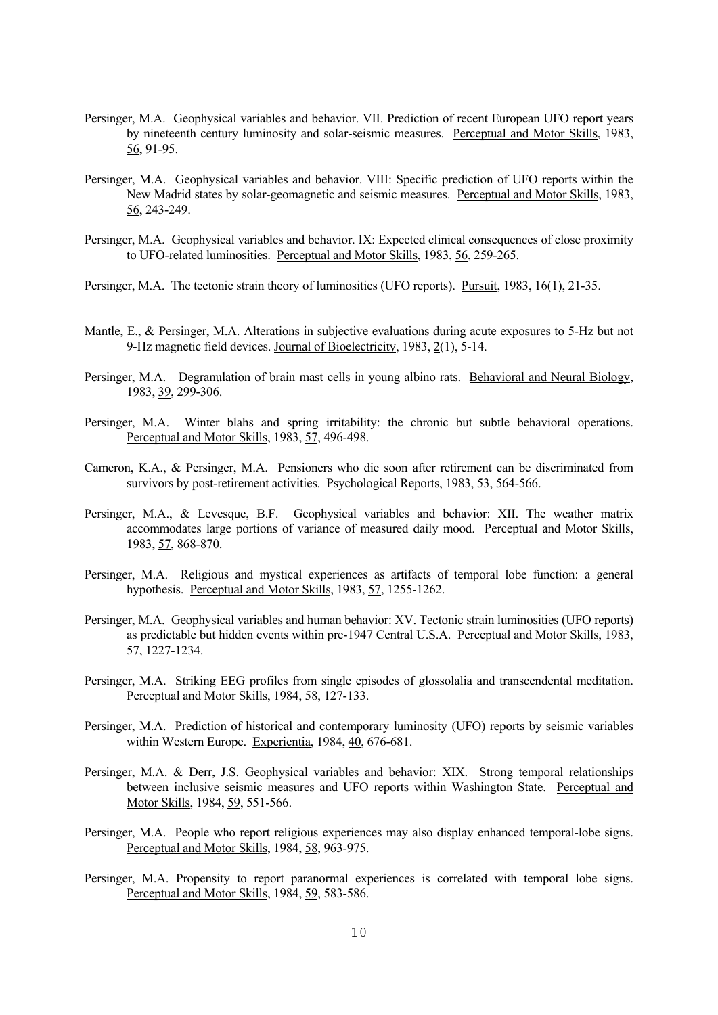- Persinger, M.A. Geophysical variables and behavior. VII. Prediction of recent European UFO report years by nineteenth century luminosity and solar-seismic measures. Perceptual and Motor Skills, 1983, 56, 91-95.
- Persinger, M.A. Geophysical variables and behavior. VIII: Specific prediction of UFO reports within the New Madrid states by solar-geomagnetic and seismic measures. Perceptual and Motor Skills, 1983, 56, 243-249.
- Persinger, M.A. Geophysical variables and behavior. IX: Expected clinical consequences of close proximity to UFO-related luminosities. Perceptual and Motor Skills, 1983, 56, 259-265.
- Persinger, M.A. The tectonic strain theory of luminosities (UFO reports). Pursuit, 1983, 16(1), 21-35.
- Mantle, E., & Persinger, M.A. Alterations in subjective evaluations during acute exposures to 5-Hz but not 9-Hz magnetic field devices. Journal of Bioelectricity, 1983, 2(1), 5-14.
- Persinger, M.A. Degranulation of brain mast cells in young albino rats. Behavioral and Neural Biology, 1983, 39, 299-306.
- Persinger, M.A. Winter blahs and spring irritability: the chronic but subtle behavioral operations. Perceptual and Motor Skills, 1983, 57, 496-498.
- Cameron, K.A., & Persinger, M.A. Pensioners who die soon after retirement can be discriminated from survivors by post-retirement activities. Psychological Reports, 1983, 53, 564-566.
- Persinger, M.A., & Levesque, B.F. Geophysical variables and behavior: XII. The weather matrix accommodates large portions of variance of measured daily mood. Perceptual and Motor Skills, 1983, 57, 868-870.
- Persinger, M.A. Religious and mystical experiences as artifacts of temporal lobe function: a general hypothesis. Perceptual and Motor Skills, 1983, 57, 1255-1262.
- Persinger, M.A. Geophysical variables and human behavior: XV. Tectonic strain luminosities (UFO reports) as predictable but hidden events within pre-1947 Central U.S.A. Perceptual and Motor Skills, 1983, 57, 1227-1234.
- Persinger, M.A. Striking EEG profiles from single episodes of glossolalia and transcendental meditation. Perceptual and Motor Skills, 1984, 58, 127-133.
- Persinger, M.A. Prediction of historical and contemporary luminosity (UFO) reports by seismic variables within Western Europe. Experientia, 1984, 40, 676-681.
- Persinger, M.A. & Derr, J.S. Geophysical variables and behavior: XIX. Strong temporal relationships between inclusive seismic measures and UFO reports within Washington State. Perceptual and Motor Skills, 1984, 59, 551-566.
- Persinger, M.A. People who report religious experiences may also display enhanced temporal-lobe signs. Perceptual and Motor Skills, 1984, 58, 963-975.
- Persinger, M.A. Propensity to report paranormal experiences is correlated with temporal lobe signs. Perceptual and Motor Skills, 1984, 59, 583-586.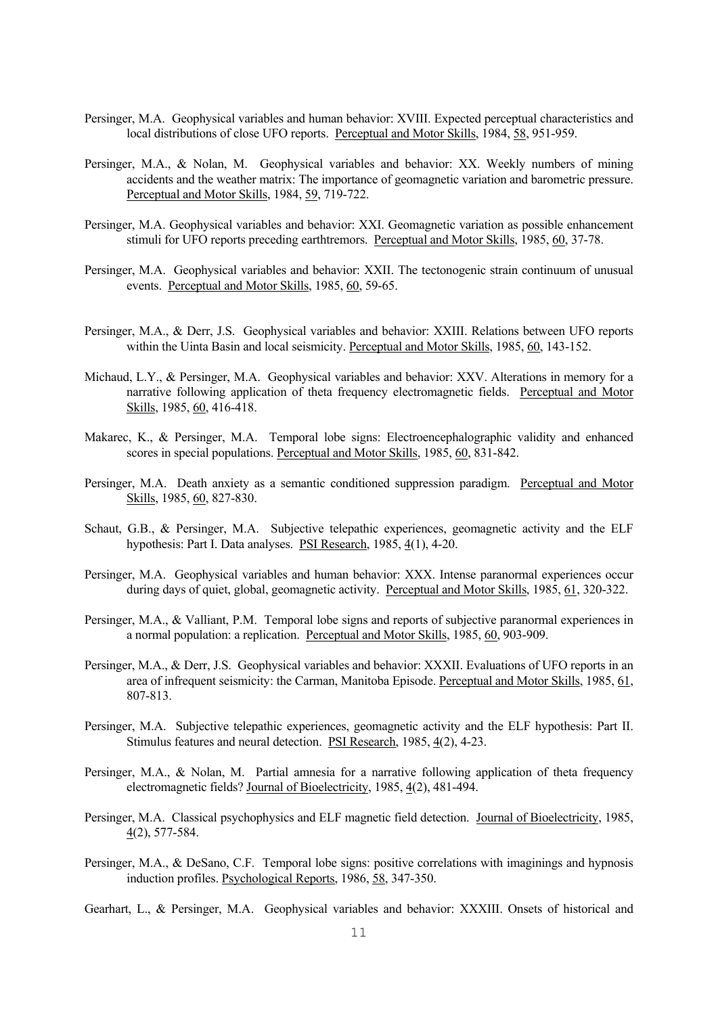- Persinger, M.A. Geophysical variables and human behavior: XVIII. Expected perceptual characteristics and local distributions of close UFO reports. Perceptual and Motor Skills, 1984, 58, 951-959.
- Persinger, M.A., & Nolan, M. Geophysical variables and behavior: XX. Weekly numbers of mining accidents and the weather matrix: The importance of geomagnetic variation and barometric pressure. Perceptual and Motor Skills, 1984, 59, 719-722.
- Persinger, M.A. Geophysical variables and behavior: XXI. Geomagnetic variation as possible enhancement stimuli for UFO reports preceding earthtremors. Perceptual and Motor Skills, 1985, 60, 37-78.
- Persinger, M.A. Geophysical variables and behavior: XXII. The tectonogenic strain continuum of unusual events. Perceptual and Motor Skills, 1985, 60, 59-65.
- Persinger, M.A., & Derr, J.S. Geophysical variables and behavior: XXIII. Relations between UFO reports within the Uinta Basin and local seismicity. Perceptual and Motor Skills, 1985, 60, 143-152.
- Michaud, L.Y., & Persinger, M.A. Geophysical variables and behavior: XXV. Alterations in memory for a narrative following application of theta frequency electromagnetic fields. Perceptual and Motor Skills, 1985, 60, 416-418.
- Makarec, K., & Persinger, M.A. Temporal lobe signs: Electroencephalographic validity and enhanced scores in special populations. Perceptual and Motor Skills, 1985, 60, 831-842.
- Persinger, M.A. Death anxiety as a semantic conditioned suppression paradigm. Perceptual and Motor Skills, 1985, 60, 827-830.
- Schaut, G.B., & Persinger, M.A. Subjective telepathic experiences, geomagnetic activity and the ELF hypothesis: Part I. Data analyses. PSI Research, 1985, 4(1), 4-20.
- Persinger, M.A. Geophysical variables and human behavior: XXX. Intense paranormal experiences occur during days of quiet, global, geomagnetic activity. Perceptual and Motor Skills, 1985, 61, 320-322.
- Persinger, M.A., & Valliant, P.M. Temporal lobe signs and reports of subjective paranormal experiences in a normal population: a replication. Perceptual and Motor Skills, 1985, 60, 903-909.
- Persinger, M.A., & Derr, J.S. Geophysical variables and behavior: XXXII. Evaluations of UFO reports in an area of infrequent seismicity: the Carman, Manitoba Episode. Perceptual and Motor Skills, 1985, 61, 807-813.
- Persinger, M.A. Subjective telepathic experiences, geomagnetic activity and the ELF hypothesis: Part II. Stimulus features and neural detection. PSI Research, 1985, 4(2), 4-23.
- Persinger, M.A., & Nolan, M. Partial amnesia for a narrative following application of theta frequency electromagnetic fields? Journal of Bioelectricity, 1985, 4(2), 481-494.
- Persinger, M.A. Classical psychophysics and ELF magnetic field detection. Journal of Bioelectricity, 1985, 4(2), 577-584.
- Persinger, M.A., & DeSano, C.F. Temporal lobe signs: positive correlations with imaginings and hypnosis induction profiles. Psychological Reports, 1986, 58, 347-350.

Gearhart, L., & Persinger, M.A. Geophysical variables and behavior: XXXIII. Onsets of historical and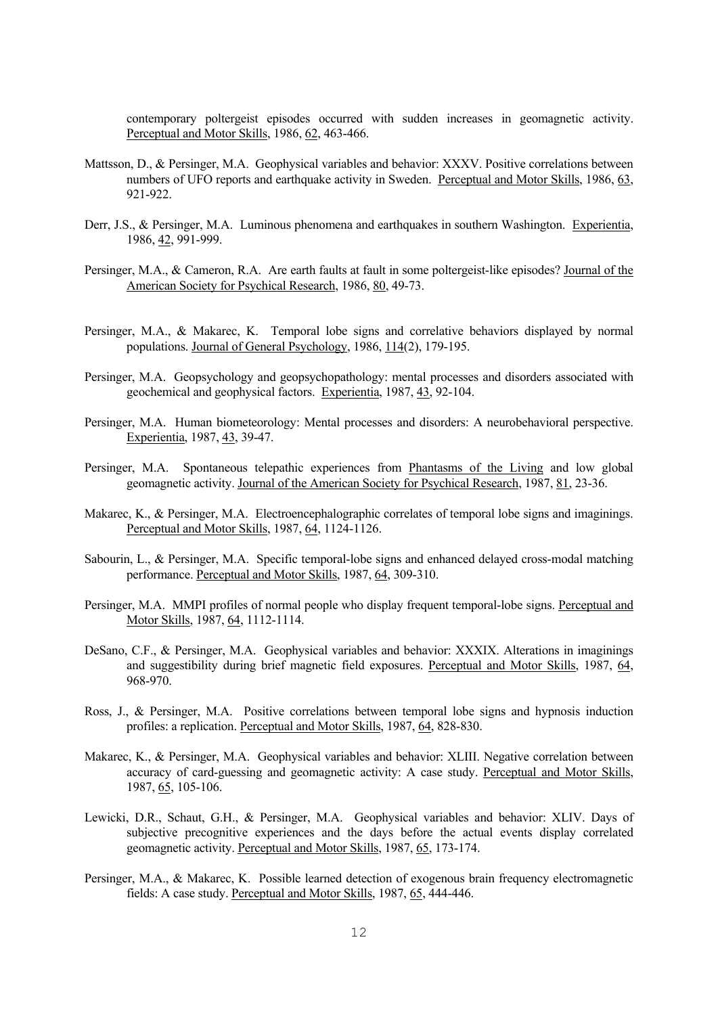contemporary poltergeist episodes occurred with sudden increases in geomagnetic activity. Perceptual and Motor Skills, 1986, 62, 463-466.

- Mattsson, D., & Persinger, M.A. Geophysical variables and behavior: XXXV. Positive correlations between numbers of UFO reports and earthquake activity in Sweden. Perceptual and Motor Skills, 1986, 63, 921-922.
- Derr, J.S., & Persinger, M.A. Luminous phenomena and earthquakes in southern Washington. Experientia, 1986, 42, 991-999.
- Persinger, M.A., & Cameron, R.A. Are earth faults at fault in some poltergeist-like episodes? Journal of the American Society for Psychical Research, 1986, 80, 49-73.
- Persinger, M.A., & Makarec, K. Temporal lobe signs and correlative behaviors displayed by normal populations. Journal of General Psychology, 1986, 114(2), 179-195.
- Persinger, M.A. Geopsychology and geopsychopathology: mental processes and disorders associated with geochemical and geophysical factors. Experientia, 1987, 43, 92-104.
- Persinger, M.A. Human biometeorology: Mental processes and disorders: A neurobehavioral perspective. Experientia, 1987, 43, 39-47.
- Persinger, M.A. Spontaneous telepathic experiences from Phantasms of the Living and low global geomagnetic activity. Journal of the American Society for Psychical Research, 1987, 81, 23-36.
- Makarec, K., & Persinger, M.A. Electroencephalographic correlates of temporal lobe signs and imaginings. Perceptual and Motor Skills, 1987, 64, 1124-1126.
- Sabourin, L., & Persinger, M.A. Specific temporal-lobe signs and enhanced delayed cross-modal matching performance. Perceptual and Motor Skills, 1987, 64, 309-310.
- Persinger, M.A. MMPI profiles of normal people who display frequent temporal-lobe signs. Perceptual and Motor Skills, 1987, 64, 1112-1114.
- DeSano, C.F., & Persinger, M.A. Geophysical variables and behavior: XXXIX. Alterations in imaginings and suggestibility during brief magnetic field exposures. Perceptual and Motor Skills, 1987, 64, 968-970.
- Ross, J., & Persinger, M.A. Positive correlations between temporal lobe signs and hypnosis induction profiles: a replication. Perceptual and Motor Skills, 1987, 64, 828-830.
- Makarec, K., & Persinger, M.A. Geophysical variables and behavior: XLIII. Negative correlation between accuracy of card-guessing and geomagnetic activity: A case study. Perceptual and Motor Skills, 1987, 65, 105-106.
- Lewicki, D.R., Schaut, G.H., & Persinger, M.A. Geophysical variables and behavior: XLIV. Days of subjective precognitive experiences and the days before the actual events display correlated geomagnetic activity. Perceptual and Motor Skills, 1987, 65, 173-174.
- Persinger, M.A., & Makarec, K. Possible learned detection of exogenous brain frequency electromagnetic fields: A case study. Perceptual and Motor Skills, 1987, 65, 444-446.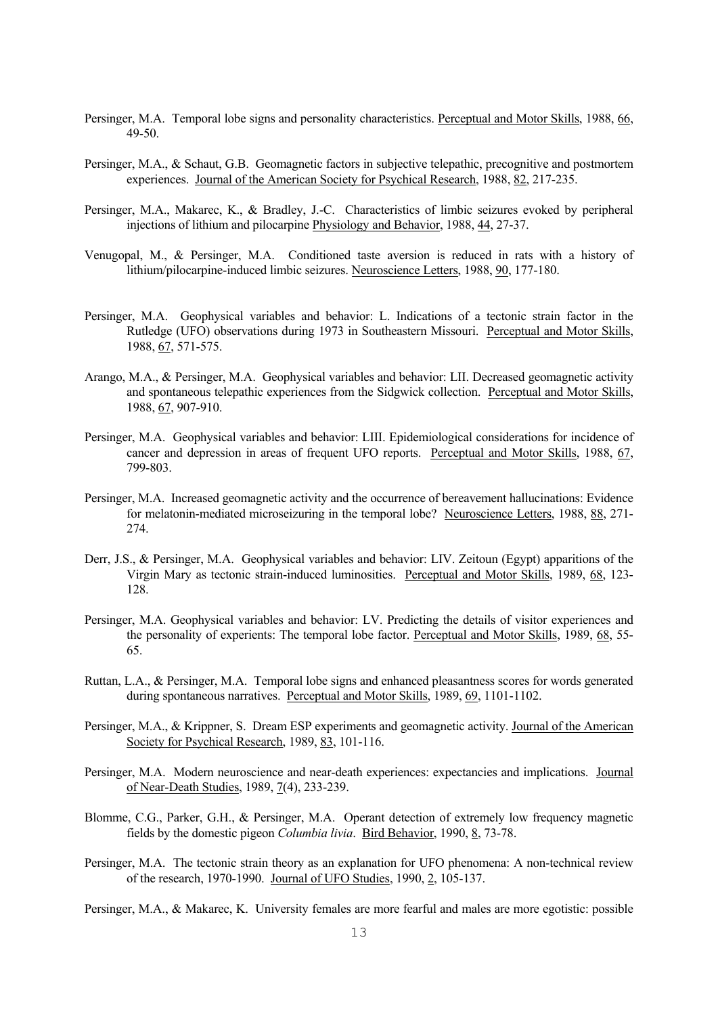- Persinger, M.A. Temporal lobe signs and personality characteristics. Perceptual and Motor Skills, 1988, 66, 49-50.
- Persinger, M.A., & Schaut, G.B. Geomagnetic factors in subjective telepathic, precognitive and postmortem experiences. Journal of the American Society for Psychical Research, 1988, 82, 217-235.
- Persinger, M.A., Makarec, K., & Bradley, J.-C. Characteristics of limbic seizures evoked by peripheral injections of lithium and pilocarpine Physiology and Behavior, 1988, 44, 27-37.
- Venugopal, M., & Persinger, M.A. Conditioned taste aversion is reduced in rats with a history of lithium/pilocarpine-induced limbic seizures. Neuroscience Letters, 1988, 90, 177-180.
- Persinger, M.A. Geophysical variables and behavior: L. Indications of a tectonic strain factor in the Rutledge (UFO) observations during 1973 in Southeastern Missouri. Perceptual and Motor Skills, 1988, 67, 571-575.
- Arango, M.A., & Persinger, M.A. Geophysical variables and behavior: LII. Decreased geomagnetic activity and spontaneous telepathic experiences from the Sidgwick collection. Perceptual and Motor Skills, 1988, 67, 907-910.
- Persinger, M.A. Geophysical variables and behavior: LIII. Epidemiological considerations for incidence of cancer and depression in areas of frequent UFO reports. Perceptual and Motor Skills, 1988, 67, 799-803.
- Persinger, M.A. Increased geomagnetic activity and the occurrence of bereavement hallucinations: Evidence for melatonin-mediated microseizuring in the temporal lobe? Neuroscience Letters, 1988, 88, 271- 274.
- Derr, J.S., & Persinger, M.A. Geophysical variables and behavior: LIV. Zeitoun (Egypt) apparitions of the Virgin Mary as tectonic strain-induced luminosities. Perceptual and Motor Skills, 1989, 68, 123- 128.
- Persinger, M.A. Geophysical variables and behavior: LV. Predicting the details of visitor experiences and the personality of experients: The temporal lobe factor. Perceptual and Motor Skills, 1989, 68, 55- 65.
- Ruttan, L.A., & Persinger, M.A. Temporal lobe signs and enhanced pleasantness scores for words generated during spontaneous narratives. Perceptual and Motor Skills, 1989, 69, 1101-1102.
- Persinger, M.A., & Krippner, S. Dream ESP experiments and geomagnetic activity. Journal of the American Society for Psychical Research, 1989, 83, 101-116.
- Persinger, M.A. Modern neuroscience and near-death experiences: expectancies and implications. Journal of Near-Death Studies, 1989, 7(4), 233-239.
- Blomme, C.G., Parker, G.H., & Persinger, M.A. Operant detection of extremely low frequency magnetic fields by the domestic pigeon *Columbia livia*. Bird Behavior, 1990, 8, 73-78.
- Persinger, M.A. The tectonic strain theory as an explanation for UFO phenomena: A non-technical review of the research, 1970-1990. Journal of UFO Studies, 1990, 2, 105-137.

Persinger, M.A., & Makarec, K. University females are more fearful and males are more egotistic: possible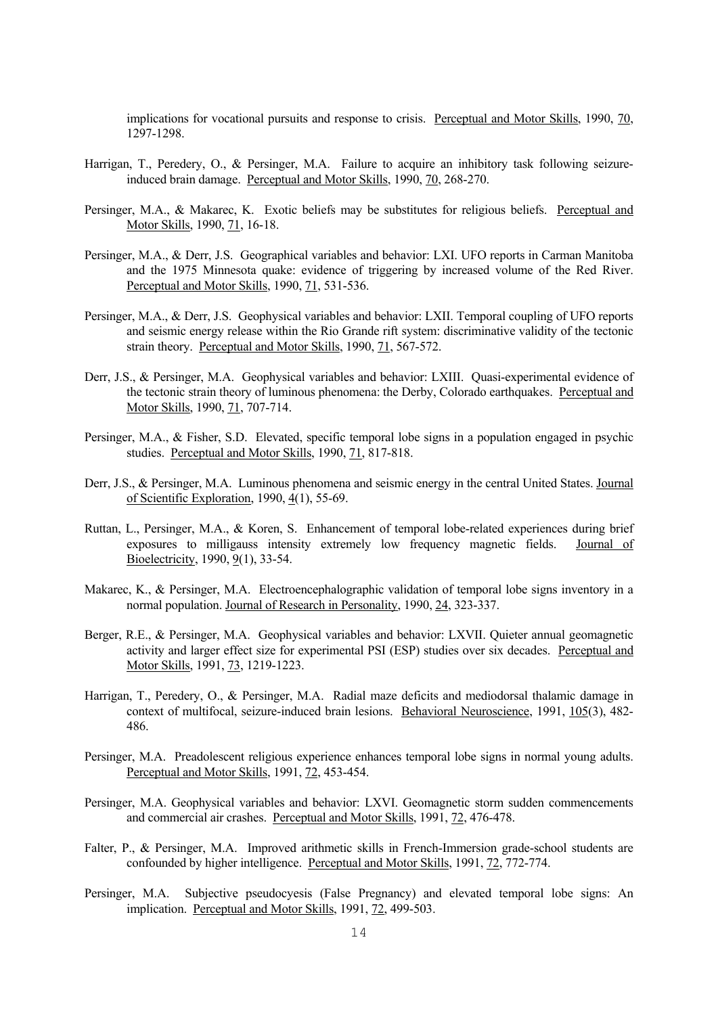implications for vocational pursuits and response to crisis. Perceptual and Motor Skills, 1990, 70, 1297-1298.

- Harrigan, T., Peredery, O., & Persinger, M.A. Failure to acquire an inhibitory task following seizureinduced brain damage. Perceptual and Motor Skills, 1990, 70, 268-270.
- Persinger, M.A., & Makarec, K. Exotic beliefs may be substitutes for religious beliefs. Perceptual and Motor Skills, 1990, 71, 16-18.
- Persinger, M.A., & Derr, J.S. Geographical variables and behavior: LXI. UFO reports in Carman Manitoba and the 1975 Minnesota quake: evidence of triggering by increased volume of the Red River. Perceptual and Motor Skills, 1990, 71, 531-536.
- Persinger, M.A., & Derr, J.S. Geophysical variables and behavior: LXII. Temporal coupling of UFO reports and seismic energy release within the Rio Grande rift system: discriminative validity of the tectonic strain theory. Perceptual and Motor Skills, 1990, 71, 567-572.
- Derr, J.S., & Persinger, M.A. Geophysical variables and behavior: LXIII. Quasi-experimental evidence of the tectonic strain theory of luminous phenomena: the Derby, Colorado earthquakes. Perceptual and Motor Skills, 1990, 71, 707-714.
- Persinger, M.A., & Fisher, S.D. Elevated, specific temporal lobe signs in a population engaged in psychic studies. Perceptual and Motor Skills, 1990, 71, 817-818.
- Derr, J.S., & Persinger, M.A. Luminous phenomena and seismic energy in the central United States. Journal of Scientific Exploration, 1990, 4(1), 55-69.
- Ruttan, L., Persinger, M.A., & Koren, S. Enhancement of temporal lobe-related experiences during brief exposures to milligauss intensity extremely low frequency magnetic fields. Journal of Bioelectricity, 1990, 9(1), 33-54.
- Makarec, K., & Persinger, M.A. Electroencephalographic validation of temporal lobe signs inventory in a normal population. Journal of Research in Personality, 1990, 24, 323-337.
- Berger, R.E., & Persinger, M.A. Geophysical variables and behavior: LXVII. Quieter annual geomagnetic activity and larger effect size for experimental PSI (ESP) studies over six decades. Perceptual and Motor Skills, 1991, 73, 1219-1223.
- Harrigan, T., Peredery, O., & Persinger, M.A. Radial maze deficits and mediodorsal thalamic damage in context of multifocal, seizure-induced brain lesions. Behavioral Neuroscience, 1991, 105(3), 482-486.
- Persinger, M.A. Preadolescent religious experience enhances temporal lobe signs in normal young adults. Perceptual and Motor Skills, 1991, 72, 453-454.
- Persinger, M.A. Geophysical variables and behavior: LXVI. Geomagnetic storm sudden commencements and commercial air crashes. Perceptual and Motor Skills, 1991, 72, 476-478.
- Falter, P., & Persinger, M.A. Improved arithmetic skills in French-Immersion grade-school students are confounded by higher intelligence. Perceptual and Motor Skills, 1991, 72, 772-774.
- Persinger, M.A. Subjective pseudocyesis (False Pregnancy) and elevated temporal lobe signs: An implication. Perceptual and Motor Skills, 1991, 72, 499-503.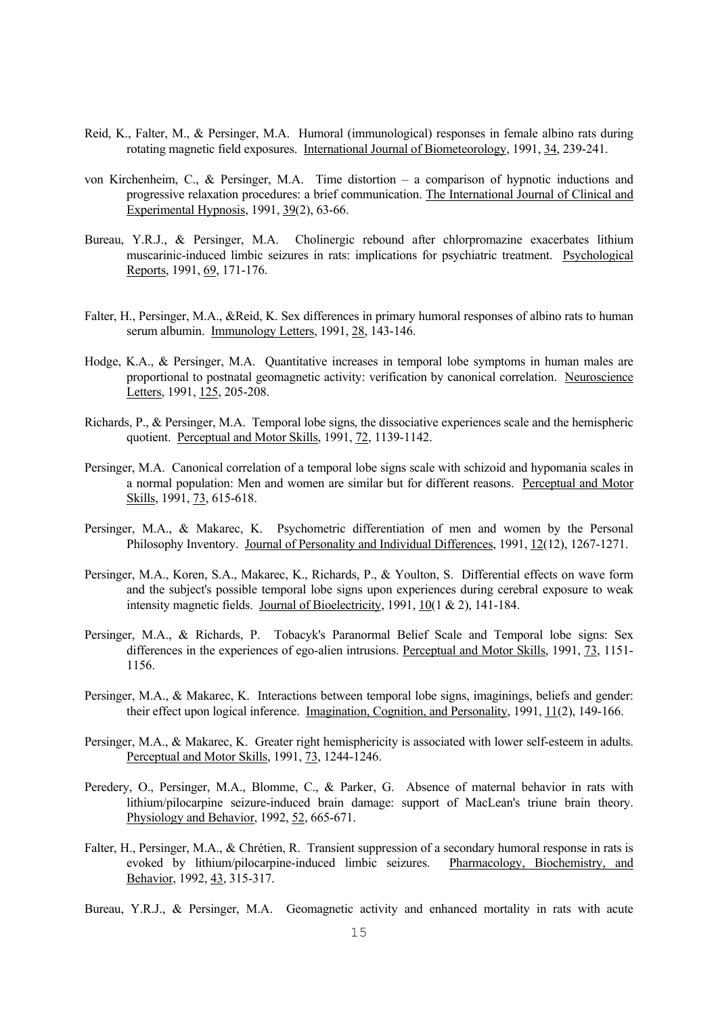- Reid, K., Falter, M., & Persinger, M.A. Humoral (immunological) responses in female albino rats during rotating magnetic field exposures. International Journal of Biometeorology, 1991, 34, 239-241.
- von Kirchenheim, C., & Persinger, M.A. Time distortion a comparison of hypnotic inductions and progressive relaxation procedures: a brief communication. The International Journal of Clinical and Experimental Hypnosis, 1991, 39(2), 63-66.
- Bureau, Y.R.J., & Persinger, M.A. Cholinergic rebound after chlorpromazine exacerbates lithium muscarinic-induced limbic seizures in rats: implications for psychiatric treatment. Psychological Reports, 1991, 69, 171-176.
- Falter, H., Persinger, M.A., &Reid, K. Sex differences in primary humoral responses of albino rats to human serum albumin. Immunology Letters, 1991, 28, 143-146.
- Hodge, K.A., & Persinger, M.A. Quantitative increases in temporal lobe symptoms in human males are proportional to postnatal geomagnetic activity: verification by canonical correlation. Neuroscience Letters, 1991, 125, 205-208.
- Richards, P., & Persinger, M.A. Temporal lobe signs, the dissociative experiences scale and the hemispheric quotient. Perceptual and Motor Skills, 1991, 72, 1139-1142.
- Persinger, M.A. Canonical correlation of a temporal lobe signs scale with schizoid and hypomania scales in a normal population: Men and women are similar but for different reasons. Perceptual and Motor Skills, 1991, 73, 615-618.
- Persinger, M.A., & Makarec, K. Psychometric differentiation of men and women by the Personal Philosophy Inventory. Journal of Personality and Individual Differences, 1991, 12(12), 1267-1271.
- Persinger, M.A., Koren, S.A., Makarec, K., Richards, P., & Youlton, S. Differential effects on wave form and the subject's possible temporal lobe signs upon experiences during cerebral exposure to weak intensity magnetic fields. Journal of Bioelectricity, 1991, 10(1 & 2), 141-184.
- Persinger, M.A., & Richards, P. Tobacyk's Paranormal Belief Scale and Temporal lobe signs: Sex differences in the experiences of ego-alien intrusions. Perceptual and Motor Skills, 1991, 73, 1151- 1156.
- Persinger, M.A., & Makarec, K. Interactions between temporal lobe signs, imaginings, beliefs and gender: their effect upon logical inference. Imagination, Cognition, and Personality, 1991, 11(2), 149-166.
- Persinger, M.A., & Makarec, K. Greater right hemisphericity is associated with lower self-esteem in adults. Perceptual and Motor Skills, 1991, 73, 1244-1246.
- Peredery, O., Persinger, M.A., Blomme, C., & Parker, G. Absence of maternal behavior in rats with lithium/pilocarpine seizure-induced brain damage: support of MacLean's triune brain theory. Physiology and Behavior, 1992, 52, 665-671.
- Falter, H., Persinger, M.A., & Chrétien, R. Transient suppression of a secondary humoral response in rats is evoked by lithium/pilocarpine-induced limbic seizures. Pharmacology, Biochemistry, and Behavior, 1992, 43, 315-317.
- Bureau, Y.R.J., & Persinger, M.A. Geomagnetic activity and enhanced mortality in rats with acute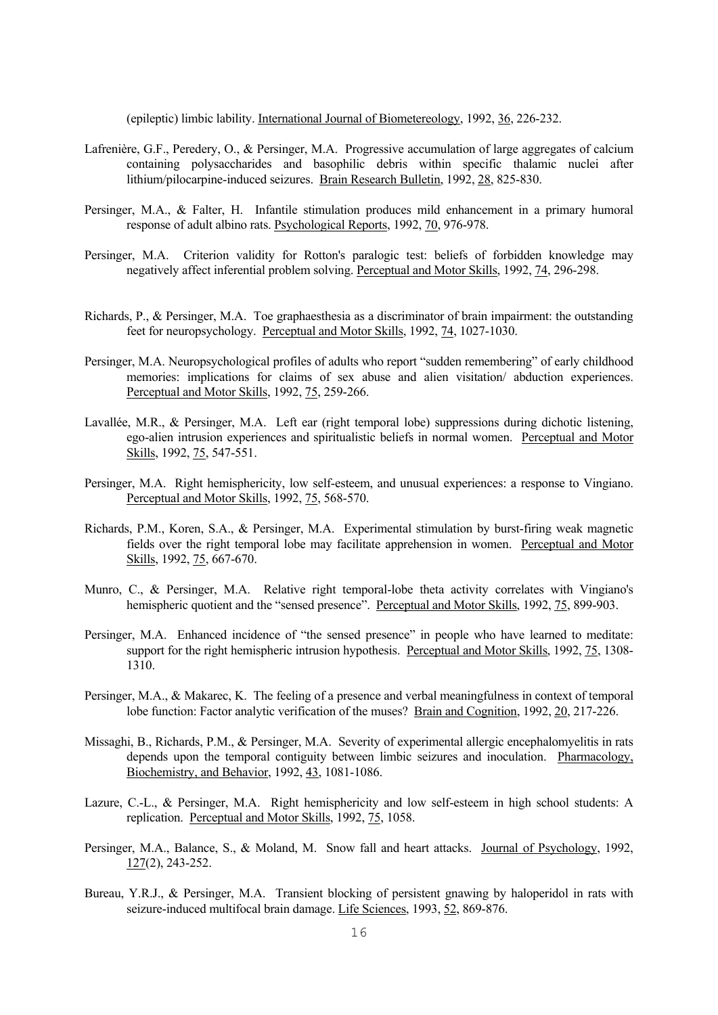(epileptic) limbic lability. International Journal of Biometereology, 1992, 36, 226-232.

- Lafrenière, G.F., Peredery, O., & Persinger, M.A. Progressive accumulation of large aggregates of calcium containing polysaccharides and basophilic debris within specific thalamic nuclei after lithium/pilocarpine-induced seizures. Brain Research Bulletin, 1992, 28, 825-830.
- Persinger, M.A., & Falter, H. Infantile stimulation produces mild enhancement in a primary humoral response of adult albino rats. Psychological Reports, 1992, 70, 976-978.
- Persinger, M.A. Criterion validity for Rotton's paralogic test: beliefs of forbidden knowledge may negatively affect inferential problem solving. Perceptual and Motor Skills, 1992, 74, 296-298.
- Richards, P., & Persinger, M.A. Toe graphaesthesia as a discriminator of brain impairment: the outstanding feet for neuropsychology. Perceptual and Motor Skills, 1992, 74, 1027-1030.
- Persinger, M.A. Neuropsychological profiles of adults who report "sudden remembering" of early childhood memories: implications for claims of sex abuse and alien visitation/ abduction experiences. Perceptual and Motor Skills, 1992, 75, 259-266.
- Lavallée, M.R., & Persinger, M.A. Left ear (right temporal lobe) suppressions during dichotic listening, ego-alien intrusion experiences and spiritualistic beliefs in normal women. Perceptual and Motor Skills, 1992, 75, 547-551.
- Persinger, M.A. Right hemisphericity, low self-esteem, and unusual experiences: a response to Vingiano. Perceptual and Motor Skills, 1992, 75, 568-570.
- Richards, P.M., Koren, S.A., & Persinger, M.A. Experimental stimulation by burst-firing weak magnetic fields over the right temporal lobe may facilitate apprehension in women. Perceptual and Motor Skills, 1992, 75, 667-670.
- Munro, C., & Persinger, M.A. Relative right temporal-lobe theta activity correlates with Vingiano's hemispheric quotient and the "sensed presence". Perceptual and Motor Skills, 1992, 75, 899-903.
- Persinger, M.A. Enhanced incidence of "the sensed presence" in people who have learned to meditate: support for the right hemispheric intrusion hypothesis. Perceptual and Motor Skills, 1992, 75, 1308- 1310.
- Persinger, M.A., & Makarec, K. The feeling of a presence and verbal meaningfulness in context of temporal lobe function: Factor analytic verification of the muses? Brain and Cognition, 1992, 20, 217-226.
- Missaghi, B., Richards, P.M., & Persinger, M.A. Severity of experimental allergic encephalomyelitis in rats depends upon the temporal contiguity between limbic seizures and inoculation. Pharmacology, Biochemistry, and Behavior, 1992, 43, 1081-1086.
- Lazure, C.-L., & Persinger, M.A. Right hemisphericity and low self-esteem in high school students: A replication. Perceptual and Motor Skills, 1992, 75, 1058.
- Persinger, M.A., Balance, S., & Moland, M. Snow fall and heart attacks. Journal of Psychology, 1992, 127(2), 243-252.
- Bureau, Y.R.J., & Persinger, M.A. Transient blocking of persistent gnawing by haloperidol in rats with seizure-induced multifocal brain damage. Life Sciences, 1993, 52, 869-876.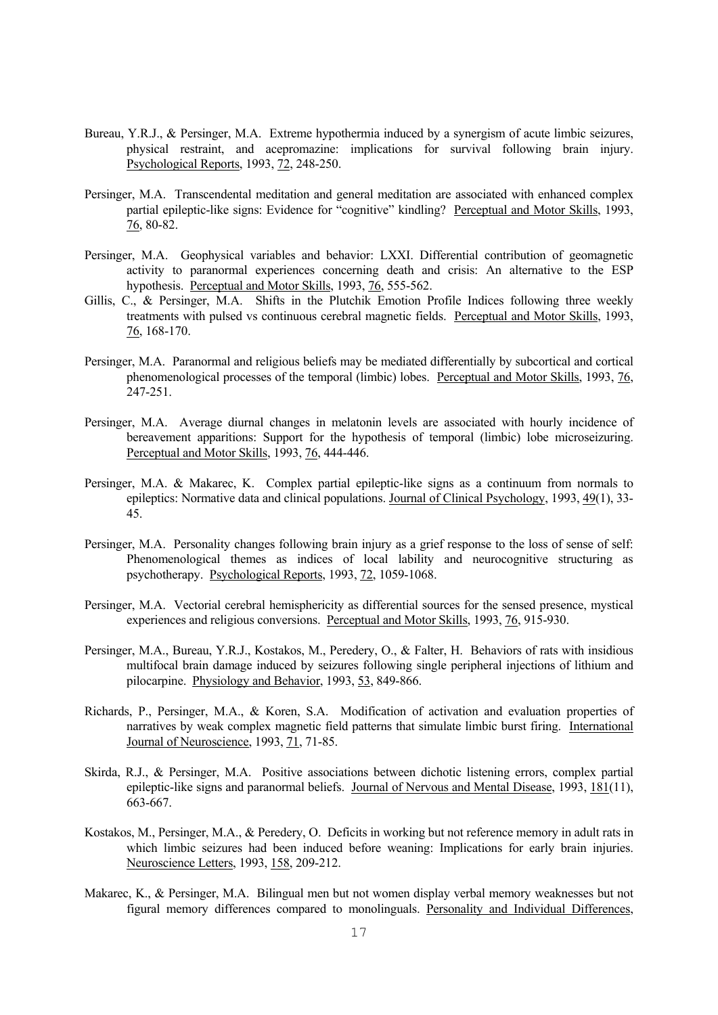- Bureau, Y.R.J., & Persinger, M.A. Extreme hypothermia induced by a synergism of acute limbic seizures, physical restraint, and acepromazine: implications for survival following brain injury. Psychological Reports, 1993, 72, 248-250.
- Persinger, M.A. Transcendental meditation and general meditation are associated with enhanced complex partial epileptic-like signs: Evidence for "cognitive" kindling? Perceptual and Motor Skills, 1993, 76, 80-82.
- Persinger, M.A. Geophysical variables and behavior: LXXI. Differential contribution of geomagnetic activity to paranormal experiences concerning death and crisis: An alternative to the ESP hypothesis. Perceptual and Motor Skills, 1993, 76, 555-562.
- Gillis, C., & Persinger, M.A. Shifts in the Plutchik Emotion Profile Indices following three weekly treatments with pulsed vs continuous cerebral magnetic fields. Perceptual and Motor Skills, 1993, 76, 168-170.
- Persinger, M.A. Paranormal and religious beliefs may be mediated differentially by subcortical and cortical phenomenological processes of the temporal (limbic) lobes. Perceptual and Motor Skills, 1993, 76, 247-251.
- Persinger, M.A. Average diurnal changes in melatonin levels are associated with hourly incidence of bereavement apparitions: Support for the hypothesis of temporal (limbic) lobe microseizuring. Perceptual and Motor Skills, 1993, 76, 444-446.
- Persinger, M.A. & Makarec, K. Complex partial epileptic-like signs as a continuum from normals to epileptics: Normative data and clinical populations. Journal of Clinical Psychology, 1993, 49(1), 33- 45.
- Persinger, M.A. Personality changes following brain injury as a grief response to the loss of sense of self: Phenomenological themes as indices of local lability and neurocognitive structuring as psychotherapy. Psychological Reports, 1993, 72, 1059-1068.
- Persinger, M.A. Vectorial cerebral hemisphericity as differential sources for the sensed presence, mystical experiences and religious conversions. Perceptual and Motor Skills, 1993, 76, 915-930.
- Persinger, M.A., Bureau, Y.R.J., Kostakos, M., Peredery, O., & Falter, H. Behaviors of rats with insidious multifocal brain damage induced by seizures following single peripheral injections of lithium and pilocarpine. Physiology and Behavior, 1993, 53, 849-866.
- Richards, P., Persinger, M.A., & Koren, S.A. Modification of activation and evaluation properties of narratives by weak complex magnetic field patterns that simulate limbic burst firing. International Journal of Neuroscience, 1993, 71, 71-85.
- Skirda, R.J., & Persinger, M.A. Positive associations between dichotic listening errors, complex partial epileptic-like signs and paranormal beliefs. Journal of Nervous and Mental Disease, 1993, 181(11), 663-667.
- Kostakos, M., Persinger, M.A., & Peredery, O. Deficits in working but not reference memory in adult rats in which limbic seizures had been induced before weaning: Implications for early brain injuries. Neuroscience Letters, 1993, 158, 209-212.
- Makarec, K., & Persinger, M.A. Bilingual men but not women display verbal memory weaknesses but not figural memory differences compared to monolinguals. Personality and Individual Differences,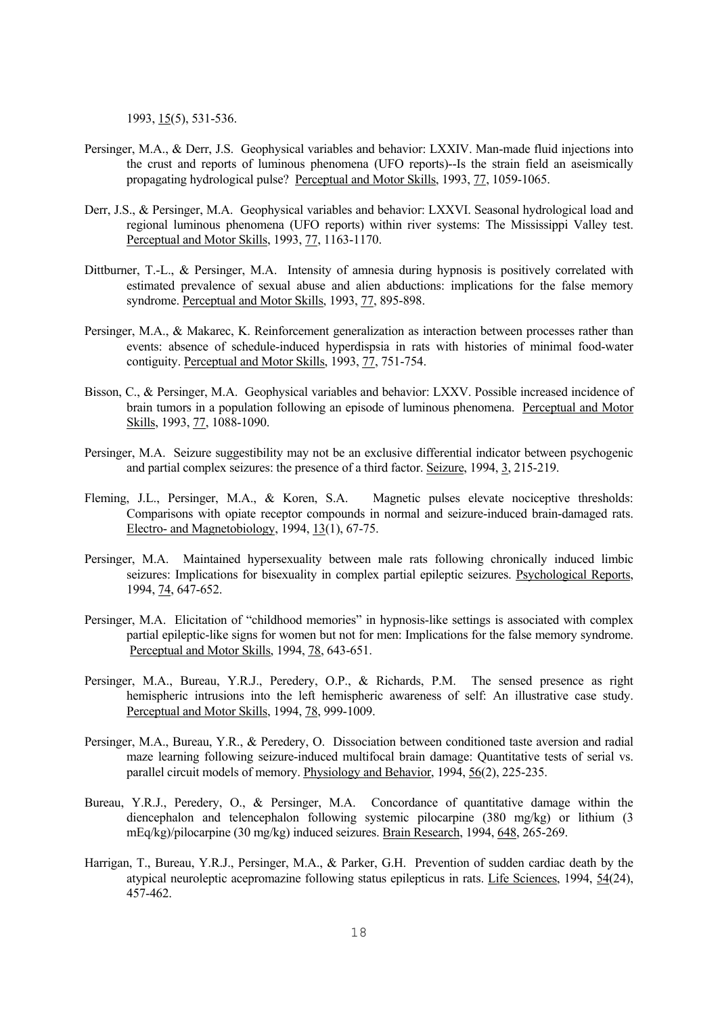1993, 15(5), 531-536.

- Persinger, M.A., & Derr, J.S. Geophysical variables and behavior: LXXIV. Man-made fluid injections into the crust and reports of luminous phenomena (UFO reports)--Is the strain field an aseismically propagating hydrological pulse? Perceptual and Motor Skills, 1993, 77, 1059-1065.
- Derr, J.S., & Persinger, M.A. Geophysical variables and behavior: LXXVI. Seasonal hydrological load and regional luminous phenomena (UFO reports) within river systems: The Mississippi Valley test. Perceptual and Motor Skills, 1993, 77, 1163-1170.
- Dittburner, T.-L., & Persinger, M.A. Intensity of amnesia during hypnosis is positively correlated with estimated prevalence of sexual abuse and alien abductions: implications for the false memory syndrome. Perceptual and Motor Skills, 1993, 77, 895-898.
- Persinger, M.A., & Makarec, K. Reinforcement generalization as interaction between processes rather than events: absence of schedule-induced hyperdispsia in rats with histories of minimal food-water contiguity. Perceptual and Motor Skills, 1993, 77, 751-754.
- Bisson, C., & Persinger, M.A. Geophysical variables and behavior: LXXV. Possible increased incidence of brain tumors in a population following an episode of luminous phenomena. Perceptual and Motor Skills, 1993, 77, 1088-1090.
- Persinger, M.A. Seizure suggestibility may not be an exclusive differential indicator between psychogenic and partial complex seizures: the presence of a third factor. Seizure, 1994, 3, 215-219.
- Fleming, J.L., Persinger, M.A., & Koren, S.A. Magnetic pulses elevate nociceptive thresholds: Comparisons with opiate receptor compounds in normal and seizure-induced brain-damaged rats. Electro- and Magnetobiology, 1994, 13(1), 67-75.
- Persinger, M.A. Maintained hypersexuality between male rats following chronically induced limbic seizures: Implications for bisexuality in complex partial epileptic seizures. Psychological Reports, 1994, 74, 647-652.
- Persinger, M.A. Elicitation of "childhood memories" in hypnosis-like settings is associated with complex partial epileptic-like signs for women but not for men: Implications for the false memory syndrome. Perceptual and Motor Skills, 1994, 78, 643-651.
- Persinger, M.A., Bureau, Y.R.J., Peredery, O.P., & Richards, P.M. The sensed presence as right hemispheric intrusions into the left hemispheric awareness of self: An illustrative case study. Perceptual and Motor Skills, 1994, 78, 999-1009.
- Persinger, M.A., Bureau, Y.R., & Peredery, O. Dissociation between conditioned taste aversion and radial maze learning following seizure-induced multifocal brain damage: Quantitative tests of serial vs. parallel circuit models of memory. Physiology and Behavior, 1994, 56(2), 225-235.
- Bureau, Y.R.J., Peredery, O., & Persinger, M.A. Concordance of quantitative damage within the diencephalon and telencephalon following systemic pilocarpine (380 mg/kg) or lithium (3 mEq/kg)/pilocarpine (30 mg/kg) induced seizures. Brain Research, 1994, 648, 265-269.
- Harrigan, T., Bureau, Y.R.J., Persinger, M.A., & Parker, G.H. Prevention of sudden cardiac death by the atypical neuroleptic acepromazine following status epilepticus in rats. Life Sciences, 1994, 54(24), 457-462.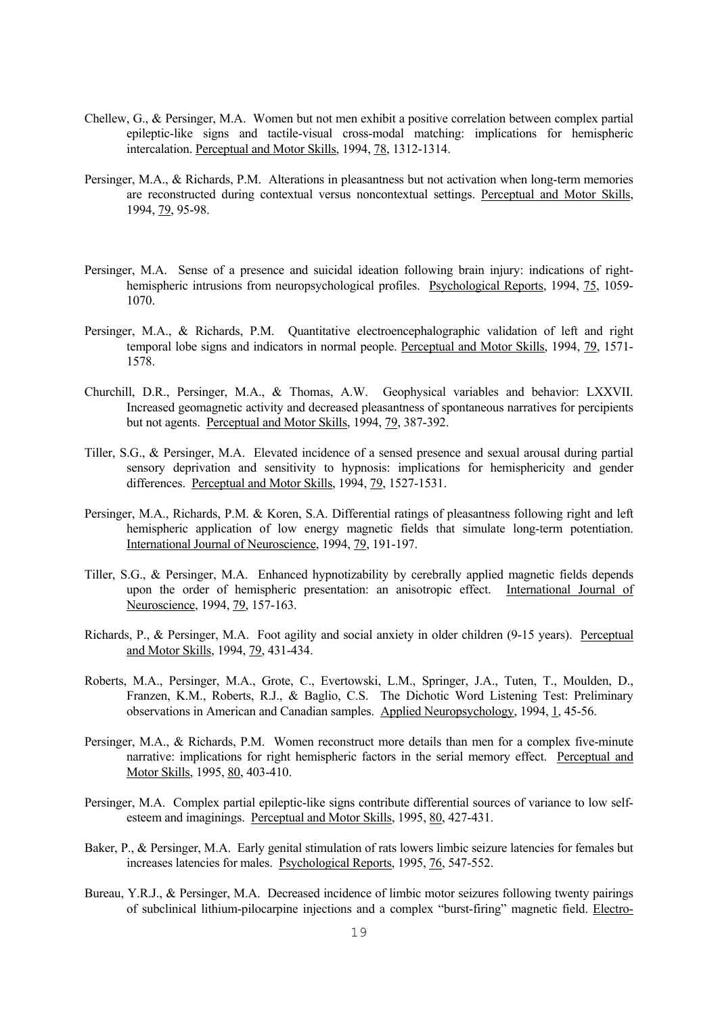- Chellew, G., & Persinger, M.A. Women but not men exhibit a positive correlation between complex partial epileptic-like signs and tactile-visual cross-modal matching: implications for hemispheric intercalation. Perceptual and Motor Skills, 1994, 78, 1312-1314.
- Persinger, M.A., & Richards, P.M. Alterations in pleasantness but not activation when long-term memories are reconstructed during contextual versus noncontextual settings. Perceptual and Motor Skills, 1994, 79, 95-98.
- Persinger, M.A. Sense of a presence and suicidal ideation following brain injury: indications of righthemispheric intrusions from neuropsychological profiles. Psychological Reports, 1994, 75, 1059- 1070.
- Persinger, M.A., & Richards, P.M. Quantitative electroencephalographic validation of left and right temporal lobe signs and indicators in normal people. Perceptual and Motor Skills, 1994, 79, 1571- 1578.
- Churchill, D.R., Persinger, M.A., & Thomas, A.W. Geophysical variables and behavior: LXXVII. Increased geomagnetic activity and decreased pleasantness of spontaneous narratives for percipients but not agents. Perceptual and Motor Skills, 1994, 79, 387-392.
- Tiller, S.G., & Persinger, M.A. Elevated incidence of a sensed presence and sexual arousal during partial sensory deprivation and sensitivity to hypnosis: implications for hemisphericity and gender differences. Perceptual and Motor Skills, 1994, 79, 1527-1531.
- Persinger, M.A., Richards, P.M. & Koren, S.A. Differential ratings of pleasantness following right and left hemispheric application of low energy magnetic fields that simulate long-term potentiation. International Journal of Neuroscience, 1994, 79, 191-197.
- Tiller, S.G., & Persinger, M.A. Enhanced hypnotizability by cerebrally applied magnetic fields depends upon the order of hemispheric presentation: an anisotropic effect. International Journal of Neuroscience, 1994, 79, 157-163.
- Richards, P., & Persinger, M.A. Foot agility and social anxiety in older children (9-15 years). Perceptual and Motor Skills, 1994, 79, 431-434.
- Roberts, M.A., Persinger, M.A., Grote, C., Evertowski, L.M., Springer, J.A., Tuten, T., Moulden, D., Franzen, K.M., Roberts, R.J., & Baglio, C.S. The Dichotic Word Listening Test: Preliminary observations in American and Canadian samples. Applied Neuropsychology, 1994, 1, 45-56.
- Persinger, M.A., & Richards, P.M. Women reconstruct more details than men for a complex five-minute narrative: implications for right hemispheric factors in the serial memory effect. Perceptual and Motor Skills, 1995, 80, 403-410.
- Persinger, M.A. Complex partial epileptic-like signs contribute differential sources of variance to low selfesteem and imaginings. Perceptual and Motor Skills, 1995, 80, 427-431.
- Baker, P., & Persinger, M.A. Early genital stimulation of rats lowers limbic seizure latencies for females but increases latencies for males. Psychological Reports, 1995, 76, 547-552.
- Bureau, Y.R.J., & Persinger, M.A. Decreased incidence of limbic motor seizures following twenty pairings of subclinical lithium-pilocarpine injections and a complex "burst-firing" magnetic field. Electro-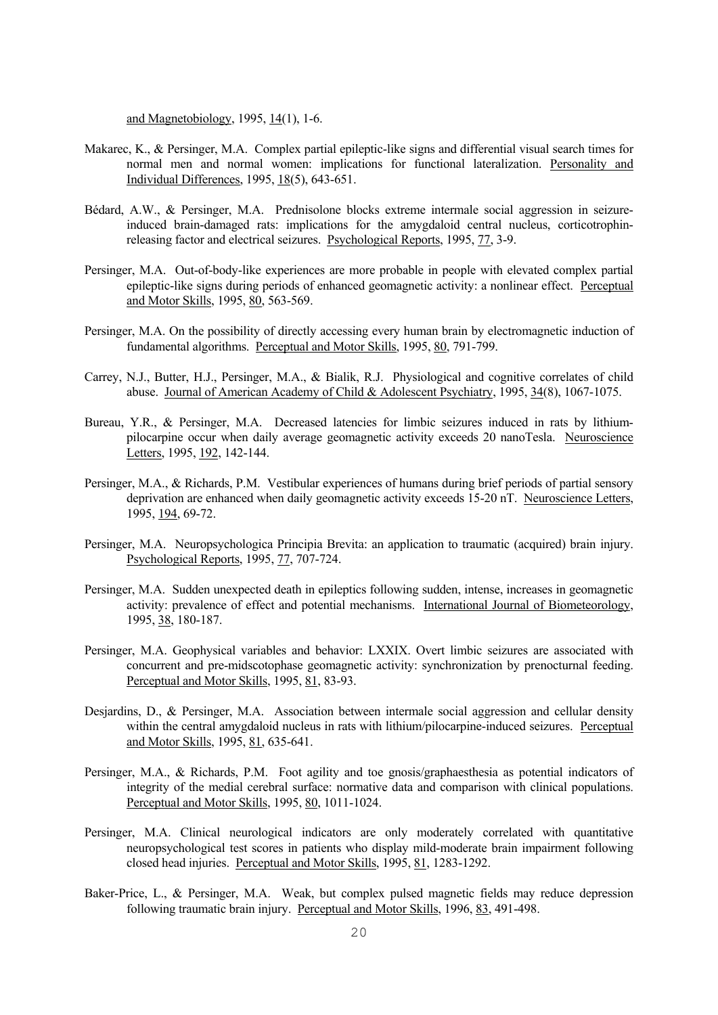and Magnetobiology, 1995, 14(1), 1-6.

- Makarec, K., & Persinger, M.A. Complex partial epileptic-like signs and differential visual search times for normal men and normal women: implications for functional lateralization. Personality and Individual Differences, 1995, 18(5), 643-651.
- Bédard, A.W., & Persinger, M.A. Prednisolone blocks extreme intermale social aggression in seizureinduced brain-damaged rats: implications for the amygdaloid central nucleus, corticotrophinreleasing factor and electrical seizures. Psychological Reports, 1995, 77, 3-9.
- Persinger, M.A. Out-of-body-like experiences are more probable in people with elevated complex partial epileptic-like signs during periods of enhanced geomagnetic activity: a nonlinear effect. Perceptual and Motor Skills, 1995, 80, 563-569.
- Persinger, M.A. On the possibility of directly accessing every human brain by electromagnetic induction of fundamental algorithms. Perceptual and Motor Skills, 1995, 80, 791-799.
- Carrey, N.J., Butter, H.J., Persinger, M.A., & Bialik, R.J. Physiological and cognitive correlates of child abuse. Journal of American Academy of Child & Adolescent Psychiatry, 1995, 34(8), 1067-1075.
- Bureau, Y.R., & Persinger, M.A. Decreased latencies for limbic seizures induced in rats by lithiumpilocarpine occur when daily average geomagnetic activity exceeds 20 nanoTesla. Neuroscience Letters, 1995, <u>192</u>, 142-144.
- Persinger, M.A., & Richards, P.M. Vestibular experiences of humans during brief periods of partial sensory deprivation are enhanced when daily geomagnetic activity exceeds 15-20 nT. Neuroscience Letters, 1995, 194, 69-72.
- Persinger, M.A. Neuropsychologica Principia Brevita: an application to traumatic (acquired) brain injury. Psychological Reports, 1995, 77, 707-724.
- Persinger, M.A. Sudden unexpected death in epileptics following sudden, intense, increases in geomagnetic activity: prevalence of effect and potential mechanisms. International Journal of Biometeorology, 1995, 38, 180-187.
- Persinger, M.A. Geophysical variables and behavior: LXXIX. Overt limbic seizures are associated with concurrent and pre-midscotophase geomagnetic activity: synchronization by prenocturnal feeding. Perceptual and Motor Skills, 1995, 81, 83-93.
- Desjardins, D., & Persinger, M.A. Association between intermale social aggression and cellular density within the central amygdaloid nucleus in rats with lithium/pilocarpine-induced seizures. Perceptual and Motor Skills, 1995, 81, 635-641.
- Persinger, M.A., & Richards, P.M. Foot agility and toe gnosis/graphaesthesia as potential indicators of integrity of the medial cerebral surface: normative data and comparison with clinical populations. Perceptual and Motor Skills, 1995, 80, 1011-1024.
- Persinger, M.A. Clinical neurological indicators are only moderately correlated with quantitative neuropsychological test scores in patients who display mild-moderate brain impairment following closed head injuries. Perceptual and Motor Skills, 1995, 81, 1283-1292.
- Baker-Price, L., & Persinger, M.A. Weak, but complex pulsed magnetic fields may reduce depression following traumatic brain injury. Perceptual and Motor Skills, 1996, 83, 491-498.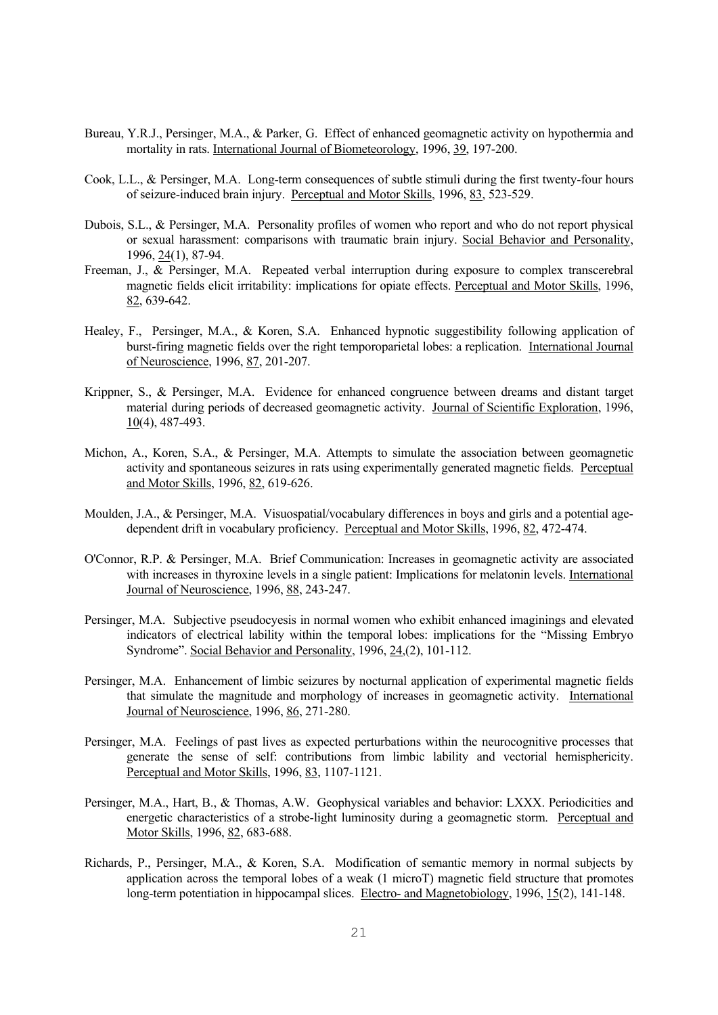- Bureau, Y.R.J., Persinger, M.A., & Parker, G. Effect of enhanced geomagnetic activity on hypothermia and mortality in rats. International Journal of Biometeorology, 1996, 39, 197-200.
- Cook, L.L., & Persinger, M.A. Long-term consequences of subtle stimuli during the first twenty-four hours of seizure-induced brain injury. Perceptual and Motor Skills, 1996, 83, 523-529.
- Dubois, S.L., & Persinger, M.A. Personality profiles of women who report and who do not report physical or sexual harassment: comparisons with traumatic brain injury. Social Behavior and Personality, 1996, 24(1), 87-94.
- Freeman, J., & Persinger, M.A. Repeated verbal interruption during exposure to complex transcerebral magnetic fields elicit irritability: implications for opiate effects. Perceptual and Motor Skills, 1996, 82, 639-642.
- Healey, F., Persinger, M.A., & Koren, S.A. Enhanced hypnotic suggestibility following application of burst-firing magnetic fields over the right temporoparietal lobes: a replication. International Journal of Neuroscience, 1996, 87, 201-207.
- Krippner, S., & Persinger, M.A. Evidence for enhanced congruence between dreams and distant target material during periods of decreased geomagnetic activity. Journal of Scientific Exploration, 1996, 10(4), 487-493.
- Michon, A., Koren, S.A., & Persinger, M.A. Attempts to simulate the association between geomagnetic activity and spontaneous seizures in rats using experimentally generated magnetic fields. Perceptual and Motor Skills, 1996, 82, 619-626.
- Moulden, J.A., & Persinger, M.A. Visuospatial/vocabulary differences in boys and girls and a potential agedependent drift in vocabulary proficiency. Perceptual and Motor Skills, 1996, 82, 472-474.
- O'Connor, R.P. & Persinger, M.A. Brief Communication: Increases in geomagnetic activity are associated with increases in thyroxine levels in a single patient: Implications for melatonin levels. International Journal of Neuroscience, 1996, 88, 243-247.
- Persinger, M.A. Subjective pseudocyesis in normal women who exhibit enhanced imaginings and elevated indicators of electrical lability within the temporal lobes: implications for the "Missing Embryo Syndrome". Social Behavior and Personality, 1996, 24, (2), 101-112.
- Persinger, M.A. Enhancement of limbic seizures by nocturnal application of experimental magnetic fields that simulate the magnitude and morphology of increases in geomagnetic activity. International Journal of Neuroscience, 1996, 86, 271-280.
- Persinger, M.A. Feelings of past lives as expected perturbations within the neurocognitive processes that generate the sense of self: contributions from limbic lability and vectorial hemisphericity. Perceptual and Motor Skills, 1996, 83, 1107-1121.
- Persinger, M.A., Hart, B., & Thomas, A.W. Geophysical variables and behavior: LXXX. Periodicities and energetic characteristics of a strobe-light luminosity during a geomagnetic storm. Perceptual and Motor Skills, 1996, 82, 683-688.
- Richards, P., Persinger, M.A., & Koren, S.A. Modification of semantic memory in normal subjects by application across the temporal lobes of a weak (1 microT) magnetic field structure that promotes long-term potentiation in hippocampal slices. Electro- and Magnetobiology, 1996, 15(2), 141-148.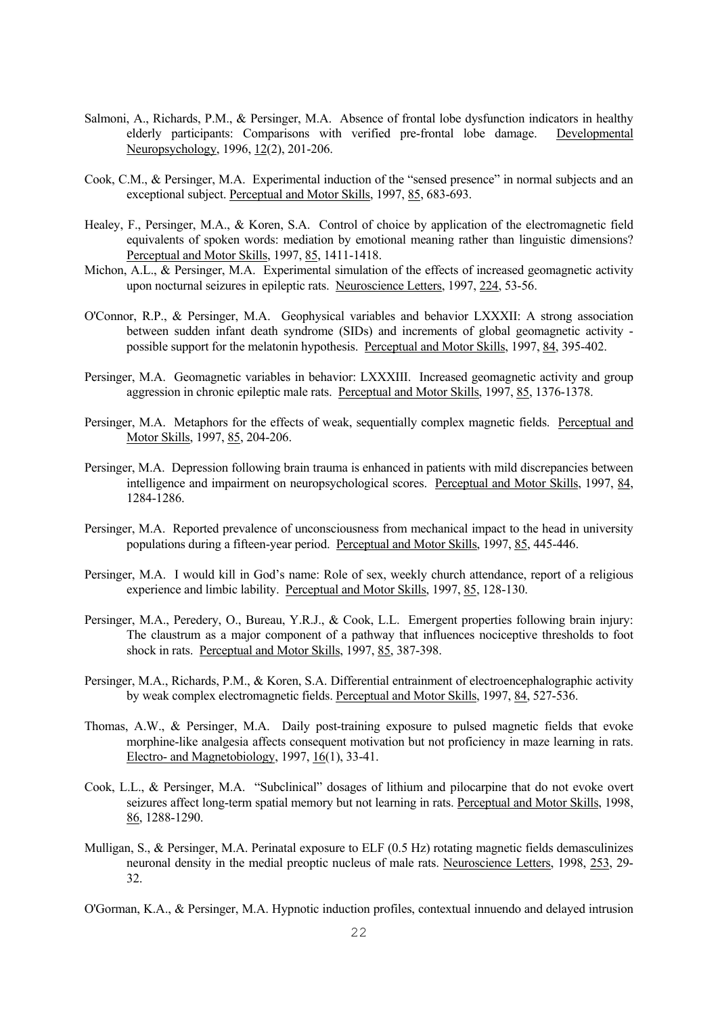- Salmoni, A., Richards, P.M., & Persinger, M.A. Absence of frontal lobe dysfunction indicators in healthy elderly participants: Comparisons with verified pre-frontal lobe damage. Developmental Neuropsychology, 1996, 12(2), 201-206.
- Cook, C.M., & Persinger, M.A. Experimental induction of the "sensed presence" in normal subjects and an exceptional subject. Perceptual and Motor Skills, 1997, 85, 683-693.
- Healey, F., Persinger, M.A., & Koren, S.A. Control of choice by application of the electromagnetic field equivalents of spoken words: mediation by emotional meaning rather than linguistic dimensions? Perceptual and Motor Skills, 1997, 85, 1411-1418.
- Michon, A.L., & Persinger, M.A. Experimental simulation of the effects of increased geomagnetic activity upon nocturnal seizures in epileptic rats. Neuroscience Letters, 1997, 224, 53-56.
- O'Connor, R.P., & Persinger, M.A. Geophysical variables and behavior LXXXII: A strong association between sudden infant death syndrome (SIDs) and increments of global geomagnetic activity possible support for the melatonin hypothesis. Perceptual and Motor Skills, 1997, 84, 395-402.
- Persinger, M.A. Geomagnetic variables in behavior: LXXXIII. Increased geomagnetic activity and group aggression in chronic epileptic male rats. Perceptual and Motor Skills, 1997, 85, 1376-1378.
- Persinger, M.A. Metaphors for the effects of weak, sequentially complex magnetic fields. Perceptual and Motor Skills, 1997, 85, 204-206.
- Persinger, M.A. Depression following brain trauma is enhanced in patients with mild discrepancies between intelligence and impairment on neuropsychological scores. Perceptual and Motor Skills, 1997, 84, 1284-1286.
- Persinger, M.A. Reported prevalence of unconsciousness from mechanical impact to the head in university populations during a fifteen-year period. Perceptual and Motor Skills, 1997, 85, 445-446.
- Persinger, M.A. I would kill in God's name: Role of sex, weekly church attendance, report of a religious experience and limbic lability. Perceptual and Motor Skills, 1997, 85, 128-130.
- Persinger, M.A., Peredery, O., Bureau, Y.R.J., & Cook, L.L. Emergent properties following brain injury: The claustrum as a major component of a pathway that influences nociceptive thresholds to foot shock in rats. Perceptual and Motor Skills, 1997, 85, 387-398.
- Persinger, M.A., Richards, P.M., & Koren, S.A. Differential entrainment of electroencephalographic activity by weak complex electromagnetic fields. Perceptual and Motor Skills, 1997, 84, 527-536.
- Thomas, A.W., & Persinger, M.A. Daily post-training exposure to pulsed magnetic fields that evoke morphine-like analgesia affects consequent motivation but not proficiency in maze learning in rats. Electro- and Magnetobiology, 1997, 16(1), 33-41.
- Cook, L.L., & Persinger, M.A. "Subclinical" dosages of lithium and pilocarpine that do not evoke overt seizures affect long-term spatial memory but not learning in rats. Perceptual and Motor Skills, 1998, 86, 1288-1290.
- Mulligan, S., & Persinger, M.A. Perinatal exposure to ELF (0.5 Hz) rotating magnetic fields demasculinizes neuronal density in the medial preoptic nucleus of male rats. Neuroscience Letters, 1998, 253, 29- 32.
- O'Gorman, K.A., & Persinger, M.A. Hypnotic induction profiles, contextual innuendo and delayed intrusion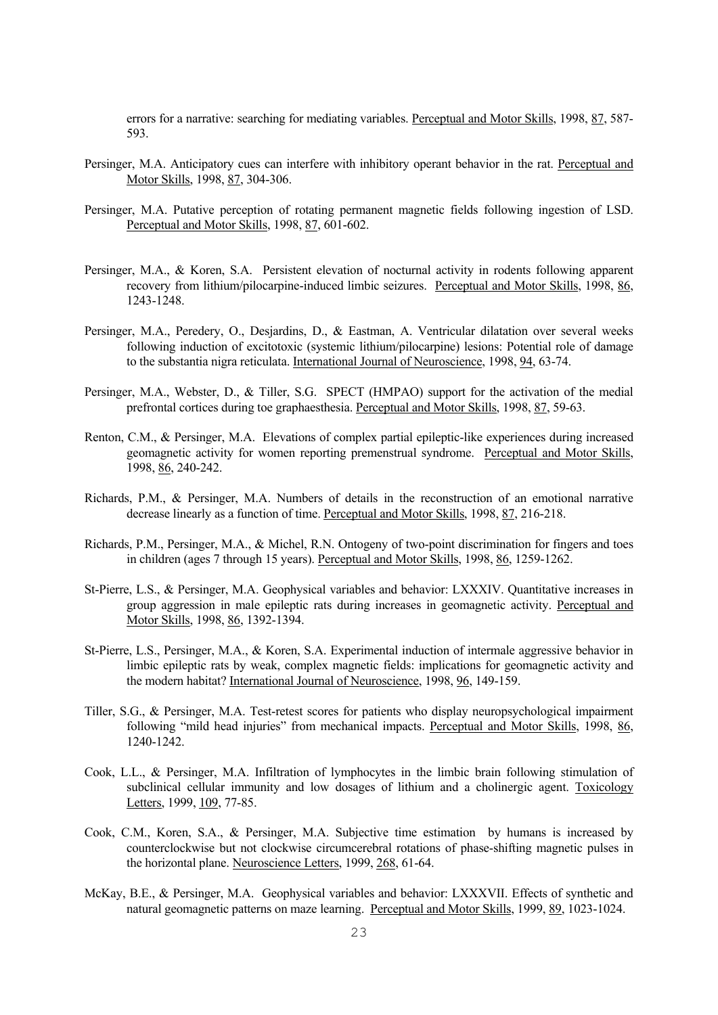errors for a narrative: searching for mediating variables. Perceptual and Motor Skills, 1998, 87, 587- 593.

- Persinger, M.A. Anticipatory cues can interfere with inhibitory operant behavior in the rat. Perceptual and Motor Skills, 1998, 87, 304-306.
- Persinger, M.A. Putative perception of rotating permanent magnetic fields following ingestion of LSD. Perceptual and Motor Skills, 1998, 87, 601-602.
- Persinger, M.A., & Koren, S.A. Persistent elevation of nocturnal activity in rodents following apparent recovery from lithium/pilocarpine-induced limbic seizures. Perceptual and Motor Skills, 1998, 86, 1243-1248.
- Persinger, M.A., Peredery, O., Desjardins, D., & Eastman, A. Ventricular dilatation over several weeks following induction of excitotoxic (systemic lithium/pilocarpine) lesions: Potential role of damage to the substantia nigra reticulata. International Journal of Neuroscience, 1998, 94, 63-74.
- Persinger, M.A., Webster, D., & Tiller, S.G. SPECT (HMPAO) support for the activation of the medial prefrontal cortices during toe graphaesthesia. Perceptual and Motor Skills, 1998, 87, 59-63.
- Renton, C.M., & Persinger, M.A. Elevations of complex partial epileptic-like experiences during increased geomagnetic activity for women reporting premenstrual syndrome. Perceptual and Motor Skills, 1998, 86, 240-242.
- Richards, P.M., & Persinger, M.A. Numbers of details in the reconstruction of an emotional narrative decrease linearly as a function of time. Perceptual and Motor Skills, 1998, 87, 216-218.
- Richards, P.M., Persinger, M.A., & Michel, R.N. Ontogeny of two-point discrimination for fingers and toes in children (ages 7 through 15 years). Perceptual and Motor Skills, 1998, 86, 1259-1262.
- St-Pierre, L.S., & Persinger, M.A. Geophysical variables and behavior: LXXXIV. Quantitative increases in group aggression in male epileptic rats during increases in geomagnetic activity. Perceptual and Motor Skills, 1998, 86, 1392-1394.
- St-Pierre, L.S., Persinger, M.A., & Koren, S.A. Experimental induction of intermale aggressive behavior in limbic epileptic rats by weak, complex magnetic fields: implications for geomagnetic activity and the modern habitat? International Journal of Neuroscience, 1998, 96, 149-159.
- Tiller, S.G., & Persinger, M.A. Test-retest scores for patients who display neuropsychological impairment following "mild head injuries" from mechanical impacts. Perceptual and Motor Skills, 1998, 86, 1240-1242.
- Cook, L.L., & Persinger, M.A. Infiltration of lymphocytes in the limbic brain following stimulation of subclinical cellular immunity and low dosages of lithium and a cholinergic agent. Toxicology Letters, 1999, 109, 77-85.
- Cook, C.M., Koren, S.A., & Persinger, M.A. Subjective time estimation by humans is increased by counterclockwise but not clockwise circumcerebral rotations of phase-shifting magnetic pulses in the horizontal plane. Neuroscience Letters, 1999, 268, 61-64.
- McKay, B.E., & Persinger, M.A. Geophysical variables and behavior: LXXXVII. Effects of synthetic and natural geomagnetic patterns on maze learning. Perceptual and Motor Skills, 1999, 89, 1023-1024.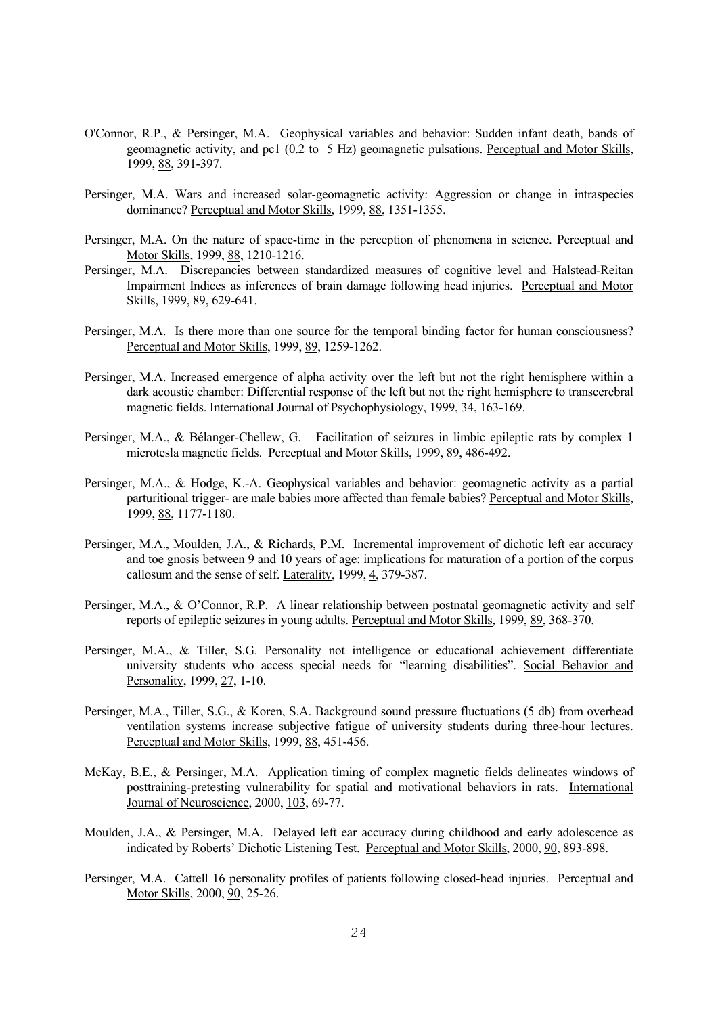- O'Connor, R.P., & Persinger, M.A. Geophysical variables and behavior: Sudden infant death, bands of geomagnetic activity, and pc1 (0.2 to 5 Hz) geomagnetic pulsations. Perceptual and Motor Skills, 1999, 88, 391-397.
- Persinger, M.A. Wars and increased solar-geomagnetic activity: Aggression or change in intraspecies dominance? Perceptual and Motor Skills, 1999, 88, 1351-1355.
- Persinger, M.A. On the nature of space-time in the perception of phenomena in science. Perceptual and Motor Skills, 1999, 88, 1210-1216.
- Persinger, M.A. Discrepancies between standardized measures of cognitive level and Halstead-Reitan Impairment Indices as inferences of brain damage following head injuries. Perceptual and Motor Skills, 1999, 89, 629-641.
- Persinger, M.A. Is there more than one source for the temporal binding factor for human consciousness? Perceptual and Motor Skills, 1999, 89, 1259-1262.
- Persinger, M.A. Increased emergence of alpha activity over the left but not the right hemisphere within a dark acoustic chamber: Differential response of the left but not the right hemisphere to transcerebral magnetic fields. International Journal of Psychophysiology, 1999, 34, 163-169.
- Persinger, M.A., & Bélanger-Chellew, G. Facilitation of seizures in limbic epileptic rats by complex 1 microtesla magnetic fields. Perceptual and Motor Skills, 1999, 89, 486-492.
- Persinger, M.A., & Hodge, K.-A. Geophysical variables and behavior: geomagnetic activity as a partial parturitional trigger- are male babies more affected than female babies? Perceptual and Motor Skills, 1999, 88, 1177-1180.
- Persinger, M.A., Moulden, J.A., & Richards, P.M. Incremental improvement of dichotic left ear accuracy and toe gnosis between 9 and 10 years of age: implications for maturation of a portion of the corpus callosum and the sense of self. Laterality, 1999, 4, 379-387.
- Persinger, M.A., & O'Connor, R.P. A linear relationship between postnatal geomagnetic activity and self reports of epileptic seizures in young adults. Perceptual and Motor Skills, 1999, 89, 368-370.
- Persinger, M.A., & Tiller, S.G. Personality not intelligence or educational achievement differentiate university students who access special needs for "learning disabilities". Social Behavior and Personality, 1999, 27, 1-10.
- Persinger, M.A., Tiller, S.G., & Koren, S.A. Background sound pressure fluctuations (5 db) from overhead ventilation systems increase subjective fatigue of university students during three-hour lectures. Perceptual and Motor Skills, 1999, 88, 451-456.
- McKay, B.E., & Persinger, M.A. Application timing of complex magnetic fields delineates windows of posttraining-pretesting vulnerability for spatial and motivational behaviors in rats. International Journal of Neuroscience, 2000, 103, 69-77.
- Moulden, J.A., & Persinger, M.A. Delayed left ear accuracy during childhood and early adolescence as indicated by Roberts' Dichotic Listening Test. Perceptual and Motor Skills, 2000, 90, 893-898.
- Persinger, M.A. Cattell 16 personality profiles of patients following closed-head injuries. Perceptual and Motor Skills, 2000, 90, 25-26.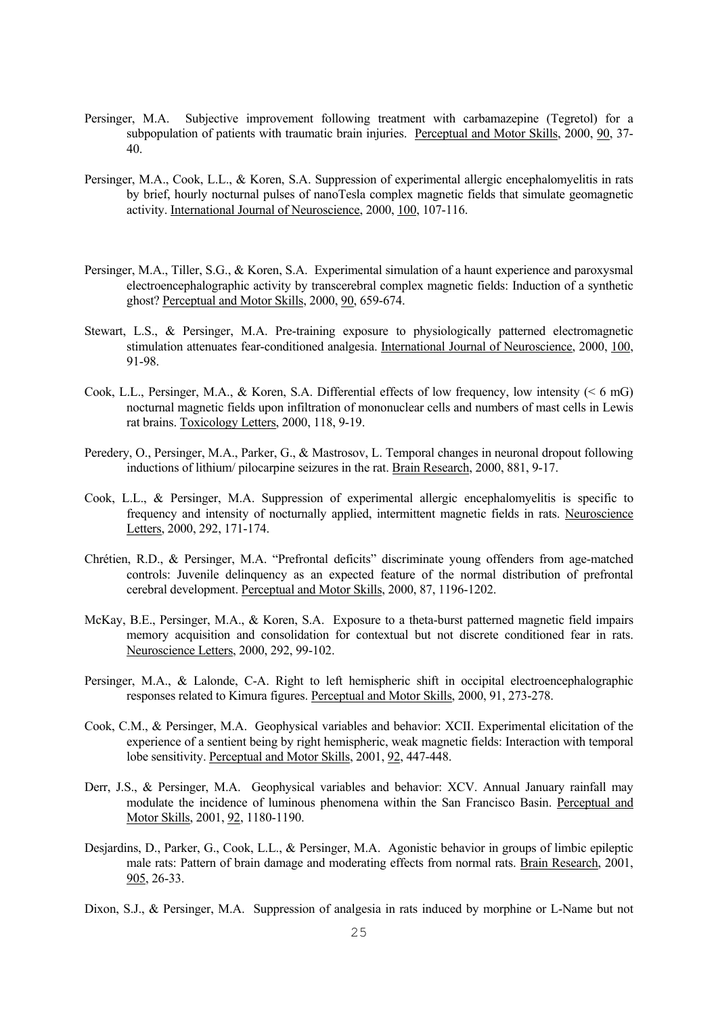- Persinger, M.A. Subjective improvement following treatment with carbamazepine (Tegretol) for a subpopulation of patients with traumatic brain injuries. Perceptual and Motor Skills, 2000, 90, 37-40.
- Persinger, M.A., Cook, L.L., & Koren, S.A. Suppression of experimental allergic encephalomyelitis in rats by brief, hourly nocturnal pulses of nanoTesla complex magnetic fields that simulate geomagnetic activity. International Journal of Neuroscience, 2000, 100, 107-116.
- Persinger, M.A., Tiller, S.G., & Koren, S.A. Experimental simulation of a haunt experience and paroxysmal electroencephalographic activity by transcerebral complex magnetic fields: Induction of a synthetic ghost? Perceptual and Motor Skills, 2000, 90, 659-674.
- Stewart, L.S., & Persinger, M.A. Pre-training exposure to physiologically patterned electromagnetic stimulation attenuates fear-conditioned analgesia. International Journal of Neuroscience, 2000, 100, 91-98.
- Cook, L.L., Persinger, M.A., & Koren, S.A. Differential effects of low frequency, low intensity ( $\leq 6$  mG) nocturnal magnetic fields upon infiltration of mononuclear cells and numbers of mast cells in Lewis rat brains. Toxicology Letters, 2000, 118, 9-19.
- Peredery, O., Persinger, M.A., Parker, G., & Mastrosov, L. Temporal changes in neuronal dropout following inductions of lithium/ pilocarpine seizures in the rat. Brain Research, 2000, 881, 9-17.
- Cook, L.L., & Persinger, M.A. Suppression of experimental allergic encephalomyelitis is specific to frequency and intensity of nocturnally applied, intermittent magnetic fields in rats. Neuroscience Letters, 2000, 292, 171-174.
- Chrétien, R.D., & Persinger, M.A. "Prefrontal deficits" discriminate young offenders from age-matched controls: Juvenile delinquency as an expected feature of the normal distribution of prefrontal cerebral development. Perceptual and Motor Skills, 2000, 87, 1196-1202.
- McKay, B.E., Persinger, M.A., & Koren, S.A. Exposure to a theta-burst patterned magnetic field impairs memory acquisition and consolidation for contextual but not discrete conditioned fear in rats. Neuroscience Letters, 2000, 292, 99-102.
- Persinger, M.A., & Lalonde, C-A. Right to left hemispheric shift in occipital electroencephalographic responses related to Kimura figures. Perceptual and Motor Skills, 2000, 91, 273-278.
- Cook, C.M., & Persinger, M.A. Geophysical variables and behavior: XCII. Experimental elicitation of the experience of a sentient being by right hemispheric, weak magnetic fields: Interaction with temporal lobe sensitivity. Perceptual and Motor Skills, 2001, 92, 447-448.
- Derr, J.S., & Persinger, M.A. Geophysical variables and behavior: XCV. Annual January rainfall may modulate the incidence of luminous phenomena within the San Francisco Basin. Perceptual and Motor Skills, 2001, 92, 1180-1190.
- Desjardins, D., Parker, G., Cook, L.L., & Persinger, M.A. Agonistic behavior in groups of limbic epileptic male rats: Pattern of brain damage and moderating effects from normal rats. Brain Research, 2001, 905, 26-33.
- Dixon, S.J., & Persinger, M.A. Suppression of analgesia in rats induced by morphine or L-Name but not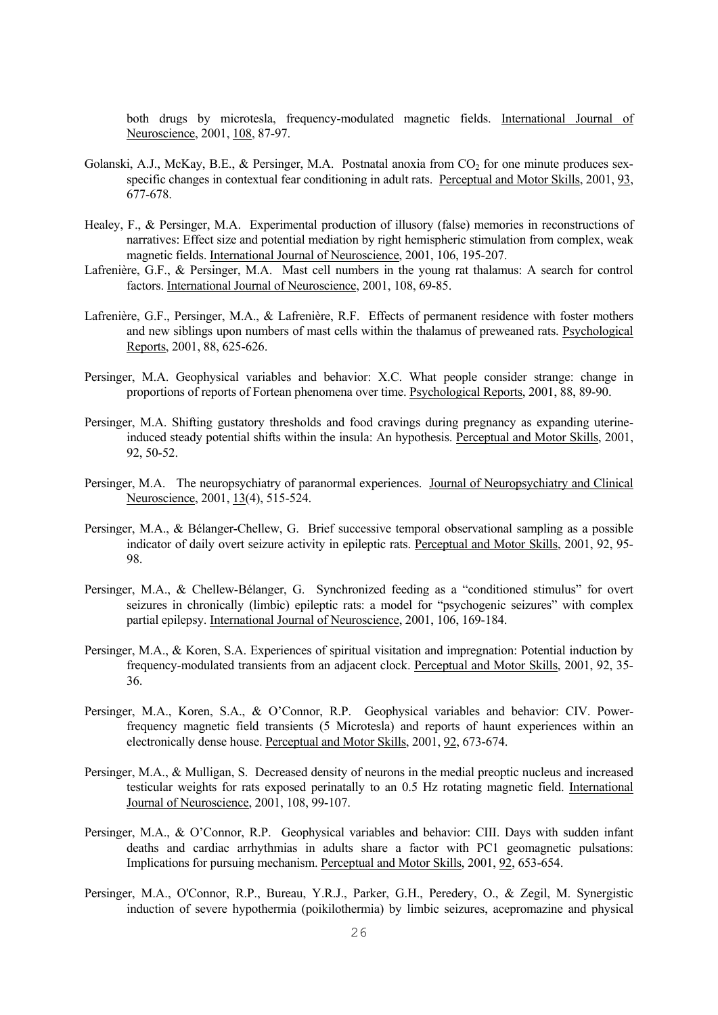both drugs by microtesla, frequency-modulated magnetic fields. International Journal of Neuroscience, 2001, 108, 87-97.

- Golanski, A.J., McKay, B.E.,  $\&$  Persinger, M.A. Postnatal anoxia from  $CO_2$  for one minute produces sexspecific changes in contextual fear conditioning in adult rats. Perceptual and Motor Skills, 2001, 93, 677-678.
- Healey, F., & Persinger, M.A. Experimental production of illusory (false) memories in reconstructions of narratives: Effect size and potential mediation by right hemispheric stimulation from complex, weak magnetic fields. International Journal of Neuroscience, 2001, 106, 195-207.
- Lafrenière, G.F., & Persinger, M.A. Mast cell numbers in the young rat thalamus: A search for control factors. International Journal of Neuroscience, 2001, 108, 69-85.
- Lafrenière, G.F., Persinger, M.A., & Lafrenière, R.F. Effects of permanent residence with foster mothers and new siblings upon numbers of mast cells within the thalamus of preweaned rats. Psychological Reports, 2001, 88, 625-626.
- Persinger, M.A. Geophysical variables and behavior: X.C. What people consider strange: change in proportions of reports of Fortean phenomena over time. Psychological Reports, 2001, 88, 89-90.
- Persinger, M.A. Shifting gustatory thresholds and food cravings during pregnancy as expanding uterineinduced steady potential shifts within the insula: An hypothesis. Perceptual and Motor Skills, 2001, 92, 50-52.
- Persinger, M.A. The neuropsychiatry of paranormal experiences. Journal of Neuropsychiatry and Clinical Neuroscience, 2001, 13(4), 515-524.
- Persinger, M.A., & Bélanger-Chellew, G. Brief successive temporal observational sampling as a possible indicator of daily overt seizure activity in epileptic rats. Perceptual and Motor Skills, 2001, 92, 95- 98.
- Persinger, M.A., & Chellew-Bélanger, G. Synchronized feeding as a "conditioned stimulus" for overt seizures in chronically (limbic) epileptic rats: a model for "psychogenic seizures" with complex partial epilepsy. International Journal of Neuroscience, 2001, 106, 169-184.
- Persinger, M.A., & Koren, S.A. Experiences of spiritual visitation and impregnation: Potential induction by frequency-modulated transients from an adjacent clock. Perceptual and Motor Skills, 2001, 92, 35- 36.
- Persinger, M.A., Koren, S.A., & O'Connor, R.P. Geophysical variables and behavior: CIV. Powerfrequency magnetic field transients (5 Microtesla) and reports of haunt experiences within an electronically dense house. Perceptual and Motor Skills, 2001, 92, 673-674.
- Persinger, M.A., & Mulligan, S. Decreased density of neurons in the medial preoptic nucleus and increased testicular weights for rats exposed perinatally to an 0.5 Hz rotating magnetic field. International Journal of Neuroscience, 2001, 108, 99-107.
- Persinger, M.A., & O'Connor, R.P. Geophysical variables and behavior: CIII. Days with sudden infant deaths and cardiac arrhythmias in adults share a factor with PC1 geomagnetic pulsations: Implications for pursuing mechanism. Perceptual and Motor Skills, 2001, 92, 653-654.
- Persinger, M.A., O'Connor, R.P., Bureau, Y.R.J., Parker, G.H., Peredery, O., & Zegil, M. Synergistic induction of severe hypothermia (poikilothermia) by limbic seizures, acepromazine and physical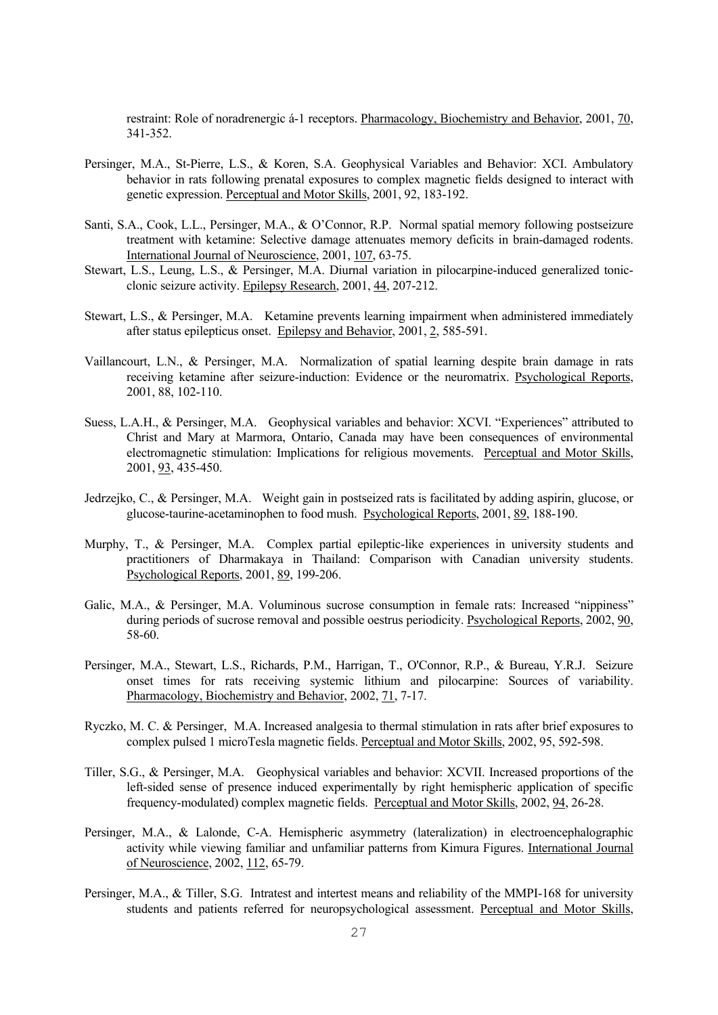restraint: Role of noradrenergic á-1 receptors. Pharmacology, Biochemistry and Behavior, 2001, 70, 341-352.

- Persinger, M.A., St-Pierre, L.S., & Koren, S.A. Geophysical Variables and Behavior: XCI. Ambulatory behavior in rats following prenatal exposures to complex magnetic fields designed to interact with genetic expression. Perceptual and Motor Skills, 2001, 92, 183-192.
- Santi, S.A., Cook, L.L., Persinger, M.A., & O'Connor, R.P. Normal spatial memory following postseizure treatment with ketamine: Selective damage attenuates memory deficits in brain-damaged rodents. International Journal of Neuroscience, 2001, 107, 63-75.
- Stewart, L.S., Leung, L.S., & Persinger, M.A. Diurnal variation in pilocarpine-induced generalized tonicclonic seizure activity. Epilepsy Research, 2001, 44, 207-212.
- Stewart, L.S., & Persinger, M.A. Ketamine prevents learning impairment when administered immediately after status epilepticus onset. Epilepsy and Behavior, 2001, 2, 585-591.
- Vaillancourt, L.N., & Persinger, M.A. Normalization of spatial learning despite brain damage in rats receiving ketamine after seizure-induction: Evidence or the neuromatrix. Psychological Reports, 2001, 88, 102-110.
- Suess, L.A.H., & Persinger, M.A. Geophysical variables and behavior: XCVI. "Experiences" attributed to Christ and Mary at Marmora, Ontario, Canada may have been consequences of environmental electromagnetic stimulation: Implications for religious movements. Perceptual and Motor Skills, 2001, 93, 435-450.
- Jedrzejko, C., & Persinger, M.A. Weight gain in postseized rats is facilitated by adding aspirin, glucose, or glucose-taurine-acetaminophen to food mush. Psychological Reports, 2001, 89, 188-190.
- Murphy, T., & Persinger, M.A. Complex partial epileptic-like experiences in university students and practitioners of Dharmakaya in Thailand: Comparison with Canadian university students. Psychological Reports, 2001, 89, 199-206.
- Galic, M.A., & Persinger, M.A. Voluminous sucrose consumption in female rats: Increased "nippiness" during periods of sucrose removal and possible oestrus periodicity. Psychological Reports, 2002, 90, 58-60.
- Persinger, M.A., Stewart, L.S., Richards, P.M., Harrigan, T., O'Connor, R.P., & Bureau, Y.R.J. Seizure onset times for rats receiving systemic lithium and pilocarpine: Sources of variability. Pharmacology, Biochemistry and Behavior, 2002, 71, 7-17.
- Ryczko, M. C. & Persinger, M.A. Increased analgesia to thermal stimulation in rats after brief exposures to complex pulsed 1 microTesla magnetic fields. Perceptual and Motor Skills, 2002, 95, 592-598.
- Tiller, S.G., & Persinger, M.A. Geophysical variables and behavior: XCVII. Increased proportions of the left-sided sense of presence induced experimentally by right hemispheric application of specific frequency-modulated) complex magnetic fields. Perceptual and Motor Skills, 2002, 94, 26-28.
- Persinger, M.A., & Lalonde, C-A. Hemispheric asymmetry (lateralization) in electroencephalographic activity while viewing familiar and unfamiliar patterns from Kimura Figures. International Journal of Neuroscience, 2002, 112, 65-79.
- Persinger, M.A., & Tiller, S.G. Intratest and intertest means and reliability of the MMPI-168 for university students and patients referred for neuropsychological assessment. Perceptual and Motor Skills,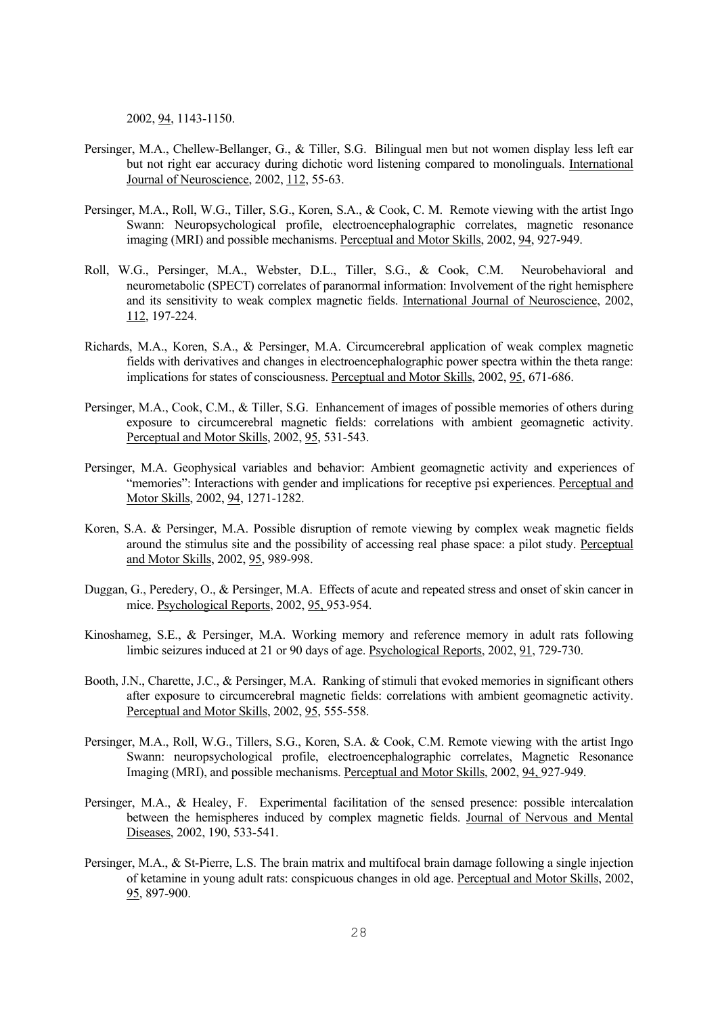2002, 94, 1143-1150.

- Persinger, M.A., Chellew-Bellanger, G., & Tiller, S.G. Bilingual men but not women display less left ear but not right ear accuracy during dichotic word listening compared to monolinguals. International Journal of Neuroscience, 2002, 112, 55-63.
- Persinger, M.A., Roll, W.G., Tiller, S.G., Koren, S.A., & Cook, C. M. Remote viewing with the artist Ingo Swann: Neuropsychological profile, electroencephalographic correlates, magnetic resonance imaging (MRI) and possible mechanisms. Perceptual and Motor Skills, 2002, 94, 927-949.
- Roll, W.G., Persinger, M.A., Webster, D.L., Tiller, S.G., & Cook, C.M. Neurobehavioral and neurometabolic (SPECT) correlates of paranormal information: Involvement of the right hemisphere and its sensitivity to weak complex magnetic fields. International Journal of Neuroscience, 2002, 112, 197-224.
- Richards, M.A., Koren, S.A., & Persinger, M.A. Circumcerebral application of weak complex magnetic fields with derivatives and changes in electroencephalographic power spectra within the theta range: implications for states of consciousness. Perceptual and Motor Skills, 2002, 95, 671-686.
- Persinger, M.A., Cook, C.M., & Tiller, S.G. Enhancement of images of possible memories of others during exposure to circumcerebral magnetic fields: correlations with ambient geomagnetic activity. Perceptual and Motor Skills, 2002, 95, 531-543.
- Persinger, M.A. Geophysical variables and behavior: Ambient geomagnetic activity and experiences of "memories": Interactions with gender and implications for receptive psi experiences. Perceptual and Motor Skills, 2002, 94, 1271-1282.
- Koren, S.A. & Persinger, M.A. Possible disruption of remote viewing by complex weak magnetic fields around the stimulus site and the possibility of accessing real phase space: a pilot study. Perceptual and Motor Skills, 2002, 95, 989-998.
- Duggan, G., Peredery, O., & Persinger, M.A. Effects of acute and repeated stress and onset of skin cancer in mice. Psychological Reports, 2002, 95, 953-954.
- Kinoshameg, S.E., & Persinger, M.A. Working memory and reference memory in adult rats following limbic seizures induced at 21 or 90 days of age. Psychological Reports, 2002, 91, 729-730.
- Booth, J.N., Charette, J.C., & Persinger, M.A. Ranking of stimuli that evoked memories in significant others after exposure to circumcerebral magnetic fields: correlations with ambient geomagnetic activity. Perceptual and Motor Skills, 2002, 95, 555-558.
- Persinger, M.A., Roll, W.G., Tillers, S.G., Koren, S.A. & Cook, C.M. Remote viewing with the artist Ingo Swann: neuropsychological profile, electroencephalographic correlates, Magnetic Resonance Imaging (MRI), and possible mechanisms. Perceptual and Motor Skills, 2002, 94, 927-949.
- Persinger, M.A., & Healey, F. Experimental facilitation of the sensed presence: possible intercalation between the hemispheres induced by complex magnetic fields. Journal of Nervous and Mental Diseases, 2002, 190, 533-541.
- Persinger, M.A., & St-Pierre, L.S. The brain matrix and multifocal brain damage following a single injection of ketamine in young adult rats: conspicuous changes in old age. Perceptual and Motor Skills, 2002, 95, 897-900.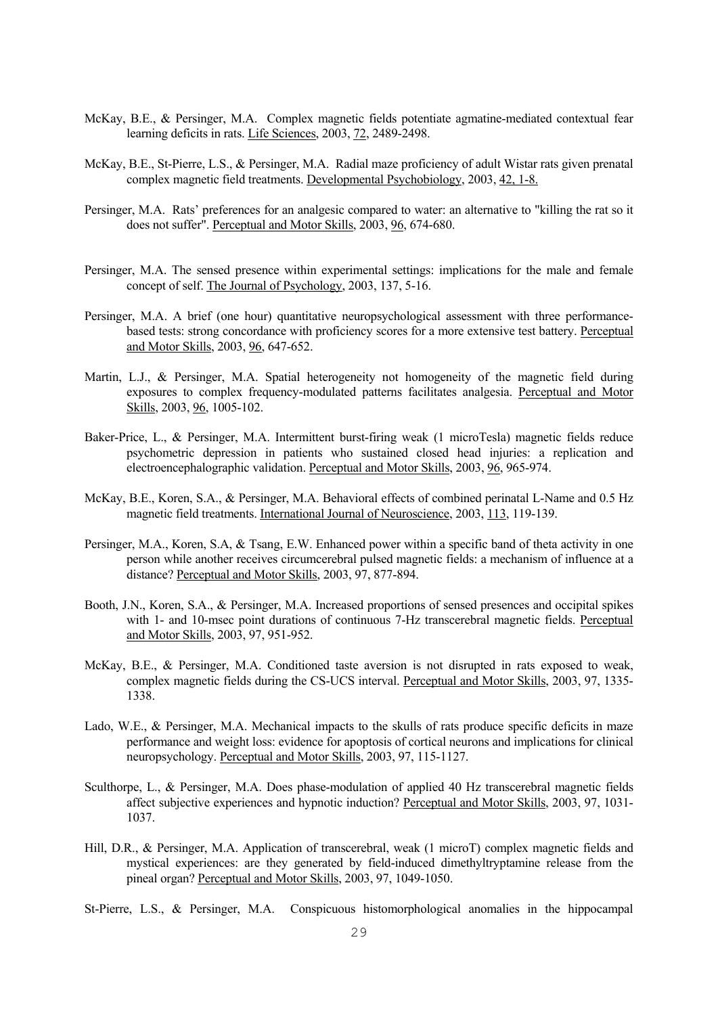- McKay, B.E., & Persinger, M.A. Complex magnetic fields potentiate agmatine-mediated contextual fear learning deficits in rats. Life Sciences, 2003, 72, 2489-2498.
- McKay, B.E., St-Pierre, L.S., & Persinger, M.A. Radial maze proficiency of adult Wistar rats given prenatal complex magnetic field treatments. Developmental Psychobiology, 2003, 42, 1-8.
- Persinger, M.A. Rats' preferences for an analgesic compared to water: an alternative to "killing the rat so it does not suffer". Perceptual and Motor Skills, 2003, 96, 674-680.
- Persinger, M.A. The sensed presence within experimental settings: implications for the male and female concept of self. The Journal of Psychology, 2003, 137, 5-16.
- Persinger, M.A. A brief (one hour) quantitative neuropsychological assessment with three performancebased tests: strong concordance with proficiency scores for a more extensive test battery. Perceptual and Motor Skills, 2003, 96, 647-652.
- Martin, L.J., & Persinger, M.A. Spatial heterogeneity not homogeneity of the magnetic field during exposures to complex frequency-modulated patterns facilitates analgesia. Perceptual and Motor Skills, 2003, 96, 1005-102.
- Baker-Price, L., & Persinger, M.A. Intermittent burst-firing weak (1 microTesla) magnetic fields reduce psychometric depression in patients who sustained closed head injuries: a replication and electroencephalographic validation. Perceptual and Motor Skills, 2003, 96, 965-974.
- McKay, B.E., Koren, S.A., & Persinger, M.A. Behavioral effects of combined perinatal L-Name and 0.5 Hz magnetic field treatments. International Journal of Neuroscience, 2003, 113, 119-139.
- Persinger, M.A., Koren, S.A, & Tsang, E.W. Enhanced power within a specific band of theta activity in one person while another receives circumcerebral pulsed magnetic fields: a mechanism of influence at a distance? Perceptual and Motor Skills, 2003, 97, 877-894.
- Booth, J.N., Koren, S.A., & Persinger, M.A. Increased proportions of sensed presences and occipital spikes with 1- and 10-msec point durations of continuous 7-Hz transcerebral magnetic fields. Perceptual and Motor Skills, 2003, 97, 951-952.
- McKay, B.E., & Persinger, M.A. Conditioned taste aversion is not disrupted in rats exposed to weak, complex magnetic fields during the CS-UCS interval. Perceptual and Motor Skills, 2003, 97, 1335- 1338.
- Lado, W.E., & Persinger, M.A. Mechanical impacts to the skulls of rats produce specific deficits in maze performance and weight loss: evidence for apoptosis of cortical neurons and implications for clinical neuropsychology. Perceptual and Motor Skills, 2003, 97, 115-1127.
- Sculthorpe, L., & Persinger, M.A. Does phase-modulation of applied 40 Hz transcerebral magnetic fields affect subjective experiences and hypnotic induction? Perceptual and Motor Skills, 2003, 97, 1031- 1037.
- Hill, D.R., & Persinger, M.A. Application of transcerebral, weak (1 microT) complex magnetic fields and mystical experiences: are they generated by field-induced dimethyltryptamine release from the pineal organ? Perceptual and Motor Skills, 2003, 97, 1049-1050.
- St-Pierre, L.S., & Persinger, M.A. Conspicuous histomorphological anomalies in the hippocampal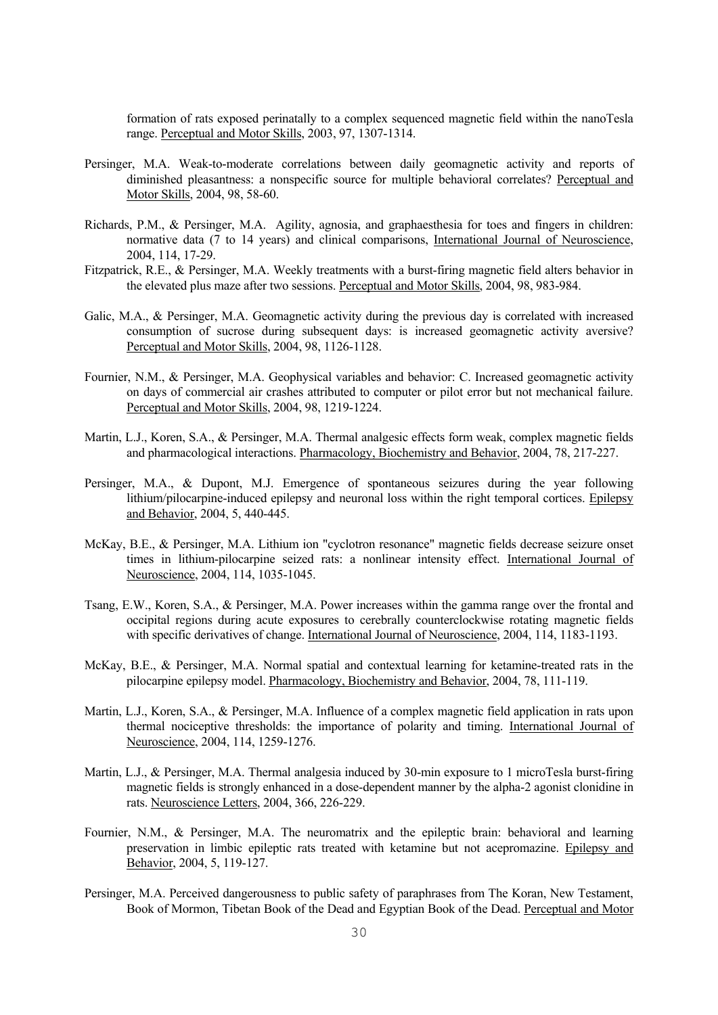formation of rats exposed perinatally to a complex sequenced magnetic field within the nanoTesla range. Perceptual and Motor Skills, 2003, 97, 1307-1314.

- Persinger, M.A. Weak-to-moderate correlations between daily geomagnetic activity and reports of diminished pleasantness: a nonspecific source for multiple behavioral correlates? Perceptual and Motor Skills, 2004, 98, 58-60.
- Richards, P.M., & Persinger, M.A. Agility, agnosia, and graphaesthesia for toes and fingers in children: normative data (7 to 14 years) and clinical comparisons, International Journal of Neuroscience, 2004, 114, 17-29.
- Fitzpatrick, R.E., & Persinger, M.A. Weekly treatments with a burst-firing magnetic field alters behavior in the elevated plus maze after two sessions. Perceptual and Motor Skills, 2004, 98, 983-984.
- Galic, M.A., & Persinger, M.A. Geomagnetic activity during the previous day is correlated with increased consumption of sucrose during subsequent days: is increased geomagnetic activity aversive? Perceptual and Motor Skills, 2004, 98, 1126-1128.
- Fournier, N.M., & Persinger, M.A. Geophysical variables and behavior: C. Increased geomagnetic activity on days of commercial air crashes attributed to computer or pilot error but not mechanical failure. Perceptual and Motor Skills, 2004, 98, 1219-1224.
- Martin, L.J., Koren, S.A., & Persinger, M.A. Thermal analgesic effects form weak, complex magnetic fields and pharmacological interactions. Pharmacology, Biochemistry and Behavior, 2004, 78, 217-227.
- Persinger, M.A., & Dupont, M.J. Emergence of spontaneous seizures during the year following lithium/pilocarpine-induced epilepsy and neuronal loss within the right temporal cortices. Epilepsy and Behavior, 2004, 5, 440-445.
- McKay, B.E., & Persinger, M.A. Lithium ion "cyclotron resonance" magnetic fields decrease seizure onset times in lithium-pilocarpine seized rats: a nonlinear intensity effect. International Journal of Neuroscience, 2004, 114, 1035-1045.
- Tsang, E.W., Koren, S.A., & Persinger, M.A. Power increases within the gamma range over the frontal and occipital regions during acute exposures to cerebrally counterclockwise rotating magnetic fields with specific derivatives of change. International Journal of Neuroscience, 2004, 114, 1183-1193.
- McKay, B.E., & Persinger, M.A. Normal spatial and contextual learning for ketamine-treated rats in the pilocarpine epilepsy model. Pharmacology, Biochemistry and Behavior, 2004, 78, 111-119.
- Martin, L.J., Koren, S.A., & Persinger, M.A. Influence of a complex magnetic field application in rats upon thermal nociceptive thresholds: the importance of polarity and timing. International Journal of Neuroscience, 2004, 114, 1259-1276.
- Martin, L.J., & Persinger, M.A. Thermal analgesia induced by 30-min exposure to 1 microTesla burst-firing magnetic fields is strongly enhanced in a dose-dependent manner by the alpha-2 agonist clonidine in rats. Neuroscience Letters, 2004, 366, 226-229.
- Fournier, N.M., & Persinger, M.A. The neuromatrix and the epileptic brain: behavioral and learning preservation in limbic epileptic rats treated with ketamine but not acepromazine. Epilepsy and Behavior, 2004, 5, 119-127.
- Persinger, M.A. Perceived dangerousness to public safety of paraphrases from The Koran, New Testament, Book of Mormon, Tibetan Book of the Dead and Egyptian Book of the Dead. Perceptual and Motor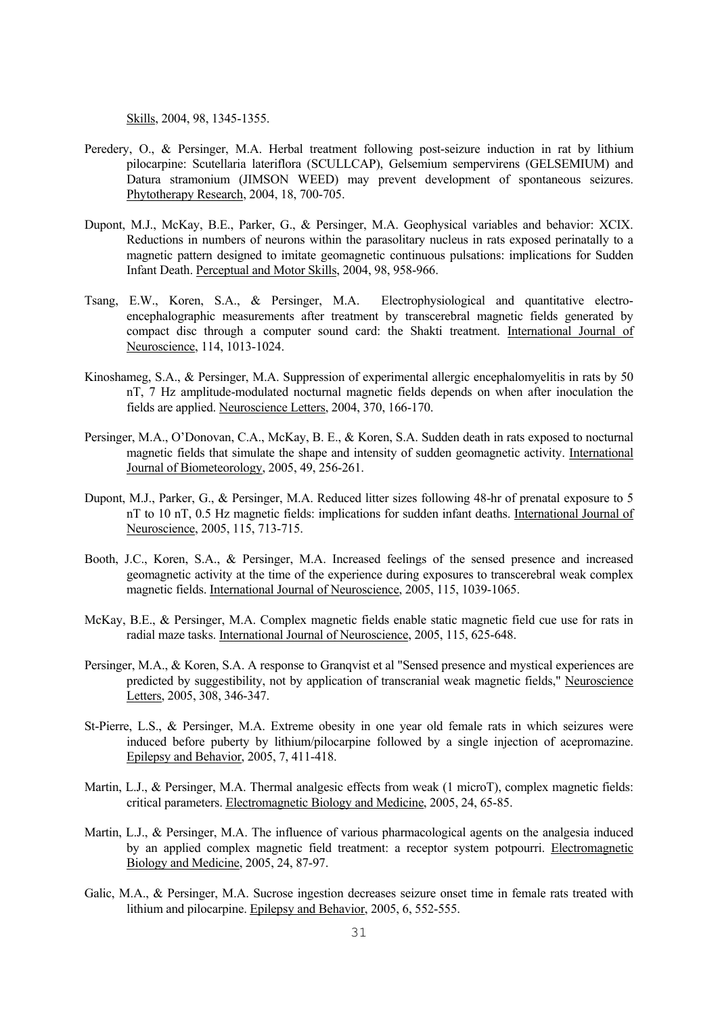Skills, 2004, 98, 1345-1355.

- Peredery, O., & Persinger, M.A. Herbal treatment following post-seizure induction in rat by lithium pilocarpine: Scutellaria lateriflora (SCULLCAP), Gelsemium sempervirens (GELSEMIUM) and Datura stramonium (JIMSON WEED) may prevent development of spontaneous seizures. Phytotherapy Research, 2004, 18, 700-705.
- Dupont, M.J., McKay, B.E., Parker, G., & Persinger, M.A. Geophysical variables and behavior: XCIX. Reductions in numbers of neurons within the parasolitary nucleus in rats exposed perinatally to a magnetic pattern designed to imitate geomagnetic continuous pulsations: implications for Sudden Infant Death. Perceptual and Motor Skills, 2004, 98, 958-966.
- Tsang, E.W., Koren, S.A., & Persinger, M.A. Electrophysiological and quantitative electroencephalographic measurements after treatment by transcerebral magnetic fields generated by compact disc through a computer sound card: the Shakti treatment. International Journal of Neuroscience, 114, 1013-1024.
- Kinoshameg, S.A., & Persinger, M.A. Suppression of experimental allergic encephalomyelitis in rats by 50 nT, 7 Hz amplitude-modulated nocturnal magnetic fields depends on when after inoculation the fields are applied. Neuroscience Letters, 2004, 370, 166-170.
- Persinger, M.A., O'Donovan, C.A., McKay, B. E., & Koren, S.A. Sudden death in rats exposed to nocturnal magnetic fields that simulate the shape and intensity of sudden geomagnetic activity. International Journal of Biometeorology, 2005, 49, 256-261.
- Dupont, M.J., Parker, G., & Persinger, M.A. Reduced litter sizes following 48-hr of prenatal exposure to 5 nT to 10 nT, 0.5 Hz magnetic fields: implications for sudden infant deaths. International Journal of Neuroscience, 2005, 115, 713-715.
- Booth, J.C., Koren, S.A., & Persinger, M.A. Increased feelings of the sensed presence and increased geomagnetic activity at the time of the experience during exposures to transcerebral weak complex magnetic fields. International Journal of Neuroscience, 2005, 115, 1039-1065.
- McKay, B.E., & Persinger, M.A. Complex magnetic fields enable static magnetic field cue use for rats in radial maze tasks. International Journal of Neuroscience, 2005, 115, 625-648.
- Persinger, M.A., & Koren, S.A. A response to Granqvist et al "Sensed presence and mystical experiences are predicted by suggestibility, not by application of transcranial weak magnetic fields," Neuroscience Letters, 2005, 308, 346-347.
- St-Pierre, L.S., & Persinger, M.A. Extreme obesity in one year old female rats in which seizures were induced before puberty by lithium/pilocarpine followed by a single injection of acepromazine. Epilepsy and Behavior, 2005, 7, 411-418.
- Martin, L.J., & Persinger, M.A. Thermal analgesic effects from weak (1 microT), complex magnetic fields: critical parameters. Electromagnetic Biology and Medicine, 2005, 24, 65-85.
- Martin, L.J., & Persinger, M.A. The influence of various pharmacological agents on the analgesia induced by an applied complex magnetic field treatment: a receptor system potpourri. Electromagnetic Biology and Medicine, 2005, 24, 87-97.
- Galic, M.A., & Persinger, M.A. Sucrose ingestion decreases seizure onset time in female rats treated with lithium and pilocarpine. Epilepsy and Behavior, 2005, 6, 552-555.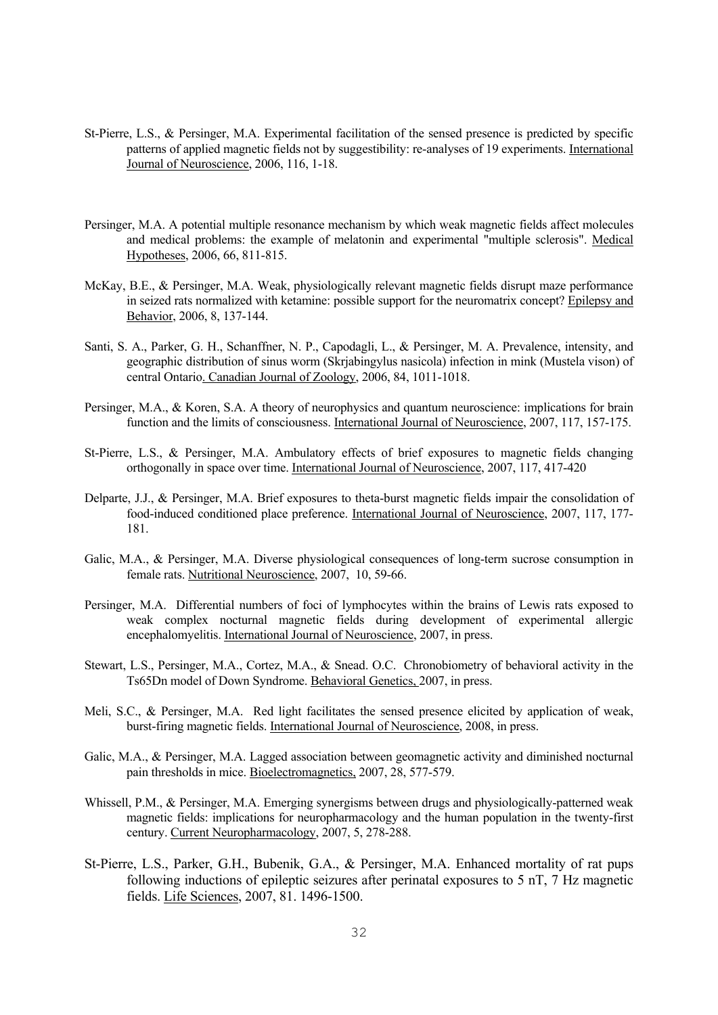- St-Pierre, L.S., & Persinger, M.A. Experimental facilitation of the sensed presence is predicted by specific patterns of applied magnetic fields not by suggestibility: re-analyses of 19 experiments. International Journal of Neuroscience, 2006, 116, 1-18.
- Persinger, M.A. A potential multiple resonance mechanism by which weak magnetic fields affect molecules and medical problems: the example of melatonin and experimental "multiple sclerosis". Medical Hypotheses, 2006, 66, 811-815.
- McKay, B.E., & Persinger, M.A. Weak, physiologically relevant magnetic fields disrupt maze performance in seized rats normalized with ketamine: possible support for the neuromatrix concept? Epilepsy and Behavior, 2006, 8, 137-144.
- Santi, S. A., Parker, G. H., Schanffner, N. P., Capodagli, L., & Persinger, M. A. Prevalence, intensity, and geographic distribution of sinus worm (Skrjabingylus nasicola) infection in mink (Mustela vison) of central Ontario. Canadian Journal of Zoology, 2006, 84, 1011-1018.
- Persinger, M.A., & Koren, S.A. A theory of neurophysics and quantum neuroscience: implications for brain function and the limits of consciousness. International Journal of Neuroscience, 2007, 117, 157-175.
- St-Pierre, L.S., & Persinger, M.A. Ambulatory effects of brief exposures to magnetic fields changing orthogonally in space over time. International Journal of Neuroscience, 2007, 117, 417-420
- Delparte, J.J., & Persinger, M.A. Brief exposures to theta-burst magnetic fields impair the consolidation of food-induced conditioned place preference. International Journal of Neuroscience, 2007, 117, 177- 181.
- Galic, M.A., & Persinger, M.A. Diverse physiological consequences of long-term sucrose consumption in female rats. Nutritional Neuroscience, 2007, 10, 59-66.
- Persinger, M.A. Differential numbers of foci of lymphocytes within the brains of Lewis rats exposed to weak complex nocturnal magnetic fields during development of experimental allergic encephalomyelitis. International Journal of Neuroscience, 2007, in press.
- Stewart, L.S., Persinger, M.A., Cortez, M.A., & Snead. O.C. Chronobiometry of behavioral activity in the Ts65Dn model of Down Syndrome. Behavioral Genetics, 2007, in press.
- Meli, S.C., & Persinger, M.A. Red light facilitates the sensed presence elicited by application of weak, burst-firing magnetic fields. International Journal of Neuroscience, 2008, in press.
- Galic, M.A., & Persinger, M.A. Lagged association between geomagnetic activity and diminished nocturnal pain thresholds in mice. Bioelectromagnetics, 2007, 28, 577-579.
- Whissell, P.M., & Persinger, M.A. Emerging synergisms between drugs and physiologically-patterned weak magnetic fields: implications for neuropharmacology and the human population in the twenty-first century. Current Neuropharmacology, 2007, 5, 278-288.
- St-Pierre, L.S., Parker, G.H., Bubenik, G.A., & Persinger, M.A. Enhanced mortality of rat pups following inductions of epileptic seizures after perinatal exposures to 5 nT, 7 Hz magnetic fields. Life Sciences, 2007, 81. 1496-1500.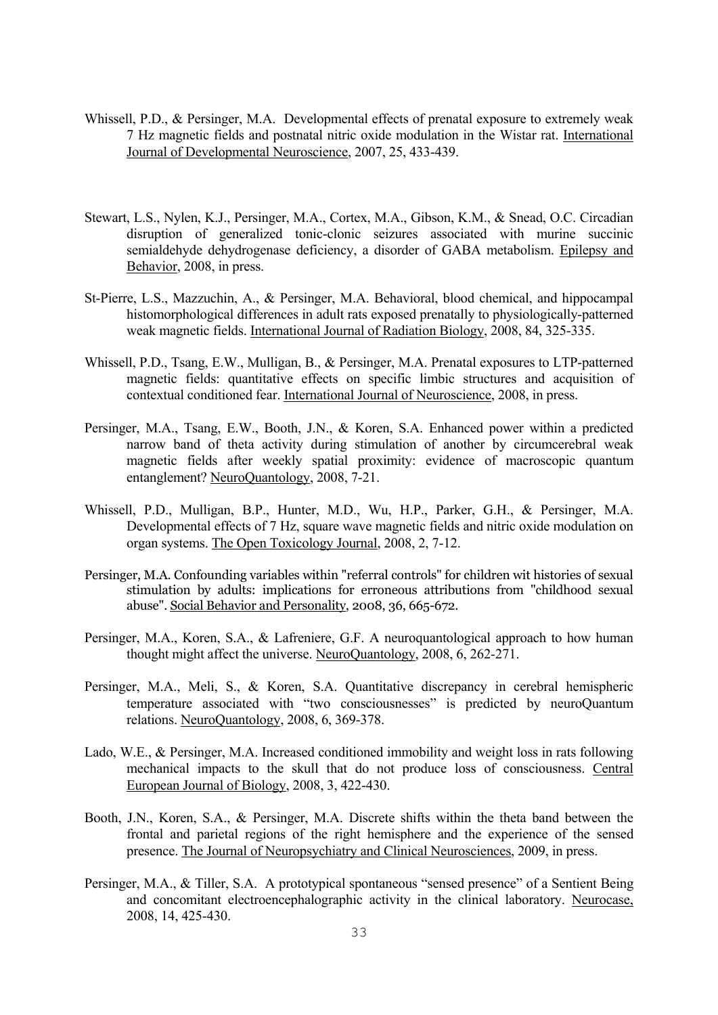- Whissell, P.D., & Persinger, M.A. Developmental effects of prenatal exposure to extremely weak 7 Hz magnetic fields and postnatal nitric oxide modulation in the Wistar rat. International Journal of Developmental Neuroscience, 2007, 25, 433-439.
- Stewart, L.S., Nylen, K.J., Persinger, M.A., Cortex, M.A., Gibson, K.M., & Snead, O.C. Circadian disruption of generalized tonic-clonic seizures associated with murine succinic semialdehyde dehydrogenase deficiency, a disorder of GABA metabolism. Epilepsy and Behavior, 2008, in press.
- St-Pierre, L.S., Mazzuchin, A., & Persinger, M.A. Behavioral, blood chemical, and hippocampal histomorphological differences in adult rats exposed prenatally to physiologically-patterned weak magnetic fields. International Journal of Radiation Biology, 2008, 84, 325-335.
- Whissell, P.D., Tsang, E.W., Mulligan, B., & Persinger, M.A. Prenatal exposures to LTP-patterned magnetic fields: quantitative effects on specific limbic structures and acquisition of contextual conditioned fear. International Journal of Neuroscience, 2008, in press.
- Persinger, M.A., Tsang, E.W., Booth, J.N., & Koren, S.A. Enhanced power within a predicted narrow band of theta activity during stimulation of another by circumcerebral weak magnetic fields after weekly spatial proximity: evidence of macroscopic quantum entanglement? NeuroQuantology, 2008, 7-21.
- Whissell, P.D., Mulligan, B.P., Hunter, M.D., Wu, H.P., Parker, G.H., & Persinger, M.A. Developmental effects of 7 Hz, square wave magnetic fields and nitric oxide modulation on organ systems. The Open Toxicology Journal, 2008, 2, 7-12.
- Persinger, M.A. Confounding variables within "referral controls" for children wit histories of sexual stimulation by adults: implications for erroneous attributions from "childhood sexual abuse". Social Behavior and Personality, 2008, 36, 665-672.
- Persinger, M.A., Koren, S.A., & Lafreniere, G.F. A neuroquantological approach to how human thought might affect the universe. NeuroQuantology, 2008, 6, 262-271.
- Persinger, M.A., Meli, S., & Koren, S.A. Quantitative discrepancy in cerebral hemispheric temperature associated with "two consciousnesses" is predicted by neuroQuantum relations. NeuroQuantology, 2008, 6, 369-378.
- Lado, W.E., & Persinger, M.A. Increased conditioned immobility and weight loss in rats following mechanical impacts to the skull that do not produce loss of consciousness. Central European Journal of Biology, 2008, 3, 422-430.
- Booth, J.N., Koren, S.A., & Persinger, M.A. Discrete shifts within the theta band between the frontal and parietal regions of the right hemisphere and the experience of the sensed presence. The Journal of Neuropsychiatry and Clinical Neurosciences, 2009, in press.
- Persinger, M.A., & Tiller, S.A. A prototypical spontaneous "sensed presence" of a Sentient Being and concomitant electroencephalographic activity in the clinical laboratory. Neurocase, 2008, 14, 425-430.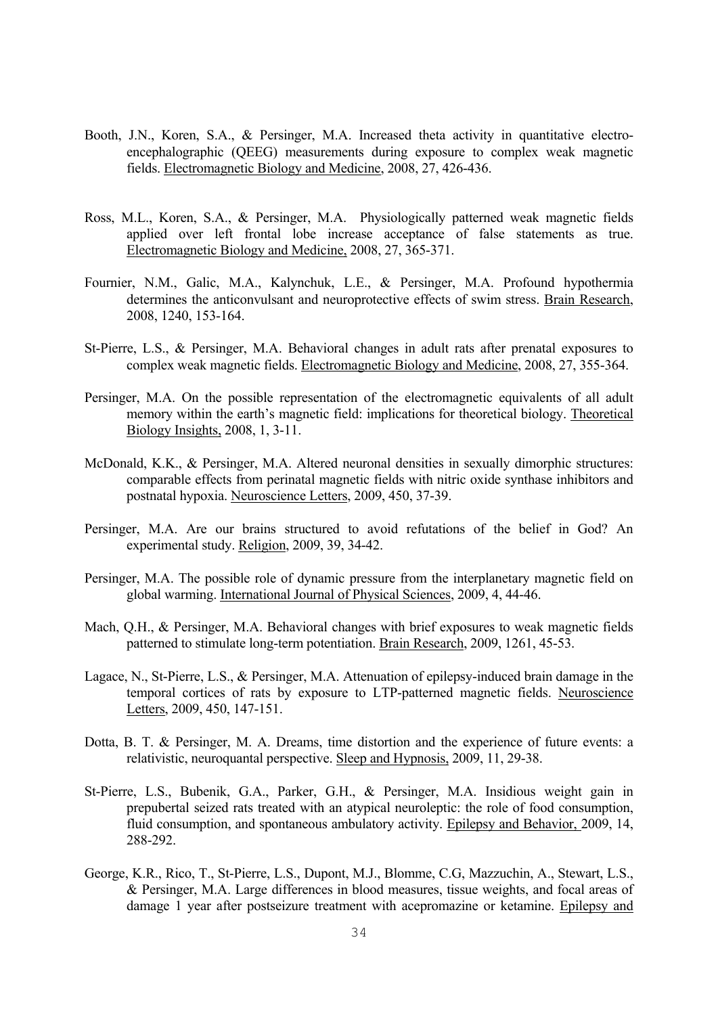- Booth, J.N., Koren, S.A., & Persinger, M.A. Increased theta activity in quantitative electroencephalographic (QEEG) measurements during exposure to complex weak magnetic fields. Electromagnetic Biology and Medicine, 2008, 27, 426-436.
- Ross, M.L., Koren, S.A., & Persinger, M.A. Physiologically patterned weak magnetic fields applied over left frontal lobe increase acceptance of false statements as true. Electromagnetic Biology and Medicine, 2008, 27, 365-371.
- Fournier, N.M., Galic, M.A., Kalynchuk, L.E., & Persinger, M.A. Profound hypothermia determines the anticonvulsant and neuroprotective effects of swim stress. Brain Research, 2008, 1240, 153-164.
- St-Pierre, L.S., & Persinger, M.A. Behavioral changes in adult rats after prenatal exposures to complex weak magnetic fields. Electromagnetic Biology and Medicine, 2008, 27, 355-364.
- Persinger, M.A. On the possible representation of the electromagnetic equivalents of all adult memory within the earth's magnetic field: implications for theoretical biology. Theoretical Biology Insights, 2008, 1, 3-11.
- McDonald, K.K., & Persinger, M.A. Altered neuronal densities in sexually dimorphic structures: comparable effects from perinatal magnetic fields with nitric oxide synthase inhibitors and postnatal hypoxia. Neuroscience Letters, 2009, 450, 37-39.
- Persinger, M.A. Are our brains structured to avoid refutations of the belief in God? An experimental study. Religion, 2009, 39, 34-42.
- Persinger, M.A. The possible role of dynamic pressure from the interplanetary magnetic field on global warming. International Journal of Physical Sciences, 2009, 4, 44-46.
- Mach, Q.H., & Persinger, M.A. Behavioral changes with brief exposures to weak magnetic fields patterned to stimulate long-term potentiation. Brain Research, 2009, 1261, 45-53.
- Lagace, N., St-Pierre, L.S., & Persinger, M.A. Attenuation of epilepsy-induced brain damage in the temporal cortices of rats by exposure to LTP-patterned magnetic fields. Neuroscience Letters, 2009, 450, 147-151.
- Dotta, B. T. & Persinger, M. A. Dreams, time distortion and the experience of future events: a relativistic, neuroquantal perspective. Sleep and Hypnosis, 2009, 11, 29-38.
- St-Pierre, L.S., Bubenik, G.A., Parker, G.H., & Persinger, M.A. Insidious weight gain in prepubertal seized rats treated with an atypical neuroleptic: the role of food consumption, fluid consumption, and spontaneous ambulatory activity. Epilepsy and Behavior, 2009, 14, 288-292.
- George, K.R., Rico, T., St-Pierre, L.S., Dupont, M.J., Blomme, C.G, Mazzuchin, A., Stewart, L.S., & Persinger, M.A. Large differences in blood measures, tissue weights, and focal areas of damage 1 year after postseizure treatment with acepromazine or ketamine. Epilepsy and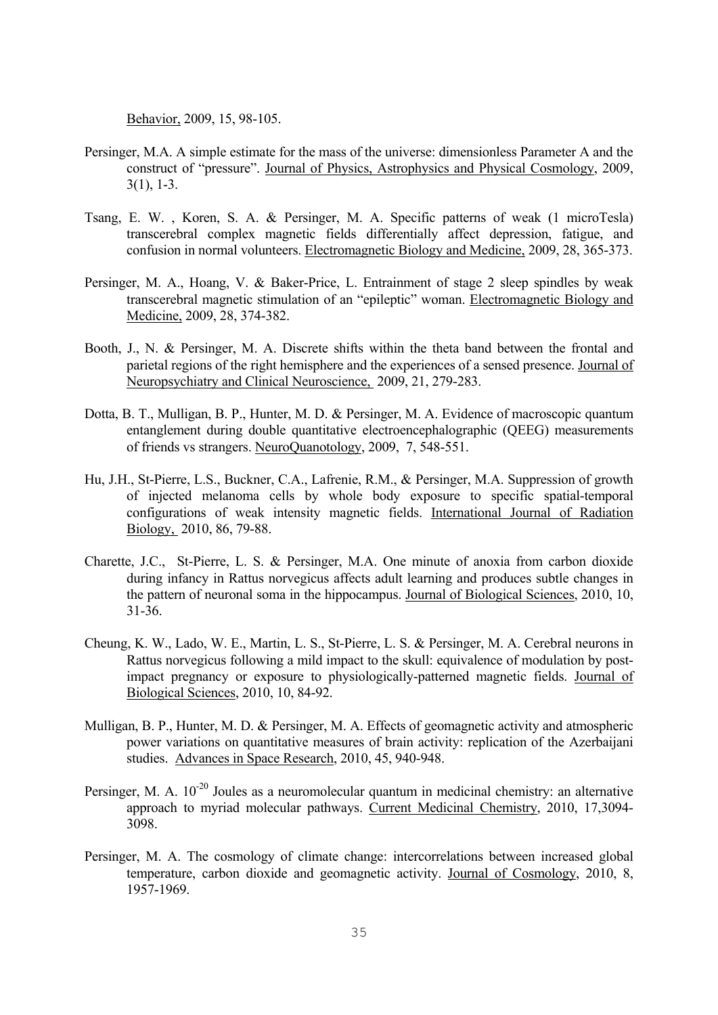Behavior, 2009, 15, 98-105.

- Persinger, M.A. A simple estimate for the mass of the universe: dimensionless Parameter A and the construct of "pressure". Journal of Physics, Astrophysics and Physical Cosmology, 2009, 3(1), 1-3.
- Tsang, E. W. , Koren, S. A. & Persinger, M. A. Specific patterns of weak (1 microTesla) transcerebral complex magnetic fields differentially affect depression, fatigue, and confusion in normal volunteers. Electromagnetic Biology and Medicine, 2009, 28, 365-373.
- Persinger, M. A., Hoang, V. & Baker-Price, L. Entrainment of stage 2 sleep spindles by weak transcerebral magnetic stimulation of an "epileptic" woman. Electromagnetic Biology and Medicine, 2009, 28, 374-382.
- Booth, J., N. & Persinger, M. A. Discrete shifts within the theta band between the frontal and parietal regions of the right hemisphere and the experiences of a sensed presence. Journal of Neuropsychiatry and Clinical Neuroscience, 2009, 21, 279-283.
- Dotta, B. T., Mulligan, B. P., Hunter, M. D. & Persinger, M. A. Evidence of macroscopic quantum entanglement during double quantitative electroencephalographic (QEEG) measurements of friends vs strangers. NeuroQuanotology, 2009, 7, 548-551.
- Hu, J.H., St-Pierre, L.S., Buckner, C.A., Lafrenie, R.M., & Persinger, M.A. Suppression of growth of injected melanoma cells by whole body exposure to specific spatial-temporal configurations of weak intensity magnetic fields. International Journal of Radiation Biology, 2010, 86, 79-88.
- Charette, J.C., St-Pierre, L. S. & Persinger, M.A. One minute of anoxia from carbon dioxide during infancy in Rattus norvegicus affects adult learning and produces subtle changes in the pattern of neuronal soma in the hippocampus. Journal of Biological Sciences, 2010, 10, 31-36.
- Cheung, K. W., Lado, W. E., Martin, L. S., St-Pierre, L. S. & Persinger, M. A. Cerebral neurons in Rattus norvegicus following a mild impact to the skull: equivalence of modulation by postimpact pregnancy or exposure to physiologically-patterned magnetic fields. Journal of Biological Sciences, 2010, 10, 84-92.
- Mulligan, B. P., Hunter, M. D. & Persinger, M. A. Effects of geomagnetic activity and atmospheric power variations on quantitative measures of brain activity: replication of the Azerbaijani studies. Advances in Space Research, 2010, 45, 940-948.
- Persinger, M. A.  $10^{-20}$  Joules as a neuromolecular quantum in medicinal chemistry: an alternative approach to myriad molecular pathways. Current Medicinal Chemistry, 2010, 17,3094- 3098.
- Persinger, M. A. The cosmology of climate change: intercorrelations between increased global temperature, carbon dioxide and geomagnetic activity. Journal of Cosmology, 2010, 8, 1957-1969.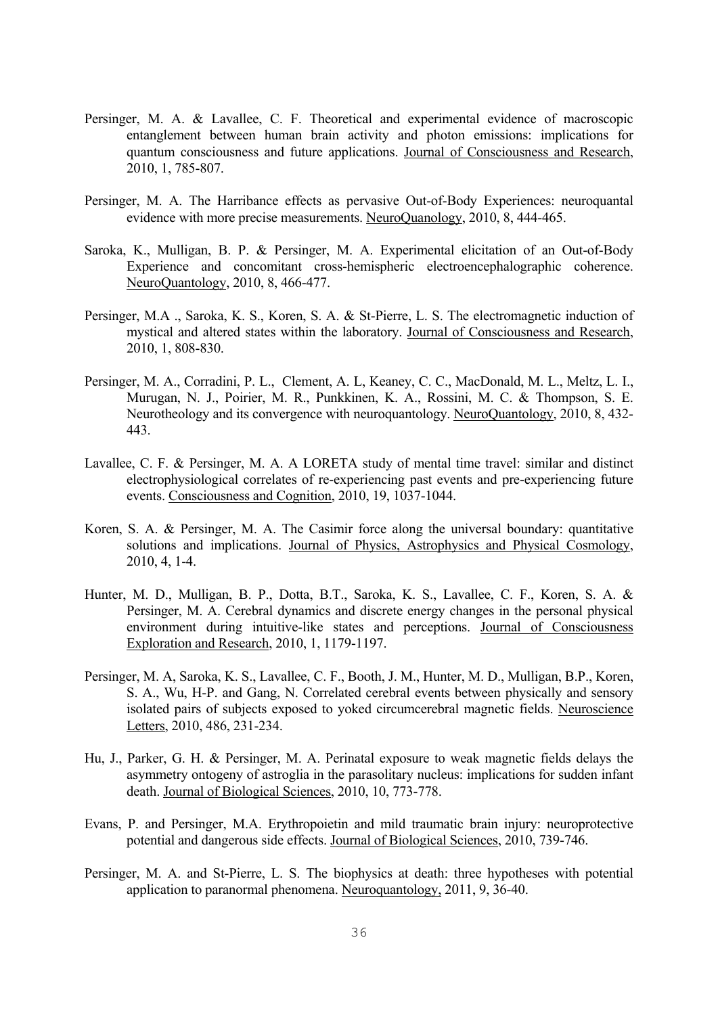- Persinger, M. A. & Lavallee, C. F. Theoretical and experimental evidence of macroscopic entanglement between human brain activity and photon emissions: implications for quantum consciousness and future applications. Journal of Consciousness and Research, 2010, 1, 785-807.
- Persinger, M. A. The Harribance effects as pervasive Out-of-Body Experiences: neuroquantal evidence with more precise measurements. NeuroQuanology, 2010, 8, 444-465.
- Saroka, K., Mulligan, B. P. & Persinger, M. A. Experimental elicitation of an Out-of-Body Experience and concomitant cross-hemispheric electroencephalographic coherence. NeuroQuantology, 2010, 8, 466-477.
- Persinger, M.A ., Saroka, K. S., Koren, S. A. & St-Pierre, L. S. The electromagnetic induction of mystical and altered states within the laboratory. Journal of Consciousness and Research, 2010, 1, 808-830.
- Persinger, M. A., Corradini, P. L., Clement, A. L, Keaney, C. C., MacDonald, M. L., Meltz, L. I., Murugan, N. J., Poirier, M. R., Punkkinen, K. A., Rossini, M. C. & Thompson, S. E. Neurotheology and its convergence with neuroquantology. NeuroQuantology, 2010, 8, 432- 443.
- Lavallee, C. F. & Persinger, M. A. A LORETA study of mental time travel: similar and distinct electrophysiological correlates of re-experiencing past events and pre-experiencing future events. Consciousness and Cognition, 2010, 19, 1037-1044.
- Koren, S. A. & Persinger, M. A. The Casimir force along the universal boundary: quantitative solutions and implications. Journal of Physics, Astrophysics and Physical Cosmology, 2010, 4, 1-4.
- Hunter, M. D., Mulligan, B. P., Dotta, B.T., Saroka, K. S., Lavallee, C. F., Koren, S. A. & Persinger, M. A. Cerebral dynamics and discrete energy changes in the personal physical environment during intuitive-like states and perceptions. Journal of Consciousness Exploration and Research, 2010, 1, 1179-1197.
- Persinger, M. A, Saroka, K. S., Lavallee, C. F., Booth, J. M., Hunter, M. D., Mulligan, B.P., Koren, S. A., Wu, H-P. and Gang, N. Correlated cerebral events between physically and sensory isolated pairs of subjects exposed to yoked circumcerebral magnetic fields. Neuroscience Letters, 2010, 486, 231-234.
- Hu, J., Parker, G. H. & Persinger, M. A. Perinatal exposure to weak magnetic fields delays the asymmetry ontogeny of astroglia in the parasolitary nucleus: implications for sudden infant death. Journal of Biological Sciences, 2010, 10, 773-778.
- Evans, P. and Persinger, M.A. Erythropoietin and mild traumatic brain injury: neuroprotective potential and dangerous side effects. Journal of Biological Sciences, 2010, 739-746.
- Persinger, M. A. and St-Pierre, L. S. The biophysics at death: three hypotheses with potential application to paranormal phenomena. Neuroquantology, 2011, 9, 36-40.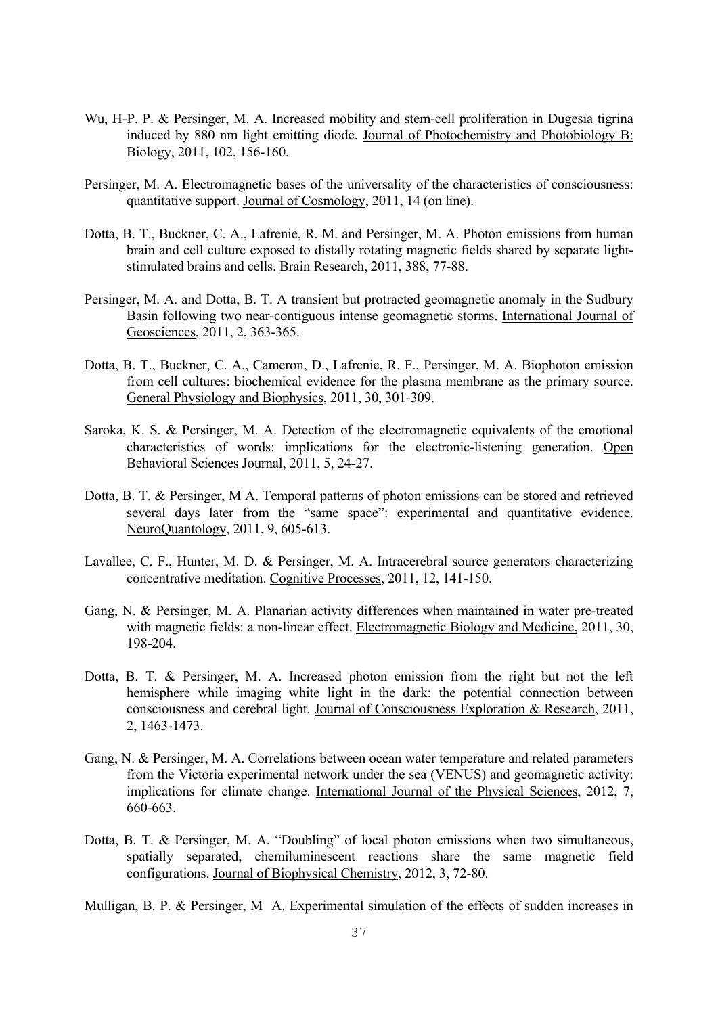- Wu, H-P. P. & Persinger, M. A. Increased mobility and stem-cell proliferation in Dugesia tigrina induced by 880 nm light emitting diode. Journal of Photochemistry and Photobiology B: Biology, 2011, 102, 156-160.
- Persinger, M. A. Electromagnetic bases of the universality of the characteristics of consciousness: quantitative support. Journal of Cosmology, 2011, 14 (on line).
- Dotta, B. T., Buckner, C. A., Lafrenie, R. M. and Persinger, M. A. Photon emissions from human brain and cell culture exposed to distally rotating magnetic fields shared by separate lightstimulated brains and cells. Brain Research, 2011, 388, 77-88.
- Persinger, M. A. and Dotta, B. T. A transient but protracted geomagnetic anomaly in the Sudbury Basin following two near-contiguous intense geomagnetic storms. International Journal of Geosciences, 2011, 2, 363-365.
- Dotta, B. T., Buckner, C. A., Cameron, D., Lafrenie, R. F., Persinger, M. A. Biophoton emission from cell cultures: biochemical evidence for the plasma membrane as the primary source. General Physiology and Biophysics, 2011, 30, 301-309.
- Saroka, K. S. & Persinger, M. A. Detection of the electromagnetic equivalents of the emotional characteristics of words: implications for the electronic-listening generation. Open Behavioral Sciences Journal, 2011, 5, 24-27.
- Dotta, B. T. & Persinger, M A. Temporal patterns of photon emissions can be stored and retrieved several days later from the "same space": experimental and quantitative evidence. NeuroQuantology, 2011, 9, 605-613.
- Lavallee, C. F., Hunter, M. D. & Persinger, M. A. Intracerebral source generators characterizing concentrative meditation. Cognitive Processes, 2011, 12, 141-150.
- Gang, N. & Persinger, M. A. Planarian activity differences when maintained in water pre-treated with magnetic fields: a non-linear effect. Electromagnetic Biology and Medicine, 2011, 30, 198-204.
- Dotta, B. T. & Persinger, M. A. Increased photon emission from the right but not the left hemisphere while imaging white light in the dark: the potential connection between consciousness and cerebral light. Journal of Consciousness Exploration & Research, 2011, 2, 1463-1473.
- Gang, N. & Persinger, M. A. Correlations between ocean water temperature and related parameters from the Victoria experimental network under the sea (VENUS) and geomagnetic activity: implications for climate change. International Journal of the Physical Sciences, 2012, 7, 660-663.
- Dotta, B. T. & Persinger, M. A. "Doubling" of local photon emissions when two simultaneous, spatially separated, chemiluminescent reactions share the same magnetic field configurations. Journal of Biophysical Chemistry, 2012, 3, 72-80.

Mulligan, B. P. & Persinger, M A. Experimental simulation of the effects of sudden increases in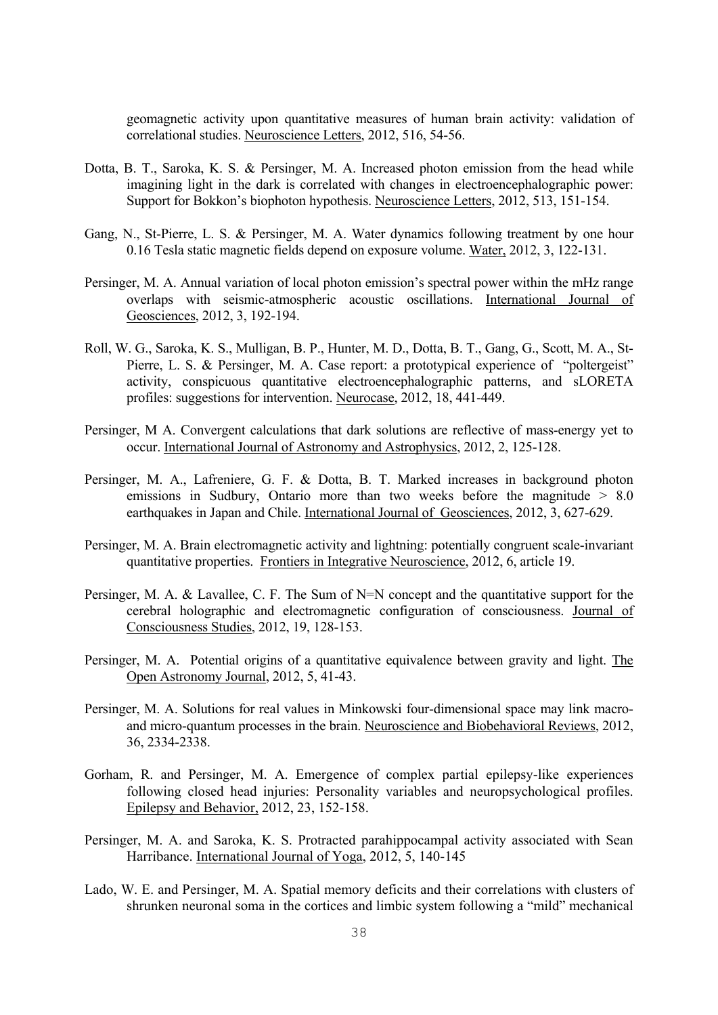geomagnetic activity upon quantitative measures of human brain activity: validation of correlational studies. Neuroscience Letters, 2012, 516, 54-56.

- Dotta, B. T., Saroka, K. S. & Persinger, M. A. Increased photon emission from the head while imagining light in the dark is correlated with changes in electroencephalographic power: Support for Bokkon's biophoton hypothesis. Neuroscience Letters, 2012, 513, 151-154.
- Gang, N., St-Pierre, L. S. & Persinger, M. A. Water dynamics following treatment by one hour 0.16 Tesla static magnetic fields depend on exposure volume. Water, 2012, 3, 122-131.
- Persinger, M. A. Annual variation of local photon emission's spectral power within the mHz range overlaps with seismic-atmospheric acoustic oscillations. International Journal of Geosciences, 2012, 3, 192-194.
- Roll, W. G., Saroka, K. S., Mulligan, B. P., Hunter, M. D., Dotta, B. T., Gang, G., Scott, M. A., St-Pierre, L. S. & Persinger, M. A. Case report: a prototypical experience of "poltergeist" activity, conspicuous quantitative electroencephalographic patterns, and sLORETA profiles: suggestions for intervention. Neurocase, 2012, 18, 441-449.
- Persinger, M A. Convergent calculations that dark solutions are reflective of mass-energy yet to occur. International Journal of Astronomy and Astrophysics, 2012, 2, 125-128.
- Persinger, M. A., Lafreniere, G. F. & Dotta, B. T. Marked increases in background photon emissions in Sudbury, Ontario more than two weeks before the magnitude  $> 8.0$ earthquakes in Japan and Chile. International Journal of Geosciences, 2012, 3, 627-629.
- Persinger, M. A. Brain electromagnetic activity and lightning: potentially congruent scale-invariant quantitative properties. Frontiers in Integrative Neuroscience, 2012, 6, article 19.
- Persinger, M. A. & Lavallee, C. F. The Sum of N=N concept and the quantitative support for the cerebral holographic and electromagnetic configuration of consciousness. Journal of Consciousness Studies, 2012, 19, 128-153.
- Persinger, M. A. Potential origins of a quantitative equivalence between gravity and light. The Open Astronomy Journal, 2012, 5, 41-43.
- Persinger, M. A. Solutions for real values in Minkowski four-dimensional space may link macroand micro-quantum processes in the brain. Neuroscience and Biobehavioral Reviews, 2012, 36, 2334-2338.
- Gorham, R. and Persinger, M. A. Emergence of complex partial epilepsy-like experiences following closed head injuries: Personality variables and neuropsychological profiles. Epilepsy and Behavior, 2012, 23, 152-158.
- Persinger, M. A. and Saroka, K. S. Protracted parahippocampal activity associated with Sean Harribance. International Journal of Yoga, 2012, 5, 140-145
- Lado, W. E. and Persinger, M. A. Spatial memory deficits and their correlations with clusters of shrunken neuronal soma in the cortices and limbic system following a "mild" mechanical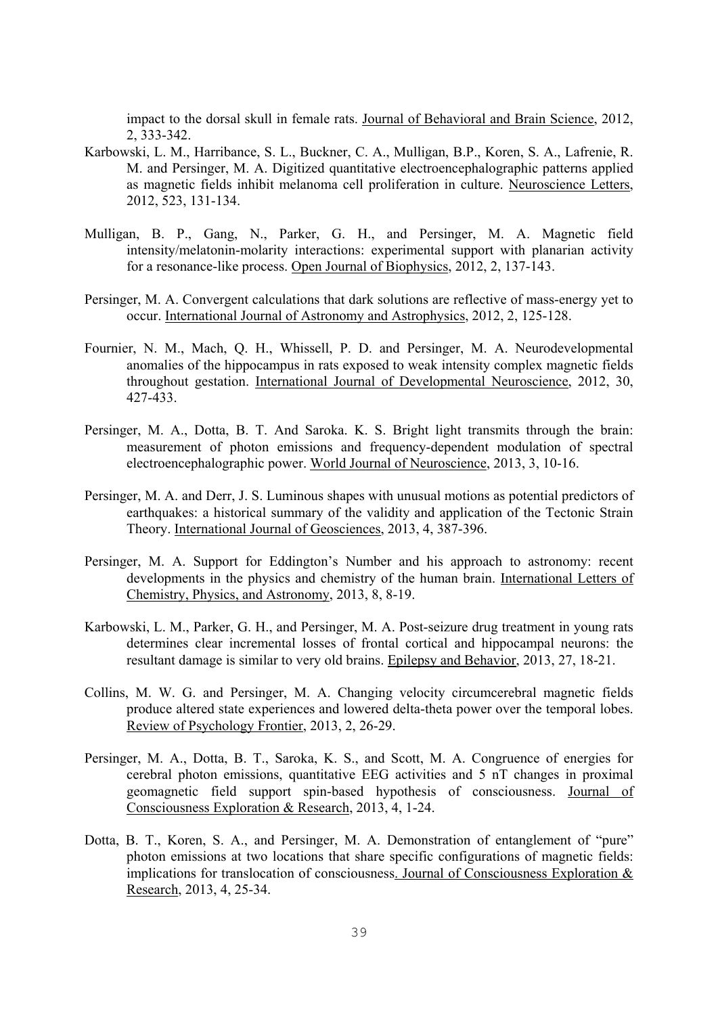impact to the dorsal skull in female rats. Journal of Behavioral and Brain Science, 2012, 2, 333-342.

- Karbowski, L. M., Harribance, S. L., Buckner, C. A., Mulligan, B.P., Koren, S. A., Lafrenie, R. M. and Persinger, M. A. Digitized quantitative electroencephalographic patterns applied as magnetic fields inhibit melanoma cell proliferation in culture. Neuroscience Letters, 2012, 523, 131-134.
- Mulligan, B. P., Gang, N., Parker, G. H., and Persinger, M. A. Magnetic field intensity/melatonin-molarity interactions: experimental support with planarian activity for a resonance-like process. Open Journal of Biophysics, 2012, 2, 137-143.
- Persinger, M. A. Convergent calculations that dark solutions are reflective of mass-energy yet to occur. International Journal of Astronomy and Astrophysics, 2012, 2, 125-128.
- Fournier, N. M., Mach, Q. H., Whissell, P. D. and Persinger, M. A. Neurodevelopmental anomalies of the hippocampus in rats exposed to weak intensity complex magnetic fields throughout gestation. International Journal of Developmental Neuroscience, 2012, 30, 427-433.
- Persinger, M. A., Dotta, B. T. And Saroka. K. S. Bright light transmits through the brain: measurement of photon emissions and frequency-dependent modulation of spectral electroencephalographic power. World Journal of Neuroscience, 2013, 3, 10-16.
- Persinger, M. A. and Derr, J. S. Luminous shapes with unusual motions as potential predictors of earthquakes: a historical summary of the validity and application of the Tectonic Strain Theory. International Journal of Geosciences, 2013, 4, 387-396.
- Persinger, M. A. Support for Eddington's Number and his approach to astronomy: recent developments in the physics and chemistry of the human brain. International Letters of Chemistry, Physics, and Astronomy, 2013, 8, 8-19.
- Karbowski, L. M., Parker, G. H., and Persinger, M. A. Post-seizure drug treatment in young rats determines clear incremental losses of frontal cortical and hippocampal neurons: the resultant damage is similar to very old brains. Epilepsy and Behavior, 2013, 27, 18-21.
- Collins, M. W. G. and Persinger, M. A. Changing velocity circumcerebral magnetic fields produce altered state experiences and lowered delta-theta power over the temporal lobes. Review of Psychology Frontier, 2013, 2, 26-29.
- Persinger, M. A., Dotta, B. T., Saroka, K. S., and Scott, M. A. Congruence of energies for cerebral photon emissions, quantitative EEG activities and 5 nT changes in proximal geomagnetic field support spin-based hypothesis of consciousness. Journal of Consciousness Exploration & Research, 2013, 4, 1-24.
- Dotta, B. T., Koren, S. A., and Persinger, M. A. Demonstration of entanglement of "pure" photon emissions at two locations that share specific configurations of magnetic fields: implications for translocation of consciousness. Journal of Consciousness Exploration & Research, 2013, 4, 25-34.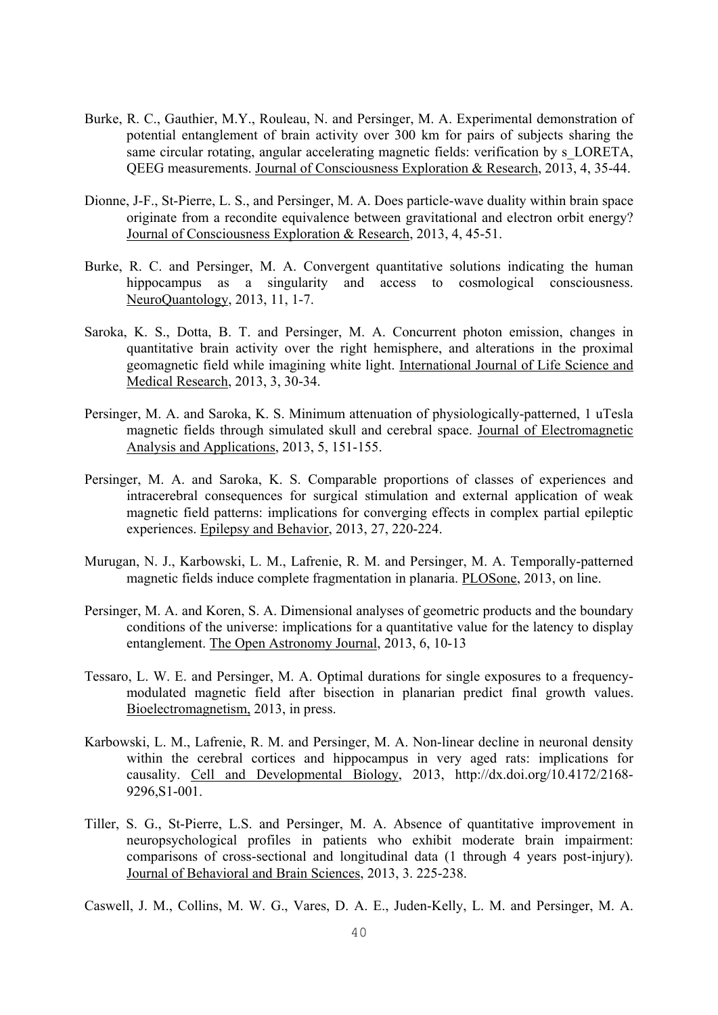- Burke, R. C., Gauthier, M.Y., Rouleau, N. and Persinger, M. A. Experimental demonstration of potential entanglement of brain activity over 300 km for pairs of subjects sharing the same circular rotating, angular accelerating magnetic fields: verification by s\_LORETA, QEEG measurements. Journal of Consciousness Exploration & Research, 2013, 4, 35-44.
- Dionne, J-F., St-Pierre, L. S., and Persinger, M. A. Does particle-wave duality within brain space originate from a recondite equivalence between gravitational and electron orbit energy? Journal of Consciousness Exploration & Research, 2013, 4, 45-51.
- Burke, R. C. and Persinger, M. A. Convergent quantitative solutions indicating the human hippocampus as a singularity and access to cosmological consciousness. NeuroQuantology, 2013, 11, 1-7.
- Saroka, K. S., Dotta, B. T. and Persinger, M. A. Concurrent photon emission, changes in quantitative brain activity over the right hemisphere, and alterations in the proximal geomagnetic field while imagining white light. International Journal of Life Science and Medical Research, 2013, 3, 30-34.
- Persinger, M. A. and Saroka, K. S. Minimum attenuation of physiologically-patterned, 1 uTesla magnetic fields through simulated skull and cerebral space. Journal of Electromagnetic Analysis and Applications, 2013, 5, 151-155.
- Persinger, M. A. and Saroka, K. S. Comparable proportions of classes of experiences and intracerebral consequences for surgical stimulation and external application of weak magnetic field patterns: implications for converging effects in complex partial epileptic experiences. Epilepsy and Behavior, 2013, 27, 220-224.
- Murugan, N. J., Karbowski, L. M., Lafrenie, R. M. and Persinger, M. A. Temporally-patterned magnetic fields induce complete fragmentation in planaria. PLOSone, 2013, on line.
- Persinger, M. A. and Koren, S. A. Dimensional analyses of geometric products and the boundary conditions of the universe: implications for a quantitative value for the latency to display entanglement. The Open Astronomy Journal, 2013, 6, 10-13
- Tessaro, L. W. E. and Persinger, M. A. Optimal durations for single exposures to a frequencymodulated magnetic field after bisection in planarian predict final growth values. Bioelectromagnetism, 2013, in press.
- Karbowski, L. M., Lafrenie, R. M. and Persinger, M. A. Non-linear decline in neuronal density within the cerebral cortices and hippocampus in very aged rats: implications for causality. Cell and Developmental Biology, 2013, http://dx.doi.org/10.4172/2168- 9296,S1-001.
- Tiller, S. G., St-Pierre, L.S. and Persinger, M. A. Absence of quantitative improvement in neuropsychological profiles in patients who exhibit moderate brain impairment: comparisons of cross-sectional and longitudinal data (1 through 4 years post-injury). Journal of Behavioral and Brain Sciences, 2013, 3. 225-238.

Caswell, J. M., Collins, M. W. G., Vares, D. A. E., Juden-Kelly, L. M. and Persinger, M. A.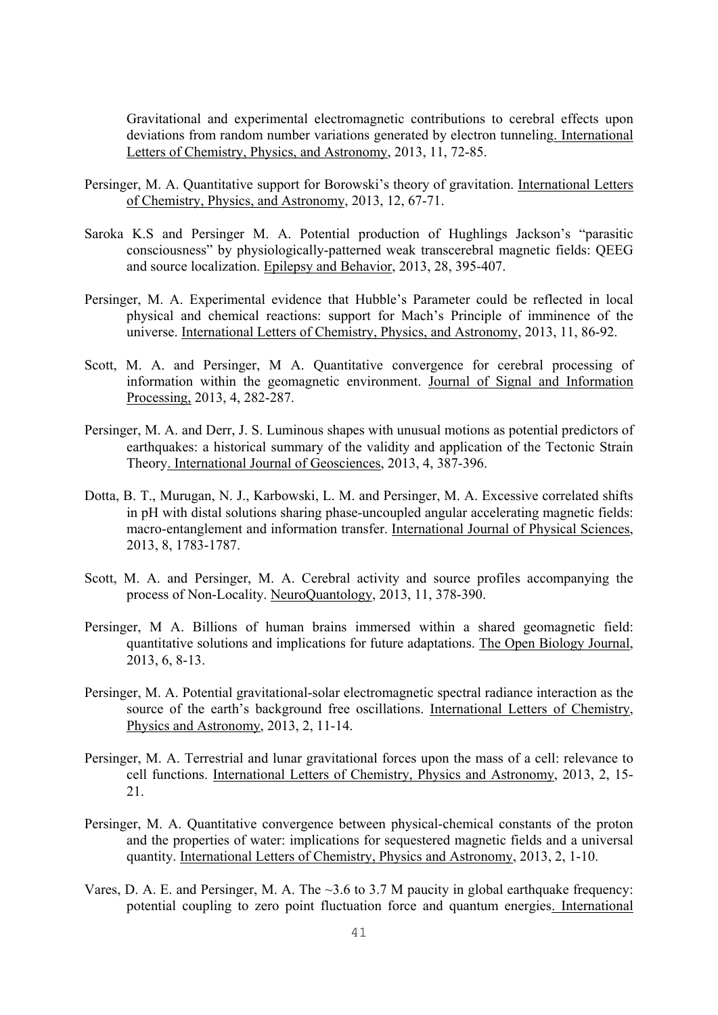Gravitational and experimental electromagnetic contributions to cerebral effects upon deviations from random number variations generated by electron tunneling. International Letters of Chemistry, Physics, and Astronomy, 2013, 11, 72-85.

- Persinger, M. A. Quantitative support for Borowski's theory of gravitation. International Letters of Chemistry, Physics, and Astronomy, 2013, 12, 67-71.
- Saroka K.S and Persinger M. A. Potential production of Hughlings Jackson's "parasitic consciousness" by physiologically-patterned weak transcerebral magnetic fields: QEEG and source localization. Epilepsy and Behavior, 2013, 28, 395-407.
- Persinger, M. A. Experimental evidence that Hubble's Parameter could be reflected in local physical and chemical reactions: support for Mach's Principle of imminence of the universe. International Letters of Chemistry, Physics, and Astronomy, 2013, 11, 86-92.
- Scott, M. A. and Persinger, M A. Quantitative convergence for cerebral processing of information within the geomagnetic environment. Journal of Signal and Information Processing, 2013, 4, 282-287.
- Persinger, M. A. and Derr, J. S. Luminous shapes with unusual motions as potential predictors of earthquakes: a historical summary of the validity and application of the Tectonic Strain Theory. International Journal of Geosciences, 2013, 4, 387-396.
- Dotta, B. T., Murugan, N. J., Karbowski, L. M. and Persinger, M. A. Excessive correlated shifts in pH with distal solutions sharing phase-uncoupled angular accelerating magnetic fields: macro-entanglement and information transfer. International Journal of Physical Sciences, 2013, 8, 1783-1787.
- Scott, M. A. and Persinger, M. A. Cerebral activity and source profiles accompanying the process of Non-Locality. NeuroQuantology, 2013, 11, 378-390.
- Persinger, M A. Billions of human brains immersed within a shared geomagnetic field: quantitative solutions and implications for future adaptations. The Open Biology Journal, 2013, 6, 8-13.
- Persinger, M. A. Potential gravitational-solar electromagnetic spectral radiance interaction as the source of the earth's background free oscillations. International Letters of Chemistry, Physics and Astronomy, 2013, 2, 11-14.
- Persinger, M. A. Terrestrial and lunar gravitational forces upon the mass of a cell: relevance to cell functions. International Letters of Chemistry, Physics and Astronomy, 2013, 2, 15- 21.
- Persinger, M. A. Quantitative convergence between physical-chemical constants of the proton and the properties of water: implications for sequestered magnetic fields and a universal quantity. International Letters of Chemistry, Physics and Astronomy, 2013, 2, 1-10.
- Vares, D. A. E. and Persinger, M. A. The  $\sim$ 3.6 to 3.7 M paucity in global earthquake frequency: potential coupling to zero point fluctuation force and quantum energies. International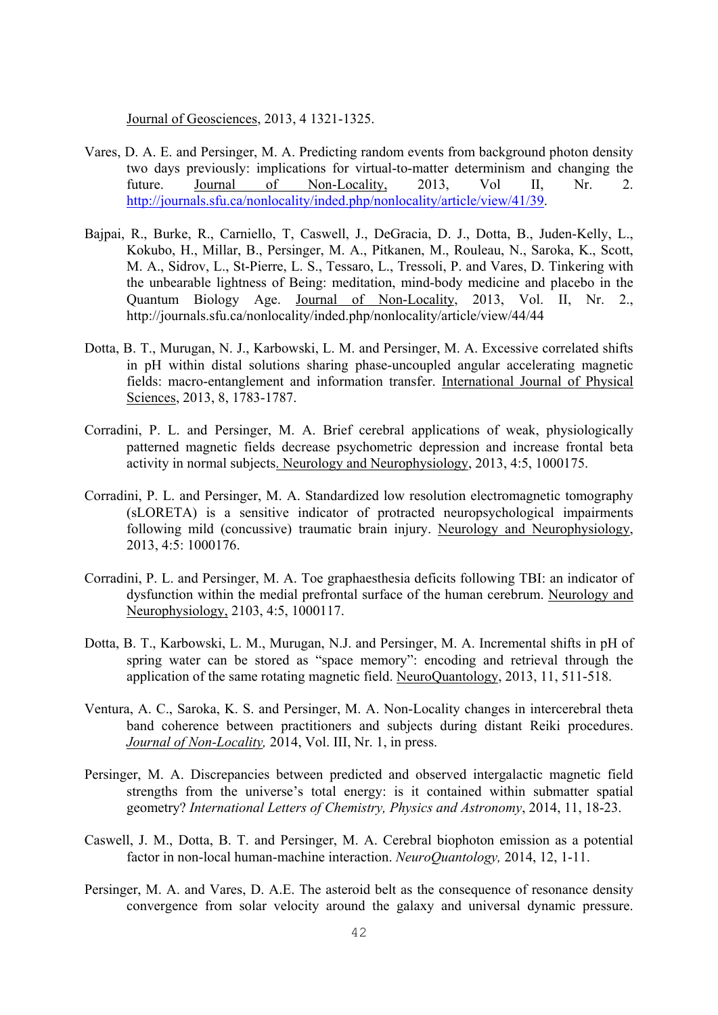Journal of Geosciences, 2013, 4 1321-1325.

- Vares, D. A. E. and Persinger, M. A. Predicting random events from background photon density two days previously: implications for virtual-to-matter determinism and changing the future. Journal of Non-Locality, 2013, Vol II, Nr. 2. http://journals.sfu.ca/nonlocality/inded.php/nonlocality/article/view/41/39.
- Bajpai, R., Burke, R., Carniello, T, Caswell, J., DeGracia, D. J., Dotta, B., Juden-Kelly, L., Kokubo, H., Millar, B., Persinger, M. A., Pitkanen, M., Rouleau, N., Saroka, K., Scott, M. A., Sidrov, L., St-Pierre, L. S., Tessaro, L., Tressoli, P. and Vares, D. Tinkering with the unbearable lightness of Being: meditation, mind-body medicine and placebo in the Quantum Biology Age. Journal of Non-Locality, 2013, Vol. II, Nr. 2., http://journals.sfu.ca/nonlocality/inded.php/nonlocality/article/view/44/44
- Dotta, B. T., Murugan, N. J., Karbowski, L. M. and Persinger, M. A. Excessive correlated shifts in pH within distal solutions sharing phase-uncoupled angular accelerating magnetic fields: macro-entanglement and information transfer. International Journal of Physical Sciences, 2013, 8, 1783-1787.
- Corradini, P. L. and Persinger, M. A. Brief cerebral applications of weak, physiologically patterned magnetic fields decrease psychometric depression and increase frontal beta activity in normal subjects. Neurology and Neurophysiology, 2013, 4:5, 1000175.
- Corradini, P. L. and Persinger, M. A. Standardized low resolution electromagnetic tomography (sLORETA) is a sensitive indicator of protracted neuropsychological impairments following mild (concussive) traumatic brain injury. Neurology and Neurophysiology, 2013, 4:5: 1000176.
- Corradini, P. L. and Persinger, M. A. Toe graphaesthesia deficits following TBI: an indicator of dysfunction within the medial prefrontal surface of the human cerebrum. Neurology and Neurophysiology, 2103, 4:5, 1000117.
- Dotta, B. T., Karbowski, L. M., Murugan, N.J. and Persinger, M. A. Incremental shifts in pH of spring water can be stored as "space memory": encoding and retrieval through the application of the same rotating magnetic field. NeuroQuantology, 2013, 11, 511-518.
- Ventura, A. C., Saroka, K. S. and Persinger, M. A. Non-Locality changes in intercerebral theta band coherence between practitioners and subjects during distant Reiki procedures. *Journal of Non-Locality,* 2014, Vol. III, Nr. 1, in press.
- Persinger, M. A. Discrepancies between predicted and observed intergalactic magnetic field strengths from the universe's total energy: is it contained within submatter spatial geometry? *International Letters of Chemistry, Physics and Astronomy*, 2014, 11, 18-23.
- Caswell, J. M., Dotta, B. T. and Persinger, M. A. Cerebral biophoton emission as a potential factor in non-local human-machine interaction. *NeuroQuantology,* 2014, 12, 1-11.
- Persinger, M. A. and Vares, D. A.E. The asteroid belt as the consequence of resonance density convergence from solar velocity around the galaxy and universal dynamic pressure.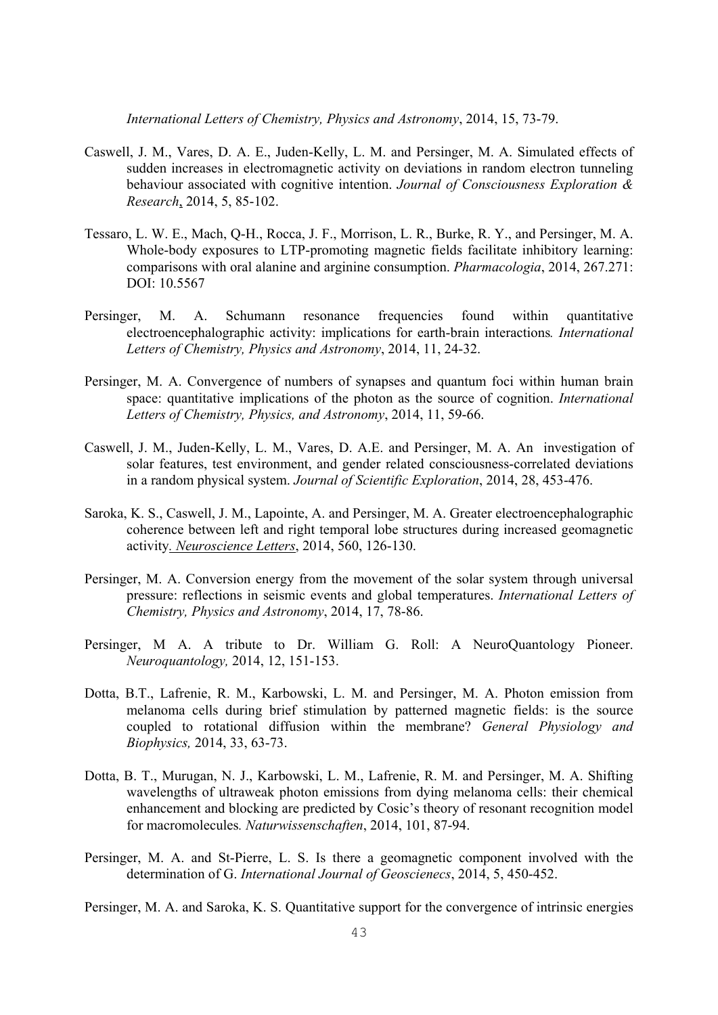*International Letters of Chemistry, Physics and Astronomy*, 2014, 15, 73-79.

- Caswell, J. M., Vares, D. A. E., Juden-Kelly, L. M. and Persinger, M. A. Simulated effects of sudden increases in electromagnetic activity on deviations in random electron tunneling behaviour associated with cognitive intention. *Journal of Consciousness Exploration & Research*, 2014, 5, 85-102.
- Tessaro, L. W. E., Mach, Q-H., Rocca, J. F., Morrison, L. R., Burke, R. Y., and Persinger, M. A. Whole-body exposures to LTP-promoting magnetic fields facilitate inhibitory learning: comparisons with oral alanine and arginine consumption. *Pharmacologia*, 2014, 267.271: DOI: 10.5567
- Persinger, M. A. Schumann resonance frequencies found within quantitative electroencephalographic activity: implications for earth-brain interactions*. International Letters of Chemistry, Physics and Astronomy*, 2014, 11, 24-32.
- Persinger, M. A. Convergence of numbers of synapses and quantum foci within human brain space: quantitative implications of the photon as the source of cognition. *International Letters of Chemistry, Physics, and Astronomy*, 2014, 11, 59-66.
- Caswell, J. M., Juden-Kelly, L. M., Vares, D. A.E. and Persinger, M. A. An investigation of solar features, test environment, and gender related consciousness-correlated deviations in a random physical system. *Journal of Scientific Exploration*, 2014, 28, 453-476.
- Saroka, K. S., Caswell, J. M., Lapointe, A. and Persinger, M. A. Greater electroencephalographic coherence between left and right temporal lobe structures during increased geomagnetic activity*. Neuroscience Letters*, 2014, 560, 126-130.
- Persinger, M. A. Conversion energy from the movement of the solar system through universal pressure: reflections in seismic events and global temperatures. *International Letters of Chemistry, Physics and Astronomy*, 2014, 17, 78-86.
- Persinger, M A. A tribute to Dr. William G. Roll: A NeuroQuantology Pioneer. *Neuroquantology,* 2014, 12, 151-153.
- Dotta, B.T., Lafrenie, R. M., Karbowski, L. M. and Persinger, M. A. Photon emission from melanoma cells during brief stimulation by patterned magnetic fields: is the source coupled to rotational diffusion within the membrane? *General Physiology and Biophysics,* 2014, 33, 63-73.
- Dotta, B. T., Murugan, N. J., Karbowski, L. M., Lafrenie, R. M. and Persinger, M. A. Shifting wavelengths of ultraweak photon emissions from dying melanoma cells: their chemical enhancement and blocking are predicted by Cosic's theory of resonant recognition model for macromolecules*. Naturwissenschaften*, 2014, 101, 87-94.
- Persinger, M. A. and St-Pierre, L. S. Is there a geomagnetic component involved with the determination of G. *International Journal of Geoscienecs*, 2014, 5, 450-452.

Persinger, M. A. and Saroka, K. S. Quantitative support for the convergence of intrinsic energies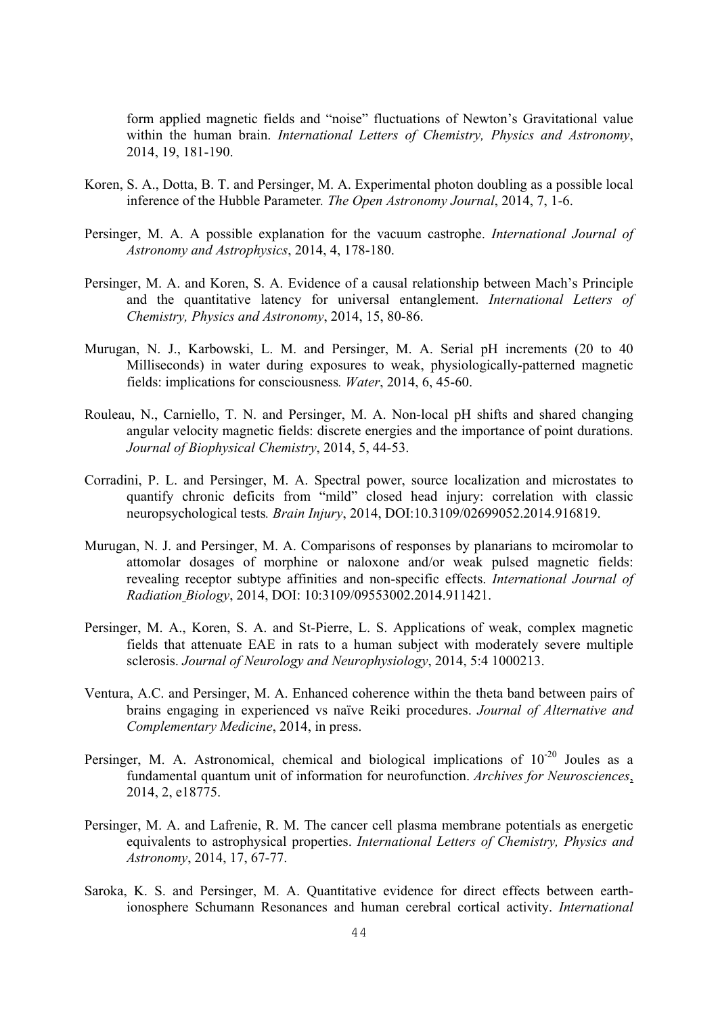form applied magnetic fields and "noise" fluctuations of Newton's Gravitational value within the human brain. *International Letters of Chemistry, Physics and Astronomy*, 2014, 19, 181-190.

- Koren, S. A., Dotta, B. T. and Persinger, M. A. Experimental photon doubling as a possible local inference of the Hubble Parameter*. The Open Astronomy Journal*, 2014, 7, 1-6.
- Persinger, M. A. A possible explanation for the vacuum castrophe. *International Journal of Astronomy and Astrophysics*, 2014, 4, 178-180.
- Persinger, M. A. and Koren, S. A. Evidence of a causal relationship between Mach's Principle and the quantitative latency for universal entanglement. *International Letters of Chemistry, Physics and Astronomy*, 2014, 15, 80-86.
- Murugan, N. J., Karbowski, L. M. and Persinger, M. A. Serial pH increments (20 to 40 Milliseconds) in water during exposures to weak, physiologically-patterned magnetic fields: implications for consciousness*. Water*, 2014, 6, 45-60.
- Rouleau, N., Carniello, T. N. and Persinger, M. A. Non-local pH shifts and shared changing angular velocity magnetic fields: discrete energies and the importance of point durations. *Journal of Biophysical Chemistry*, 2014, 5, 44-53.
- Corradini, P. L. and Persinger, M. A. Spectral power, source localization and microstates to quantify chronic deficits from "mild" closed head injury: correlation with classic neuropsychological tests*. Brain Injury*, 2014, DOI:10.3109/02699052.2014.916819.
- Murugan, N. J. and Persinger, M. A. Comparisons of responses by planarians to mciromolar to attomolar dosages of morphine or naloxone and/or weak pulsed magnetic fields: revealing receptor subtype affinities and non-specific effects. *International Journal of Radiation Biology*, 2014, DOI: 10:3109/09553002.2014.911421.
- Persinger, M. A., Koren, S. A. and St-Pierre, L. S. Applications of weak, complex magnetic fields that attenuate EAE in rats to a human subject with moderately severe multiple sclerosis. *Journal of Neurology and Neurophysiology*, 2014, 5:4 1000213.
- Ventura, A.C. and Persinger, M. A. Enhanced coherence within the theta band between pairs of brains engaging in experienced vs naïve Reiki procedures. *Journal of Alternative and Complementary Medicine*, 2014, in press.
- Persinger, M. A. Astronomical, chemical and biological implications of  $10^{-20}$  Joules as a fundamental quantum unit of information for neurofunction. *Archives for Neurosciences*, 2014, 2, e18775.
- Persinger, M. A. and Lafrenie, R. M. The cancer cell plasma membrane potentials as energetic equivalents to astrophysical properties. *International Letters of Chemistry, Physics and Astronomy*, 2014, 17, 67-77.
- Saroka, K. S. and Persinger, M. A. Quantitative evidence for direct effects between earthionosphere Schumann Resonances and human cerebral cortical activity. *International*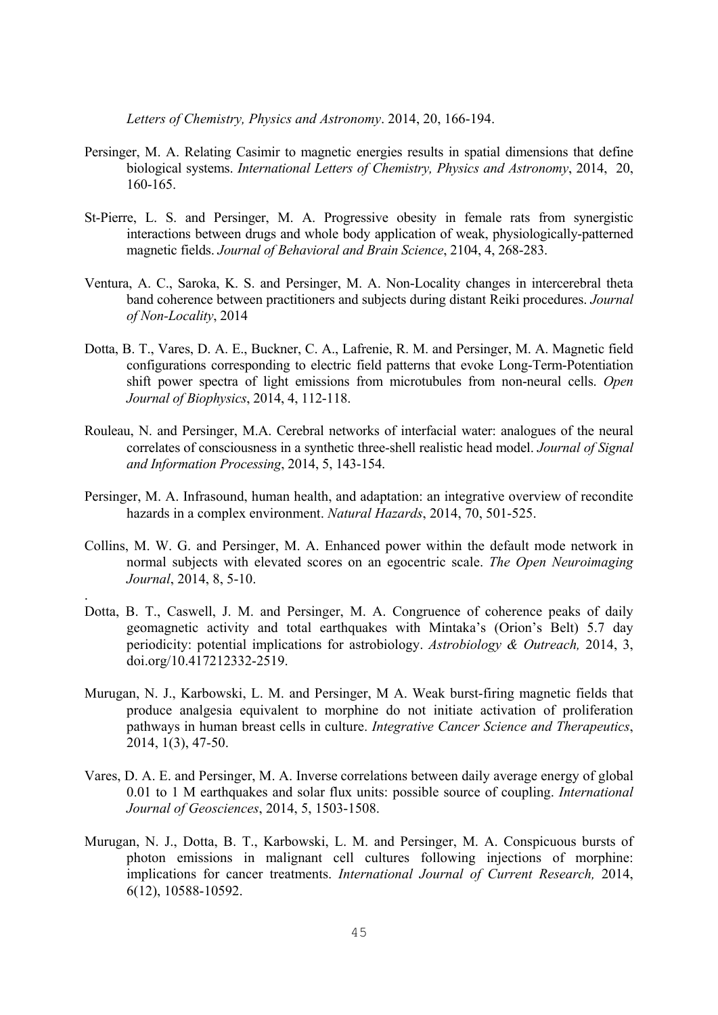*Letters of Chemistry, Physics and Astronomy*. 2014, 20, 166-194.

- Persinger, M. A. Relating Casimir to magnetic energies results in spatial dimensions that define biological systems. *International Letters of Chemistry, Physics and Astronomy*, 2014, 20, 160-165.
- St-Pierre, L. S. and Persinger, M. A. Progressive obesity in female rats from synergistic interactions between drugs and whole body application of weak, physiologically-patterned magnetic fields. *Journal of Behavioral and Brain Science*, 2104, 4, 268-283.
- Ventura, A. C., Saroka, K. S. and Persinger, M. A. Non-Locality changes in intercerebral theta band coherence between practitioners and subjects during distant Reiki procedures. *Journal of Non-Locality*, 2014
- Dotta, B. T., Vares, D. A. E., Buckner, C. A., Lafrenie, R. M. and Persinger, M. A. Magnetic field configurations corresponding to electric field patterns that evoke Long-Term-Potentiation shift power spectra of light emissions from microtubules from non-neural cells. *Open Journal of Biophysics*, 2014, 4, 112-118.
- Rouleau, N. and Persinger, M.A. Cerebral networks of interfacial water: analogues of the neural correlates of consciousness in a synthetic three-shell realistic head model. *Journal of Signal and Information Processing*, 2014, 5, 143-154.
- Persinger, M. A. Infrasound, human health, and adaptation: an integrative overview of recondite hazards in a complex environment. *Natural Hazards*, 2014, 70, 501-525.
- Collins, M. W. G. and Persinger, M. A. Enhanced power within the default mode network in normal subjects with elevated scores on an egocentric scale. *The Open Neuroimaging Journal*, 2014, 8, 5-10.

.

- Dotta, B. T., Caswell, J. M. and Persinger, M. A. Congruence of coherence peaks of daily geomagnetic activity and total earthquakes with Mintaka's (Orion's Belt) 5.7 day periodicity: potential implications for astrobiology. *Astrobiology & Outreach,* 2014, 3, doi.org/10.417212332-2519.
- Murugan, N. J., Karbowski, L. M. and Persinger, M A. Weak burst-firing magnetic fields that produce analgesia equivalent to morphine do not initiate activation of proliferation pathways in human breast cells in culture. *Integrative Cancer Science and Therapeutics*, 2014, 1(3), 47-50.
- Vares, D. A. E. and Persinger, M. A. Inverse correlations between daily average energy of global 0.01 to 1 M earthquakes and solar flux units: possible source of coupling. *International Journal of Geosciences*, 2014, 5, 1503-1508.
- Murugan, N. J., Dotta, B. T., Karbowski, L. M. and Persinger, M. A. Conspicuous bursts of photon emissions in malignant cell cultures following injections of morphine: implications for cancer treatments. *International Journal of Current Research,* 2014, 6(12), 10588-10592.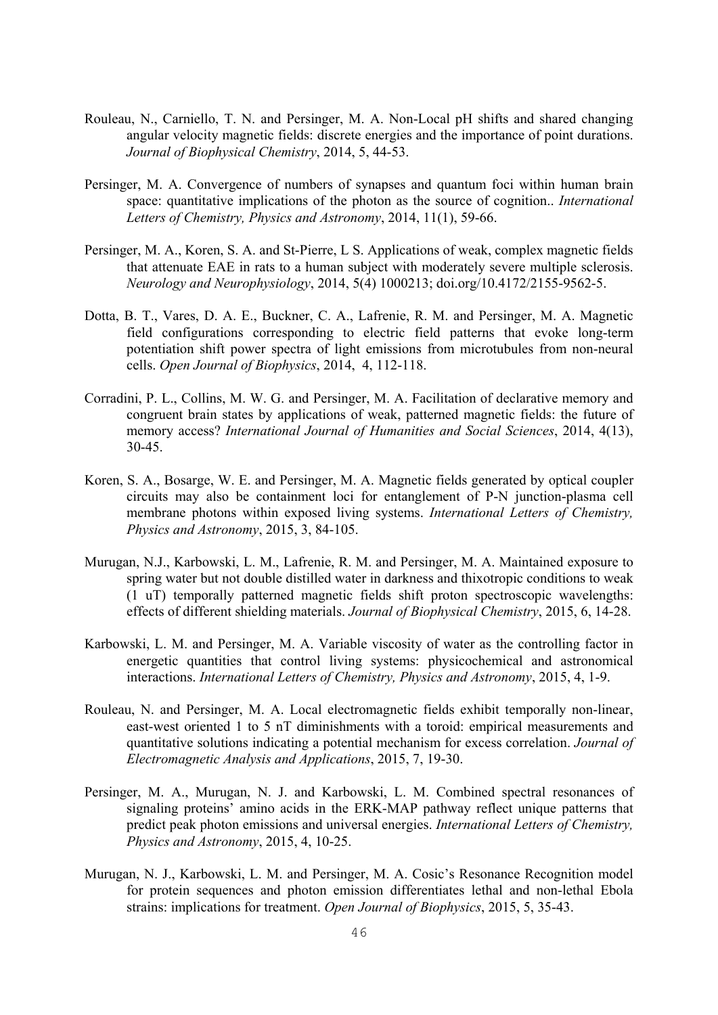- Rouleau, N., Carniello, T. N. and Persinger, M. A. Non-Local pH shifts and shared changing angular velocity magnetic fields: discrete energies and the importance of point durations. *Journal of Biophysical Chemistry*, 2014, 5, 44-53.
- Persinger, M. A. Convergence of numbers of synapses and quantum foci within human brain space: quantitative implications of the photon as the source of cognition.. *International Letters of Chemistry, Physics and Astronomy*, 2014, 11(1), 59-66.
- Persinger, M. A., Koren, S. A. and St-Pierre, L S. Applications of weak, complex magnetic fields that attenuate EAE in rats to a human subject with moderately severe multiple sclerosis. *Neurology and Neurophysiology*, 2014, 5(4) 1000213; doi.org/10.4172/2155-9562-5.
- Dotta, B. T., Vares, D. A. E., Buckner, C. A., Lafrenie, R. M. and Persinger, M. A. Magnetic field configurations corresponding to electric field patterns that evoke long-term potentiation shift power spectra of light emissions from microtubules from non-neural cells. *Open Journal of Biophysics*, 2014, 4, 112-118.
- Corradini, P. L., Collins, M. W. G. and Persinger, M. A. Facilitation of declarative memory and congruent brain states by applications of weak, patterned magnetic fields: the future of memory access? *International Journal of Humanities and Social Sciences*, 2014, 4(13), 30-45.
- Koren, S. A., Bosarge, W. E. and Persinger, M. A. Magnetic fields generated by optical coupler circuits may also be containment loci for entanglement of P-N junction-plasma cell membrane photons within exposed living systems. *International Letters of Chemistry, Physics and Astronomy*, 2015, 3, 84-105.
- Murugan, N.J., Karbowski, L. M., Lafrenie, R. M. and Persinger, M. A. Maintained exposure to spring water but not double distilled water in darkness and thixotropic conditions to weak (1 uT) temporally patterned magnetic fields shift proton spectroscopic wavelengths: effects of different shielding materials. *Journal of Biophysical Chemistry*, 2015, 6, 14-28.
- Karbowski, L. M. and Persinger, M. A. Variable viscosity of water as the controlling factor in energetic quantities that control living systems: physicochemical and astronomical interactions. *International Letters of Chemistry, Physics and Astronomy*, 2015, 4, 1-9.
- Rouleau, N. and Persinger, M. A. Local electromagnetic fields exhibit temporally non-linear, east-west oriented 1 to 5 nT diminishments with a toroid: empirical measurements and quantitative solutions indicating a potential mechanism for excess correlation. *Journal of Electromagnetic Analysis and Applications*, 2015, 7, 19-30.
- Persinger, M. A., Murugan, N. J. and Karbowski, L. M. Combined spectral resonances of signaling proteins' amino acids in the ERK-MAP pathway reflect unique patterns that predict peak photon emissions and universal energies. *International Letters of Chemistry, Physics and Astronomy*, 2015, 4, 10-25.
- Murugan, N. J., Karbowski, L. M. and Persinger, M. A. Cosic's Resonance Recognition model for protein sequences and photon emission differentiates lethal and non-lethal Ebola strains: implications for treatment. *Open Journal of Biophysics*, 2015, 5, 35-43.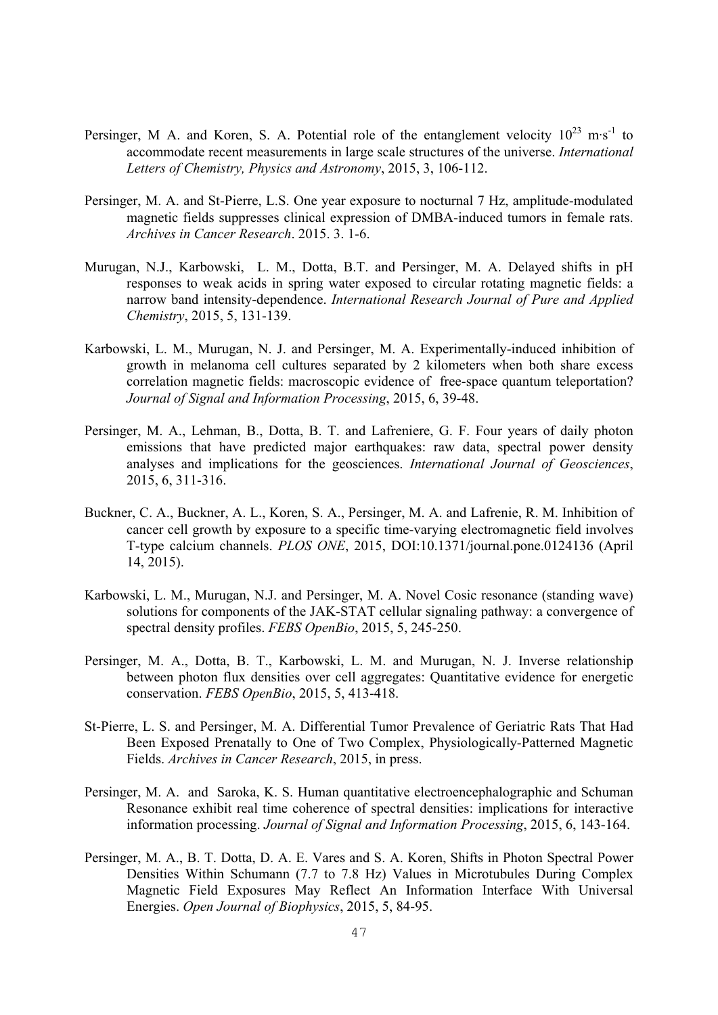- Persinger, M A. and Koren, S. A. Potential role of the entanglement velocity  $10^{23}$  m·s<sup>-1</sup> to accommodate recent measurements in large scale structures of the universe. *International Letters of Chemistry, Physics and Astronomy*, 2015, 3, 106-112.
- Persinger, M. A. and St-Pierre, L.S. One year exposure to nocturnal 7 Hz, amplitude-modulated magnetic fields suppresses clinical expression of DMBA-induced tumors in female rats. *Archives in Cancer Research*. 2015. 3. 1-6.
- Murugan, N.J., Karbowski, L. M., Dotta, B.T. and Persinger, M. A. Delayed shifts in pH responses to weak acids in spring water exposed to circular rotating magnetic fields: a narrow band intensity-dependence. *International Research Journal of Pure and Applied Chemistry*, 2015, 5, 131-139.
- Karbowski, L. M., Murugan, N. J. and Persinger, M. A. Experimentally-induced inhibition of growth in melanoma cell cultures separated by 2 kilometers when both share excess correlation magnetic fields: macroscopic evidence of free-space quantum teleportation? *Journal of Signal and Information Processing*, 2015, 6, 39-48.
- Persinger, M. A., Lehman, B., Dotta, B. T. and Lafreniere, G. F. Four years of daily photon emissions that have predicted major earthquakes: raw data, spectral power density analyses and implications for the geosciences. *International Journal of Geosciences*, 2015, 6, 311-316.
- Buckner, C. A., Buckner, A. L., Koren, S. A., Persinger, M. A. and Lafrenie, R. M. Inhibition of cancer cell growth by exposure to a specific time-varying electromagnetic field involves T-type calcium channels. *PLOS ONE*, 2015, DOI:10.1371/journal.pone.0124136 (April 14, 2015).
- Karbowski, L. M., Murugan, N.J. and Persinger, M. A. Novel Cosic resonance (standing wave) solutions for components of the JAK-STAT cellular signaling pathway: a convergence of spectral density profiles. *FEBS OpenBio*, 2015, 5, 245-250.
- Persinger, M. A., Dotta, B. T., Karbowski, L. M. and Murugan, N. J. Inverse relationship between photon flux densities over cell aggregates: Quantitative evidence for energetic conservation. *FEBS OpenBio*, 2015, 5, 413-418.
- St-Pierre, L. S. and Persinger, M. A. Differential Tumor Prevalence of Geriatric Rats That Had Been Exposed Prenatally to One of Two Complex, Physiologically-Patterned Magnetic Fields. *Archives in Cancer Research*, 2015, in press.
- Persinger, M. A. and Saroka, K. S. Human quantitative electroencephalographic and Schuman Resonance exhibit real time coherence of spectral densities: implications for interactive information processing. *Journal of Signal and Information Processing*, 2015, 6, 143-164.
- Persinger, M. A., B. T. Dotta, D. A. E. Vares and S. A. Koren, Shifts in Photon Spectral Power Densities Within Schumann (7.7 to 7.8 Hz) Values in Microtubules During Complex Magnetic Field Exposures May Reflect An Information Interface With Universal Energies. *Open Journal of Biophysics*, 2015, 5, 84-95.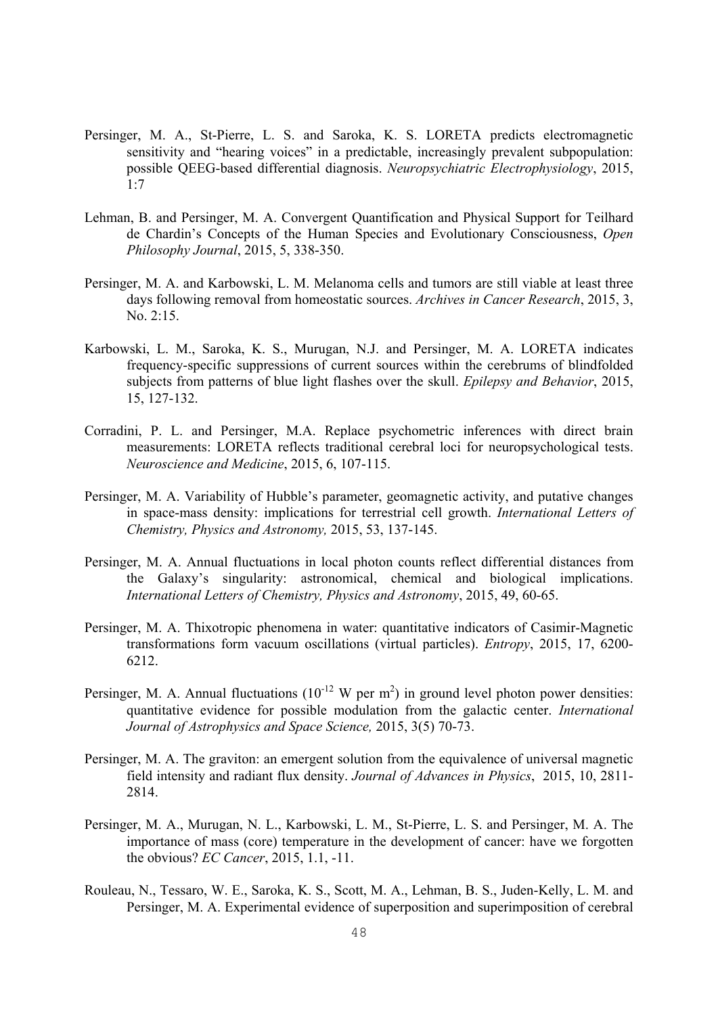- Persinger, M. A., St-Pierre, L. S. and Saroka, K. S. LORETA predicts electromagnetic sensitivity and "hearing voices" in a predictable, increasingly prevalent subpopulation: possible QEEG-based differential diagnosis. *Neuropsychiatric Electrophysiology*, 2015,  $1.7$
- Lehman, B. and Persinger, M. A. Convergent Quantification and Physical Support for Teilhard de Chardin's Concepts of the Human Species and Evolutionary Consciousness, *Open Philosophy Journal*, 2015, 5, 338-350.
- Persinger, M. A. and Karbowski, L. M. Melanoma cells and tumors are still viable at least three days following removal from homeostatic sources. *Archives in Cancer Research*, 2015, 3, No. 2:15.
- Karbowski, L. M., Saroka, K. S., Murugan, N.J. and Persinger, M. A. LORETA indicates frequency-specific suppressions of current sources within the cerebrums of blindfolded subjects from patterns of blue light flashes over the skull. *Epilepsy and Behavior*, 2015, 15, 127-132.
- Corradini, P. L. and Persinger, M.A. Replace psychometric inferences with direct brain measurements: LORETA reflects traditional cerebral loci for neuropsychological tests. *Neuroscience and Medicine*, 2015, 6, 107-115.
- Persinger, M. A. Variability of Hubble's parameter, geomagnetic activity, and putative changes in space-mass density: implications for terrestrial cell growth. *International Letters of Chemistry, Physics and Astronomy,* 2015, 53, 137-145.
- Persinger, M. A. Annual fluctuations in local photon counts reflect differential distances from the Galaxy's singularity: astronomical, chemical and biological implications. *International Letters of Chemistry, Physics and Astronomy*, 2015, 49, 60-65.
- Persinger, M. A. Thixotropic phenomena in water: quantitative indicators of Casimir-Magnetic transformations form vacuum oscillations (virtual particles). *Entropy*, 2015, 17, 6200- 6212.
- Persinger, M. A. Annual fluctuations  $(10^{-12} \text{ W per m}^2)$  in ground level photon power densities: quantitative evidence for possible modulation from the galactic center. *International Journal of Astrophysics and Space Science,* 2015, 3(5) 70-73.
- Persinger, M. A. The graviton: an emergent solution from the equivalence of universal magnetic field intensity and radiant flux density. *Journal of Advances in Physics*, 2015, 10, 2811- 2814.
- Persinger, M. A., Murugan, N. L., Karbowski, L. M., St-Pierre, L. S. and Persinger, M. A. The importance of mass (core) temperature in the development of cancer: have we forgotten the obvious? *EC Cancer*, 2015, 1.1, -11.
- Rouleau, N., Tessaro, W. E., Saroka, K. S., Scott, M. A., Lehman, B. S., Juden-Kelly, L. M. and Persinger, M. A. Experimental evidence of superposition and superimposition of cerebral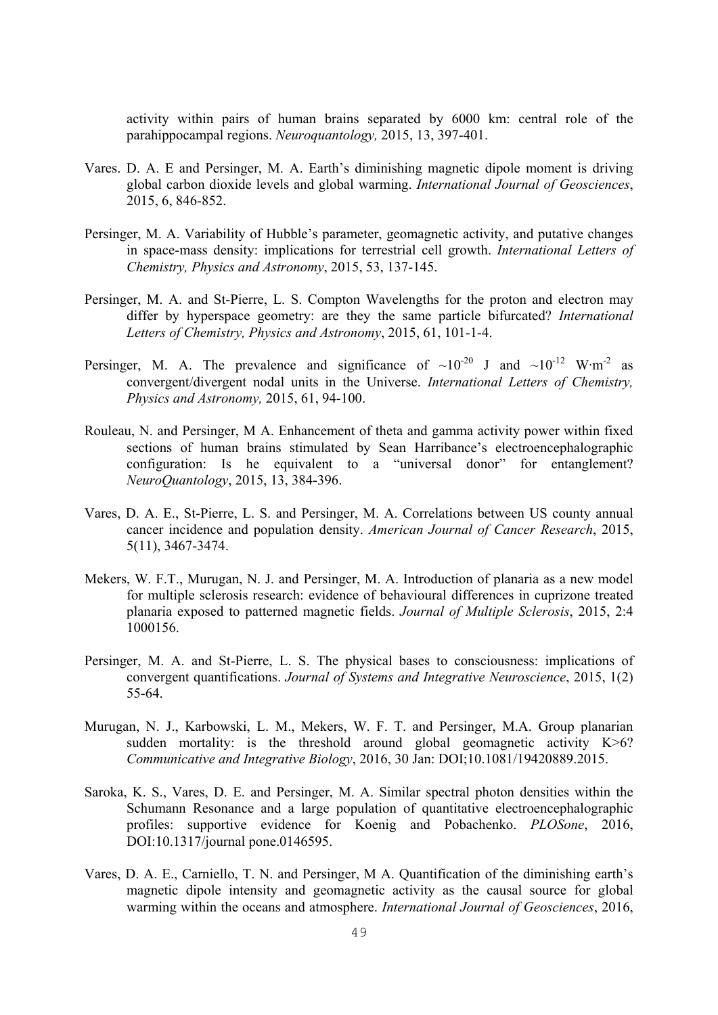activity within pairs of human brains separated by 6000 km: central role of the parahippocampal regions. *Neuroquantology,* 2015, 13, 397-401.

- Vares. D. A. E and Persinger, M. A. Earth's diminishing magnetic dipole moment is driving global carbon dioxide levels and global warming. *International Journal of Geosciences*, 2015, 6, 846-852.
- Persinger, M. A. Variability of Hubble's parameter, geomagnetic activity, and putative changes in space-mass density: implications for terrestrial cell growth. *International Letters of Chemistry, Physics and Astronomy*, 2015, 53, 137-145.
- Persinger, M. A. and St-Pierre, L. S. Compton Wavelengths for the proton and electron may differ by hyperspace geometry: are they the same particle bifurcated? *International Letters of Chemistry, Physics and Astronomy*, 2015, 61, 101-1-4.
- Persinger, M. A. The prevalence and significance of  $\sim 10^{-20}$  J and  $\sim 10^{-12}$  W·m<sup>-2</sup> as convergent/divergent nodal units in the Universe. *International Letters of Chemistry, Physics and Astronomy,* 2015, 61, 94-100.
- Rouleau, N. and Persinger, M A. Enhancement of theta and gamma activity power within fixed sections of human brains stimulated by Sean Harribance's electroencephalographic configuration: Is he equivalent to a "universal donor" for entanglement? *NeuroQuantology*, 2015, 13, 384-396.
- Vares, D. A. E., St-Pierre, L. S. and Persinger, M. A. Correlations between US county annual cancer incidence and population density. *American Journal of Cancer Research*, 2015, 5(11), 3467-3474.
- Mekers, W. F.T., Murugan, N. J. and Persinger, M. A. Introduction of planaria as a new model for multiple sclerosis research: evidence of behavioural differences in cuprizone treated planaria exposed to patterned magnetic fields. *Journal of Multiple Sclerosis*, 2015, 2:4 1000156.
- Persinger, M. A. and St-Pierre, L. S. The physical bases to consciousness: implications of convergent quantifications. *Journal of Systems and Integrative Neuroscience*, 2015, 1(2) 55-64.
- Murugan, N. J., Karbowski, L. M., Mekers, W. F. T. and Persinger, M.A. Group planarian sudden mortality: is the threshold around global geomagnetic activity  $K>6$ ? *Communicative and Integrative Biology*, 2016, 30 Jan: DOI;10.1081/19420889.2015.
- Saroka, K. S., Vares, D. E. and Persinger, M. A. Similar spectral photon densities within the Schumann Resonance and a large population of quantitative electroencephalographic profiles: supportive evidence for Koenig and Pobachenko. *PLOSone*, 2016, DOI:10.1317/journal pone.0146595.
- Vares, D. A. E., Carniello, T. N. and Persinger, M A. Quantification of the diminishing earth's magnetic dipole intensity and geomagnetic activity as the causal source for global warming within the oceans and atmosphere. *International Journal of Geosciences*, 2016,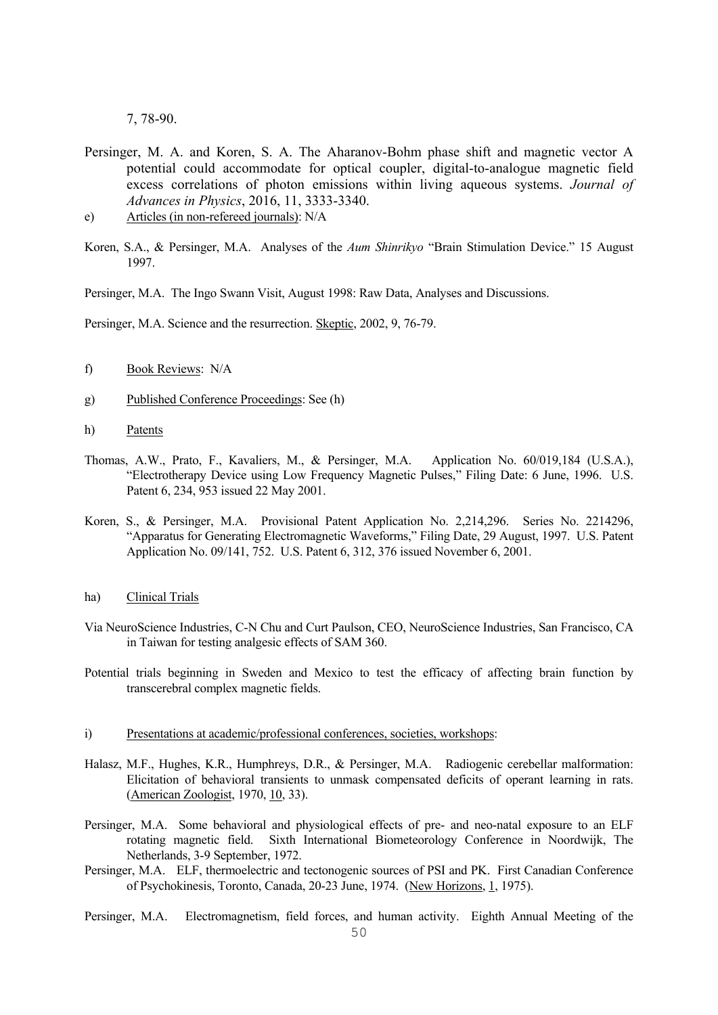7, 78-90.

- Persinger, M. A. and Koren, S. A. The Aharanov-Bohm phase shift and magnetic vector A potential could accommodate for optical coupler, digital-to-analogue magnetic field excess correlations of photon emissions within living aqueous systems. *Journal of Advances in Physics*, 2016, 11, 3333-3340.
- e) Articles (in non-refereed journals): N/A
- Koren, S.A., & Persinger, M.A. Analyses of the *Aum Shinrikyo* "Brain Stimulation Device." 15 August 1997.

Persinger, M.A. The Ingo Swann Visit, August 1998: Raw Data, Analyses and Discussions.

Persinger, M.A. Science and the resurrection. Skeptic, 2002, 9, 76-79.

- f) Book Reviews: N/A
- g) Published Conference Proceedings: See (h)
- h) Patents
- Thomas, A.W., Prato, F., Kavaliers, M., & Persinger, M.A. Application No. 60/019,184 (U.S.A.), "Electrotherapy Device using Low Frequency Magnetic Pulses," Filing Date: 6 June, 1996. U.S. Patent 6, 234, 953 issued 22 May 2001.
- Koren, S., & Persinger, M.A. Provisional Patent Application No. 2,214,296. Series No. 2214296, "Apparatus for Generating Electromagnetic Waveforms," Filing Date, 29 August, 1997. U.S. Patent Application No. 09/141, 752. U.S. Patent 6, 312, 376 issued November 6, 2001.
- ha) Clinical Trials
- Via NeuroScience Industries, C-N Chu and Curt Paulson, CEO, NeuroScience Industries, San Francisco, CA in Taiwan for testing analgesic effects of SAM 360.
- Potential trials beginning in Sweden and Mexico to test the efficacy of affecting brain function by transcerebral complex magnetic fields.
- i) Presentations at academic/professional conferences, societies, workshops:
- Halasz, M.F., Hughes, K.R., Humphreys, D.R., & Persinger, M.A. Radiogenic cerebellar malformation: Elicitation of behavioral transients to unmask compensated deficits of operant learning in rats. (American Zoologist, 1970, 10, 33).
- Persinger, M.A. Some behavioral and physiological effects of pre- and neo-natal exposure to an ELF rotating magnetic field. Sixth International Biometeorology Conference in Noordwijk, The Netherlands, 3-9 September, 1972.
- Persinger, M.A. ELF, thermoelectric and tectonogenic sources of PSI and PK. First Canadian Conference of Psychokinesis, Toronto, Canada, 20-23 June, 1974. (New Horizons, 1, 1975).
- Persinger, M.A. Electromagnetism, field forces, and human activity. Eighth Annual Meeting of the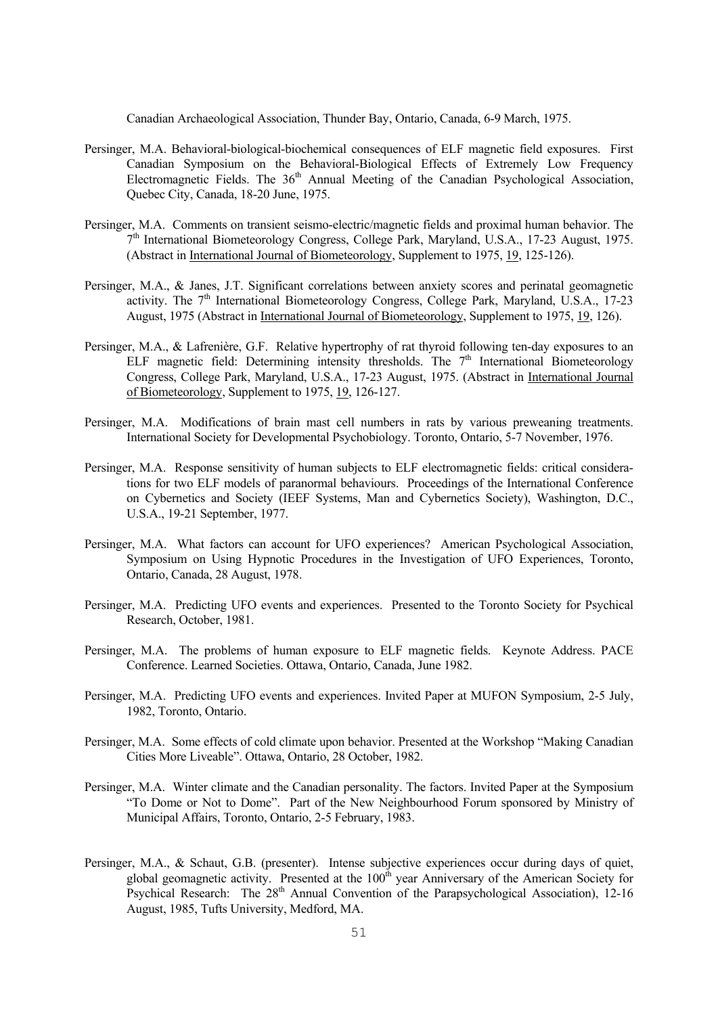Canadian Archaeological Association, Thunder Bay, Ontario, Canada, 6-9 March, 1975.

- Persinger, M.A. Behavioral-biological-biochemical consequences of ELF magnetic field exposures. First Canadian Symposium on the Behavioral-Biological Effects of Extremely Low Frequency Electromagnetic Fields. The  $36<sup>th</sup>$  Annual Meeting of the Canadian Psychological Association, Quebec City, Canada, 18-20 June, 1975.
- Persinger, M.A. Comments on transient seismo-electric/magnetic fields and proximal human behavior. The 7th International Biometeorology Congress, College Park, Maryland, U.S.A., 17-23 August, 1975. (Abstract in International Journal of Biometeorology, Supplement to 1975, 19, 125-126).
- Persinger, M.A., & Janes, J.T. Significant correlations between anxiety scores and perinatal geomagnetic activity. The  $7<sup>th</sup>$  International Biometeorology Congress, College Park, Maryland, U.S.A., 17-23 August, 1975 (Abstract in International Journal of Biometeorology, Supplement to 1975, 19, 126).
- Persinger, M.A., & Lafrenière, G.F. Relative hypertrophy of rat thyroid following ten-day exposures to an ELF magnetic field: Determining intensity thresholds. The  $7<sup>th</sup>$  International Biometeorology Congress, College Park, Maryland, U.S.A., 17-23 August, 1975. (Abstract in International Journal of Biometeorology, Supplement to 1975, 19, 126-127.
- Persinger, M.A. Modifications of brain mast cell numbers in rats by various preweaning treatments. International Society for Developmental Psychobiology. Toronto, Ontario, 5-7 November, 1976.
- Persinger, M.A. Response sensitivity of human subjects to ELF electromagnetic fields: critical considerations for two ELF models of paranormal behaviours. Proceedings of the International Conference on Cybernetics and Society (IEEF Systems, Man and Cybernetics Society), Washington, D.C., U.S.A., 19-21 September, 1977.
- Persinger, M.A. What factors can account for UFO experiences? American Psychological Association, Symposium on Using Hypnotic Procedures in the Investigation of UFO Experiences, Toronto, Ontario, Canada, 28 August, 1978.
- Persinger, M.A. Predicting UFO events and experiences. Presented to the Toronto Society for Psychical Research, October, 1981.
- Persinger, M.A. The problems of human exposure to ELF magnetic fields. Keynote Address. PACE Conference. Learned Societies. Ottawa, Ontario, Canada, June 1982.
- Persinger, M.A. Predicting UFO events and experiences. Invited Paper at MUFON Symposium, 2-5 July, 1982, Toronto, Ontario.
- Persinger, M.A. Some effects of cold climate upon behavior. Presented at the Workshop "Making Canadian Cities More Liveable". Ottawa, Ontario, 28 October, 1982.
- Persinger, M.A. Winter climate and the Canadian personality. The factors. Invited Paper at the Symposium "To Dome or Not to Dome". Part of the New Neighbourhood Forum sponsored by Ministry of Municipal Affairs, Toronto, Ontario, 2-5 February, 1983.
- Persinger, M.A., & Schaut, G.B. (presenter). Intense subjective experiences occur during days of quiet, global geomagnetic activity. Presented at the 100<sup>th</sup> year Anniversary of the American Society for Psychical Research: The 28<sup>th</sup> Annual Convention of the Parapsychological Association), 12-16 August, 1985, Tufts University, Medford, MA.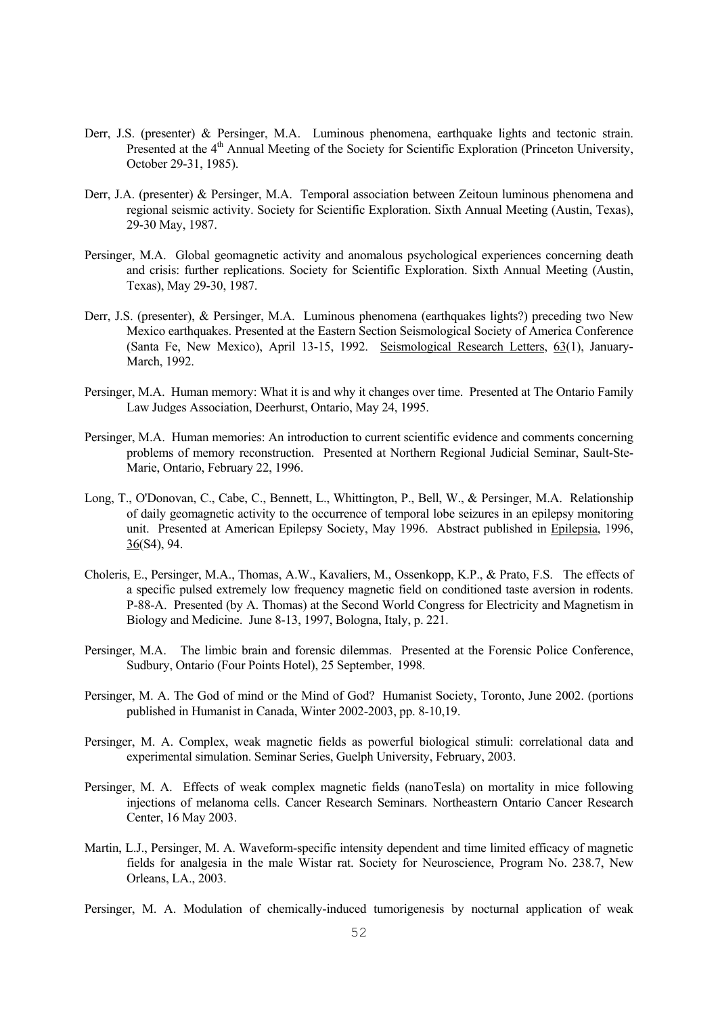- Derr, J.S. (presenter) & Persinger, M.A. Luminous phenomena, earthquake lights and tectonic strain. Presented at the 4<sup>th</sup> Annual Meeting of the Society for Scientific Exploration (Princeton University, October 29-31, 1985).
- Derr, J.A. (presenter) & Persinger, M.A. Temporal association between Zeitoun luminous phenomena and regional seismic activity. Society for Scientific Exploration. Sixth Annual Meeting (Austin, Texas), 29-30 May, 1987.
- Persinger, M.A. Global geomagnetic activity and anomalous psychological experiences concerning death and crisis: further replications. Society for Scientific Exploration. Sixth Annual Meeting (Austin, Texas), May 29-30, 1987.
- Derr, J.S. (presenter), & Persinger, M.A. Luminous phenomena (earthquakes lights?) preceding two New Mexico earthquakes. Presented at the Eastern Section Seismological Society of America Conference (Santa Fe, New Mexico), April 13-15, 1992. Seismological Research Letters, 63(1), January-March, 1992.
- Persinger, M.A. Human memory: What it is and why it changes over time. Presented at The Ontario Family Law Judges Association, Deerhurst, Ontario, May 24, 1995.
- Persinger, M.A. Human memories: An introduction to current scientific evidence and comments concerning problems of memory reconstruction. Presented at Northern Regional Judicial Seminar, Sault-Ste-Marie, Ontario, February 22, 1996.
- Long, T., O'Donovan, C., Cabe, C., Bennett, L., Whittington, P., Bell, W., & Persinger, M.A. Relationship of daily geomagnetic activity to the occurrence of temporal lobe seizures in an epilepsy monitoring unit. Presented at American Epilepsy Society, May 1996. Abstract published in Epilepsia, 1996, 36(S4), 94.
- Choleris, E., Persinger, M.A., Thomas, A.W., Kavaliers, M., Ossenkopp, K.P., & Prato, F.S. The effects of a specific pulsed extremely low frequency magnetic field on conditioned taste aversion in rodents. P-88-A. Presented (by A. Thomas) at the Second World Congress for Electricity and Magnetism in Biology and Medicine. June 8-13, 1997, Bologna, Italy, p. 221.
- Persinger, M.A. The limbic brain and forensic dilemmas. Presented at the Forensic Police Conference, Sudbury, Ontario (Four Points Hotel), 25 September, 1998.
- Persinger, M. A. The God of mind or the Mind of God? Humanist Society, Toronto, June 2002. (portions published in Humanist in Canada, Winter 2002-2003, pp. 8-10,19.
- Persinger, M. A. Complex, weak magnetic fields as powerful biological stimuli: correlational data and experimental simulation. Seminar Series, Guelph University, February, 2003.
- Persinger, M. A. Effects of weak complex magnetic fields (nanoTesla) on mortality in mice following injections of melanoma cells. Cancer Research Seminars. Northeastern Ontario Cancer Research Center, 16 May 2003.
- Martin, L.J., Persinger, M. A. Waveform-specific intensity dependent and time limited efficacy of magnetic fields for analgesia in the male Wistar rat. Society for Neuroscience, Program No. 238.7, New Orleans, LA., 2003.
- Persinger, M. A. Modulation of chemically-induced tumorigenesis by nocturnal application of weak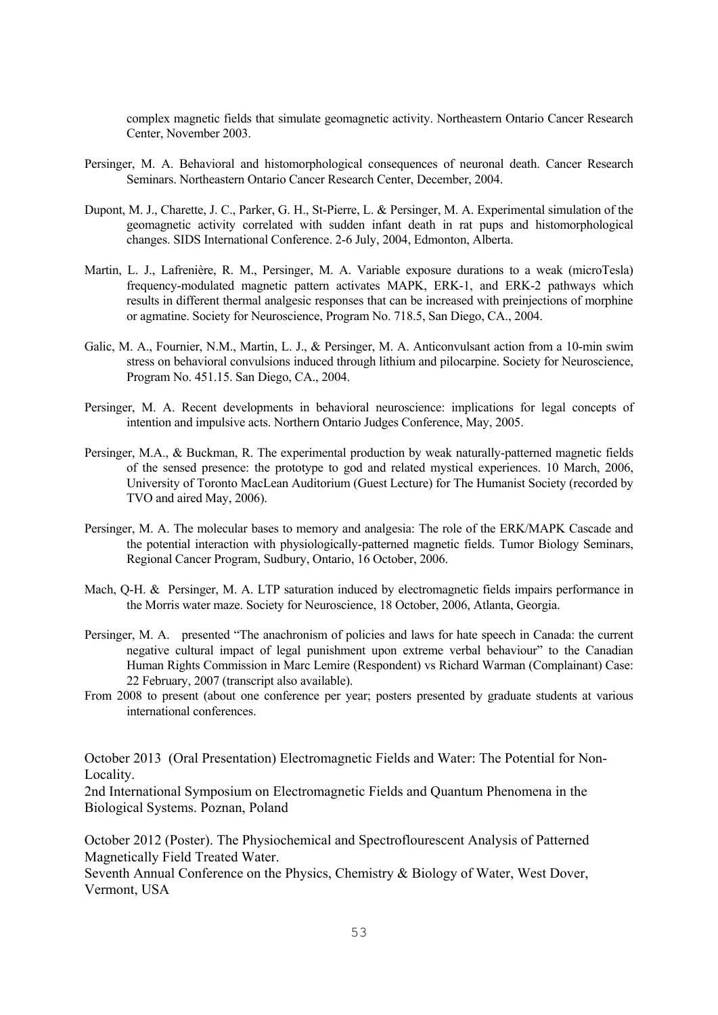complex magnetic fields that simulate geomagnetic activity. Northeastern Ontario Cancer Research Center, November 2003.

- Persinger, M. A. Behavioral and histomorphological consequences of neuronal death. Cancer Research Seminars. Northeastern Ontario Cancer Research Center, December, 2004.
- Dupont, M. J., Charette, J. C., Parker, G. H., St-Pierre, L. & Persinger, M. A. Experimental simulation of the geomagnetic activity correlated with sudden infant death in rat pups and histomorphological changes. SIDS International Conference. 2-6 July, 2004, Edmonton, Alberta.
- Martin, L. J., Lafrenière, R. M., Persinger, M. A. Variable exposure durations to a weak (microTesla) frequency-modulated magnetic pattern activates MAPK, ERK-1, and ERK-2 pathways which results in different thermal analgesic responses that can be increased with preinjections of morphine or agmatine. Society for Neuroscience, Program No. 718.5, San Diego, CA., 2004.
- Galic, M. A., Fournier, N.M., Martin, L. J., & Persinger, M. A. Anticonvulsant action from a 10-min swim stress on behavioral convulsions induced through lithium and pilocarpine. Society for Neuroscience, Program No. 451.15. San Diego, CA., 2004.
- Persinger, M. A. Recent developments in behavioral neuroscience: implications for legal concepts of intention and impulsive acts. Northern Ontario Judges Conference, May, 2005.
- Persinger, M.A., & Buckman, R. The experimental production by weak naturally-patterned magnetic fields of the sensed presence: the prototype to god and related mystical experiences. 10 March, 2006, University of Toronto MacLean Auditorium (Guest Lecture) for The Humanist Society (recorded by TVO and aired May, 2006).
- Persinger, M. A. The molecular bases to memory and analgesia: The role of the ERK/MAPK Cascade and the potential interaction with physiologically-patterned magnetic fields. Tumor Biology Seminars, Regional Cancer Program, Sudbury, Ontario, 16 October, 2006.
- Mach, Q-H. & Persinger, M. A. LTP saturation induced by electromagnetic fields impairs performance in the Morris water maze. Society for Neuroscience, 18 October, 2006, Atlanta, Georgia.
- Persinger, M. A. presented "The anachronism of policies and laws for hate speech in Canada: the current negative cultural impact of legal punishment upon extreme verbal behaviour" to the Canadian Human Rights Commission in Marc Lemire (Respondent) vs Richard Warman (Complainant) Case: 22 February, 2007 (transcript also available).
- From 2008 to present (about one conference per year; posters presented by graduate students at various international conferences.

October 2013 (Oral Presentation) Electromagnetic Fields and Water: The Potential for Non-Locality.

2nd International Symposium on Electromagnetic Fields and Quantum Phenomena in the Biological Systems. Poznan, Poland

October 2012 (Poster). The Physiochemical and Spectroflourescent Analysis of Patterned Magnetically Field Treated Water.

Seventh Annual Conference on the Physics, Chemistry & Biology of Water, West Dover, Vermont, USA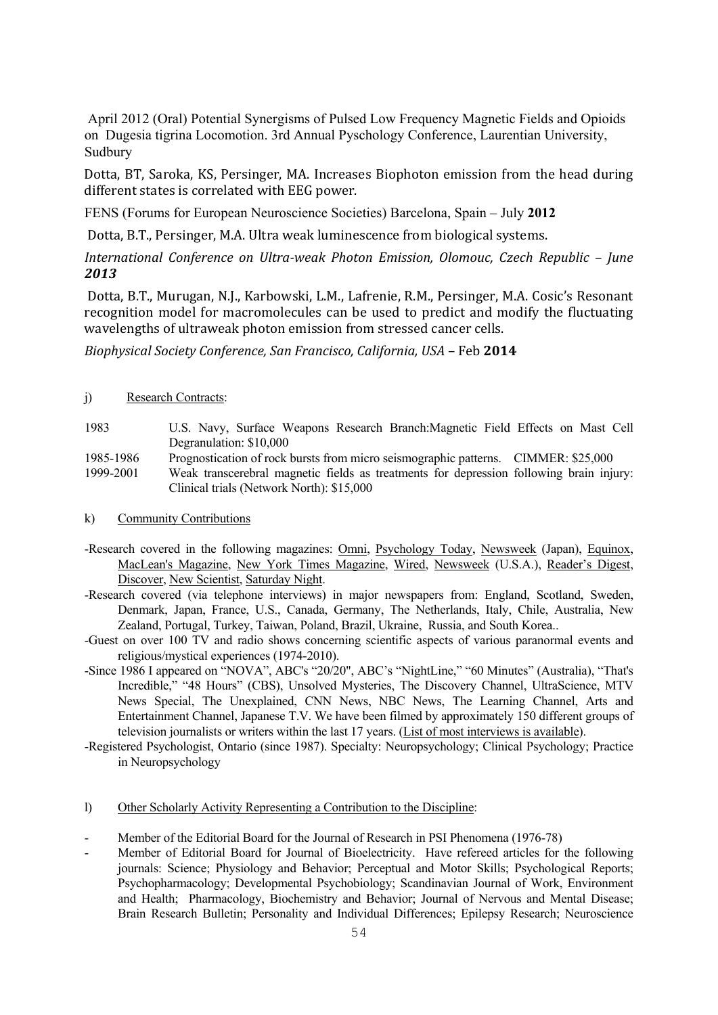April 2012 (Oral) Potential Synergisms of Pulsed Low Frequency Magnetic Fields and Opioids on Dugesia tigrina Locomotion. 3rd Annual Pyschology Conference, Laurentian University, Sudbury

Dotta, BT, Saroka, KS, Persinger, MA. Increases Biophoton emission from the head during different states is correlated with EEG power.

FENS (Forums for European Neuroscience Societies) Barcelona, Spain – July **2012**

Dotta, B.T., Persinger, M.A. Ultra weak luminescence from biological systems.

*International Conference on Ultraweak Photon Emission, Olomouc, Czech Republic – June 2013*

Dotta, B.T., Murugan, N.J., Karbowski, L.M., Lafrenie, R.M., Persinger, M.A. Cosic's Resonant recognition model for macromolecules can be used to predict and modify the fluctuating wavelengths of ultraweak photon emission from stressed cancer cells.

*Biophysical Society Conference, San Francisco, California, USA* – Feb **2014**

#### j) Research Contracts:

| 1983      | U.S. Navy, Surface Weapons Research Branch: Magnetic Field Effects on Mast Cell         |  |
|-----------|-----------------------------------------------------------------------------------------|--|
|           | Degranulation: \$10,000                                                                 |  |
| 1985-1986 | Prognostication of rock bursts from micro seismographic patterns. CIMMER: \$25,000      |  |
| 1999-2001 | Weak transcerebral magnetic fields as treatments for depression following brain injury: |  |
|           | Clinical trials (Network North): \$15,000                                               |  |

#### k) Community Contributions

- -Research covered in the following magazines: Omni, Psychology Today, Newsweek (Japan), Equinox, MacLean's Magazine, New York Times Magazine, Wired, Newsweek (U.S.A.), Reader's Digest, Discover, New Scientist, Saturday Night.
- -Research covered (via telephone interviews) in major newspapers from: England, Scotland, Sweden, Denmark, Japan, France, U.S., Canada, Germany, The Netherlands, Italy, Chile, Australia, New Zealand, Portugal, Turkey, Taiwan, Poland, Brazil, Ukraine, Russia, and South Korea..
- -Guest on over 100 TV and radio shows concerning scientific aspects of various paranormal events and religious/mystical experiences (1974-2010).
- -Since 1986 I appeared on "NOVA", ABC's "20/20", ABC's "NightLine," "60 Minutes" (Australia), "That's Incredible," "48 Hours" (CBS), Unsolved Mysteries, The Discovery Channel, UltraScience, MTV News Special, The Unexplained, CNN News, NBC News, The Learning Channel, Arts and Entertainment Channel, Japanese T.V. We have been filmed by approximately 150 different groups of television journalists or writers within the last 17 years. (List of most interviews is available).
- -Registered Psychologist, Ontario (since 1987). Specialty: Neuropsychology; Clinical Psychology; Practice in Neuropsychology
- l) Other Scholarly Activity Representing a Contribution to the Discipline:
- Member of the Editorial Board for the Journal of Research in PSI Phenomena (1976-78)
- Member of Editorial Board for Journal of Bioelectricity. Have refereed articles for the following journals: Science; Physiology and Behavior; Perceptual and Motor Skills; Psychological Reports; Psychopharmacology; Developmental Psychobiology; Scandinavian Journal of Work, Environment and Health; Pharmacology, Biochemistry and Behavior; Journal of Nervous and Mental Disease; Brain Research Bulletin; Personality and Individual Differences; Epilepsy Research; Neuroscience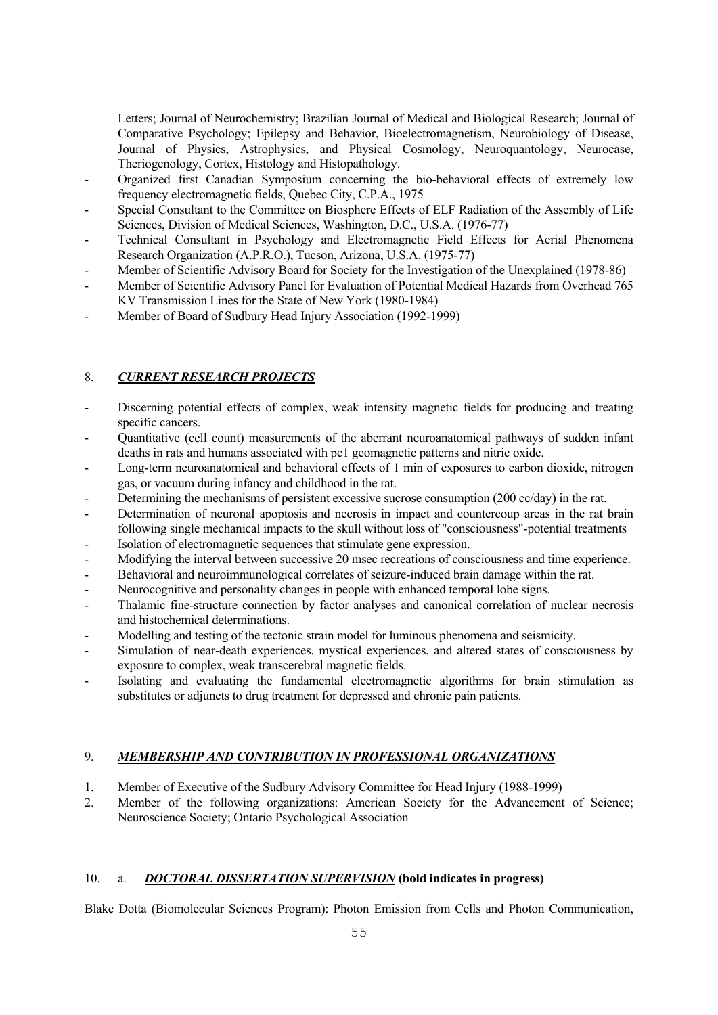Letters; Journal of Neurochemistry; Brazilian Journal of Medical and Biological Research; Journal of Comparative Psychology; Epilepsy and Behavior, Bioelectromagnetism, Neurobiology of Disease, Journal of Physics, Astrophysics, and Physical Cosmology, Neuroquantology, Neurocase, Theriogenology, Cortex, Histology and Histopathology.

- Organized first Canadian Symposium concerning the bio-behavioral effects of extremely low frequency electromagnetic fields, Quebec City, C.P.A., 1975
- Special Consultant to the Committee on Biosphere Effects of ELF Radiation of the Assembly of Life Sciences, Division of Medical Sciences, Washington, D.C., U.S.A. (1976-77)
- Technical Consultant in Psychology and Electromagnetic Field Effects for Aerial Phenomena Research Organization (A.P.R.O.), Tucson, Arizona, U.S.A. (1975-77)
- Member of Scientific Advisory Board for Society for the Investigation of the Unexplained (1978-86)
- Member of Scientific Advisory Panel for Evaluation of Potential Medical Hazards from Overhead 765 KV Transmission Lines for the State of New York (1980-1984)
- Member of Board of Sudbury Head Injury Association (1992-1999)

# 8. *CURRENT RESEARCH PROJECTS*

- Discerning potential effects of complex, weak intensity magnetic fields for producing and treating specific cancers.
- Quantitative (cell count) measurements of the aberrant neuroanatomical pathways of sudden infant deaths in rats and humans associated with pc1 geomagnetic patterns and nitric oxide.
- Long-term neuroanatomical and behavioral effects of 1 min of exposures to carbon dioxide, nitrogen gas, or vacuum during infancy and childhood in the rat.
- Determining the mechanisms of persistent excessive sucrose consumption (200 cc/day) in the rat.
- Determination of neuronal apoptosis and necrosis in impact and countercoup areas in the rat brain following single mechanical impacts to the skull without loss of "consciousness"-potential treatments
- Isolation of electromagnetic sequences that stimulate gene expression.
- Modifying the interval between successive 20 msec recreations of consciousness and time experience.
- Behavioral and neuroimmunological correlates of seizure-induced brain damage within the rat.
- Neurocognitive and personality changes in people with enhanced temporal lobe signs.
- Thalamic fine-structure connection by factor analyses and canonical correlation of nuclear necrosis and histochemical determinations.
- Modelling and testing of the tectonic strain model for luminous phenomena and seismicity.
- Simulation of near-death experiences, mystical experiences, and altered states of consciousness by exposure to complex, weak transcerebral magnetic fields.
- Isolating and evaluating the fundamental electromagnetic algorithms for brain stimulation as substitutes or adjuncts to drug treatment for depressed and chronic pain patients.

# 9. *MEMBERSHIP AND CONTRIBUTION IN PROFESSIONAL ORGANIZATIONS*

- 1. Member of Executive of the Sudbury Advisory Committee for Head Injury (1988-1999)
- 2. Member of the following organizations: American Society for the Advancement of Science; Neuroscience Society; Ontario Psychological Association

#### 10. a. *DOCTORAL DISSERTATION SUPERVISION* **(bold indicates in progress)**

Blake Dotta (Biomolecular Sciences Program): Photon Emission from Cells and Photon Communication,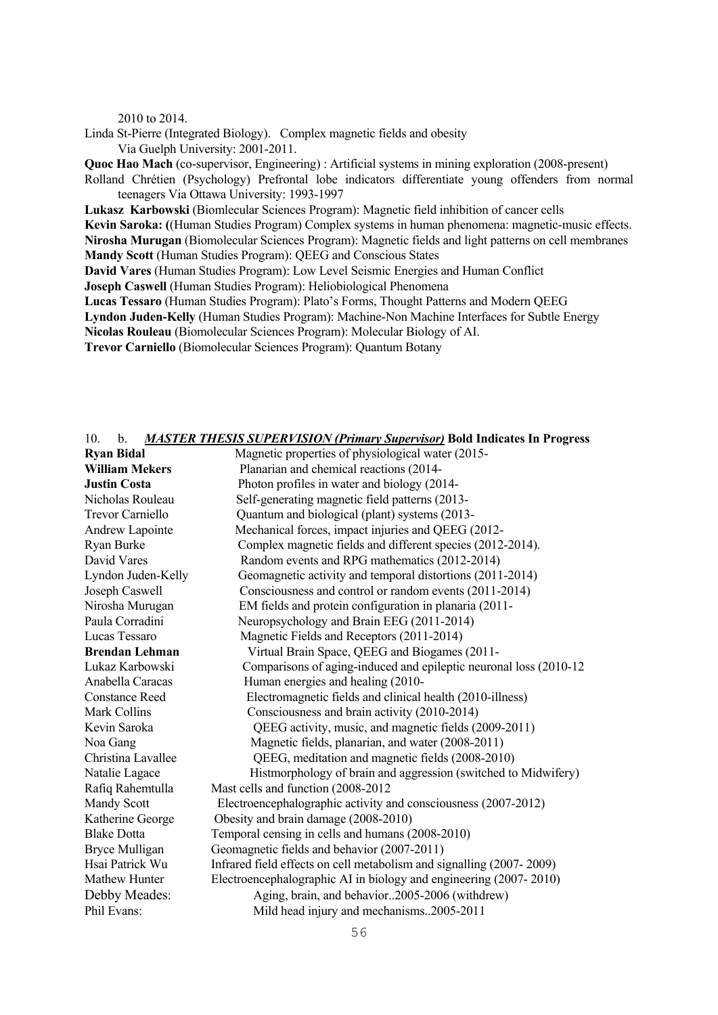2010 to 2014.

Linda St-Pierre (Integrated Biology). Complex magnetic fields and obesity Via Guelph University: 2001-2011.

**Quoc Hao Mach** (co-supervisor, Engineering) : Artificial systems in mining exploration (2008-present)

Rolland Chrétien (Psychology) Prefrontal lobe indicators differentiate young offenders from normal teenagers Via Ottawa University: 1993-1997

**Lukasz Karbowski** (Biomlecular Sciences Program): Magnetic field inhibition of cancer cells **Kevin Saroka: (**(Human Studies Program) Complex systems in human phenomena: magnetic-music effects. **Nirosha Murugan** (Biomolecular Sciences Program): Magnetic fields and light patterns on cell membranes **Mandy Scott** (Human Studies Program): QEEG and Conscious States

**David Vares** (Human Studies Program): Low Level Seismic Energies and Human Conflict

**Joseph Caswell** (Human Studies Program): Heliobiological Phenomena

**Lucas Tessaro** (Human Studies Program): Plato's Forms, Thought Patterns and Modern QEEG

**Lyndon Juden-Kelly** (Human Studies Program): Machine-Non Machine Interfaces for Subtle Energy

**Nicolas Rouleau** (Biomolecular Sciences Program): Molecular Biology of AI.

**Trevor Carniello** (Biomolecular Sciences Program): Quantum Botany

#### 10. b. *MASTER THESIS SUPERVISION (Primary Supervisor)* **Bold Indicates In Progress**

| <b>Ryan Bidal</b>       | Magnetic properties of physiological water (2015-                    |
|-------------------------|----------------------------------------------------------------------|
| <b>William Mekers</b>   | Planarian and chemical reactions (2014-                              |
| <b>Justin Costa</b>     | Photon profiles in water and biology (2014-                          |
| Nicholas Rouleau        | Self-generating magnetic field patterns (2013-                       |
| <b>Trevor Carniello</b> | Quantum and biological (plant) systems (2013-                        |
| Andrew Lapointe         | Mechanical forces, impact injuries and QEEG (2012-                   |
| Ryan Burke              | Complex magnetic fields and different species (2012-2014).           |
| David Vares             | Random events and RPG mathematics (2012-2014)                        |
| Lyndon Juden-Kelly      | Geomagnetic activity and temporal distortions (2011-2014)            |
| Joseph Caswell          | Consciousness and control or random events (2011-2014)               |
| Nirosha Murugan         | EM fields and protein configuration in planaria (2011-               |
| Paula Corradini         | Neuropsychology and Brain EEG (2011-2014)                            |
| Lucas Tessaro           | Magnetic Fields and Receptors (2011-2014)                            |
| <b>Brendan Lehman</b>   | Virtual Brain Space, QEEG and Biogames (2011-                        |
| Lukaz Karbowski         | Comparisons of aging-induced and epileptic neuronal loss (2010-12    |
| Anabella Caracas        | Human energies and healing (2010-                                    |
| <b>Constance Reed</b>   | Electromagnetic fields and clinical health (2010-illness)            |
| Mark Collins            | Consciousness and brain activity (2010-2014)                         |
| Kevin Saroka            | QEEG activity, music, and magnetic fields (2009-2011)                |
| Noa Gang                | Magnetic fields, planarian, and water (2008-2011)                    |
| Christina Lavallee      | QEEG, meditation and magnetic fields (2008-2010)                     |
| Natalie Lagace          | Histmorphology of brain and aggression (switched to Midwifery)       |
| Rafiq Rahemtulla        | Mast cells and function (2008-2012)                                  |
| <b>Mandy Scott</b>      | Electroencephalographic activity and consciousness (2007-2012)       |
| Katherine George        | Obesity and brain damage (2008-2010)                                 |
| <b>Blake Dotta</b>      | Temporal censing in cells and humans (2008-2010)                     |
| Bryce Mulligan          | Geomagnetic fields and behavior (2007-2011)                          |
| Hsai Patrick Wu         | Infrared field effects on cell metabolism and signalling (2007-2009) |
| Mathew Hunter           | Electroencephalographic AI in biology and engineering (2007-2010)    |
| Debby Meades:           | Aging, brain, and behavior2005-2006 (withdrew)                       |
| Phil Evans:             | Mild head injury and mechanisms2005-2011                             |
|                         |                                                                      |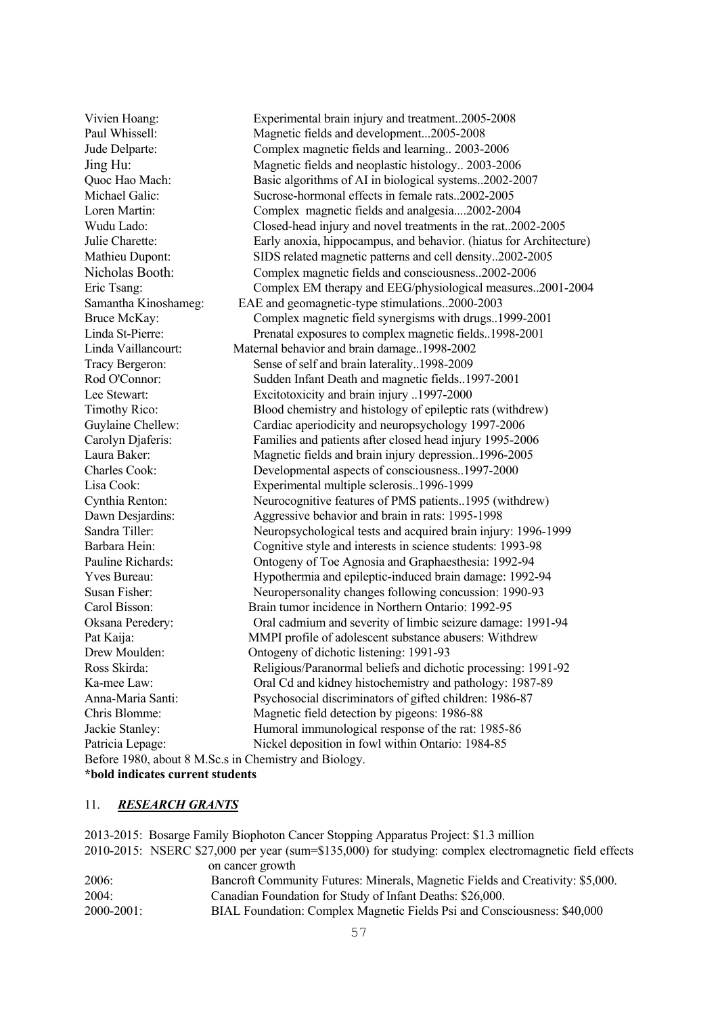Vivien Hoang: Experimental brain injury and treatment..2005-2008 Paul Whissell: Magnetic fields and development...2005-2008 Jude Delparte: Complex magnetic fields and learning.. 2003-2006 Jing Hu: Magnetic fields and neoplastic histology.. 2003-2006 Quoc Hao Mach: Basic algorithms of AI in biological systems..2002-2007 Michael Galic: Sucrose-hormonal effects in female rats..2002-2005 Loren Martin: Complex magnetic fields and analgesia....2002-2004 Wudu Lado: Closed-head injury and novel treatments in the rat..2002-2005 Julie Charette: Early anoxia, hippocampus, and behavior. (hiatus for Architecture) Mathieu Dupont: SIDS related magnetic patterns and cell density..2002-2005 Nicholas Booth: Complex magnetic fields and consciousness..2002-2006 Eric Tsang: Complex EM therapy and EEG/physiological measures..2001-2004 Samantha Kinoshameg: EAE and geomagnetic-type stimulations..2000-2003 Bruce McKay: Complex magnetic field synergisms with drugs..1999-2001 Linda St-Pierre: Prenatal exposures to complex magnetic fields..1998-2001 Linda Vaillancourt: Maternal behavior and brain damage..1998-2002 Tracy Bergeron: Sense of self and brain laterality..1998-2009 Rod O'Connor: Sudden Infant Death and magnetic fields..1997-2001 Lee Stewart: Excitotoxicity and brain injury ..1997-2000 Timothy Rico: Blood chemistry and histology of epileptic rats (withdrew) Guylaine Chellew: Cardiac aperiodicity and neuropsychology 1997-2006 Carolyn Djaferis: Families and patients after closed head injury 1995-2006 Laura Baker: Magnetic fields and brain injury depression..1996-2005 Charles Cook: Developmental aspects of consciousness..1997-2000 Lisa Cook: Experimental multiple sclerosis..1996-1999 Cynthia Renton: Neurocognitive features of PMS patients..1995 (withdrew) Dawn Desjardins: Aggressive behavior and brain in rats: 1995-1998 Sandra Tiller: Neuropsychological tests and acquired brain injury: 1996-1999 Barbara Hein: Cognitive style and interests in science students: 1993-98 Pauline Richards: Ontogeny of Toe Agnosia and Graphaesthesia: 1992-94 Yves Bureau: Hypothermia and epileptic-induced brain damage: 1992-94 Susan Fisher: Neuropersonality changes following concussion: 1990-93 Carol Bisson: Brain tumor incidence in Northern Ontario: 1992-95 Oksana Peredery: Oral cadmium and severity of limbic seizure damage: 1991-94 Pat Kaija: MMPI profile of adolescent substance abusers: Withdrew Drew Moulden: Ontogeny of dichotic listening: 1991-93 Ross Skirda: Religious/Paranormal beliefs and dichotic processing: 1991-92 Ka-mee Law: Oral Cd and kidney histochemistry and pathology: 1987-89 Anna-Maria Santi: Psychosocial discriminators of gifted children: 1986-87 Chris Blomme: Magnetic field detection by pigeons: 1986-88 Jackie Stanley: Humoral immunological response of the rat: 1985-86 Patricia Lepage: Nickel deposition in fowl within Ontario: 1984-85 Before 1980, about 8 M.Sc.s in Chemistry and Biology. **\*bold indicates current students**

#### 11. *RESEARCH GRANTS*

2013-2015: Bosarge Family Biophoton Cancer Stopping Apparatus Project: \$1.3 million 2010-2015: NSERC \$27,000 per year (sum=\$135,000) for studying: complex electromagnetic field effects on cancer growth 2006: Bancroft Community Futures: Minerals, Magnetic Fields and Creativity: \$5,000. 2004: Canadian Foundation for Study of Infant Deaths: \$26,000. 2000-2001: BIAL Foundation: Complex Magnetic Fields Psi and Consciousness: \$40,000